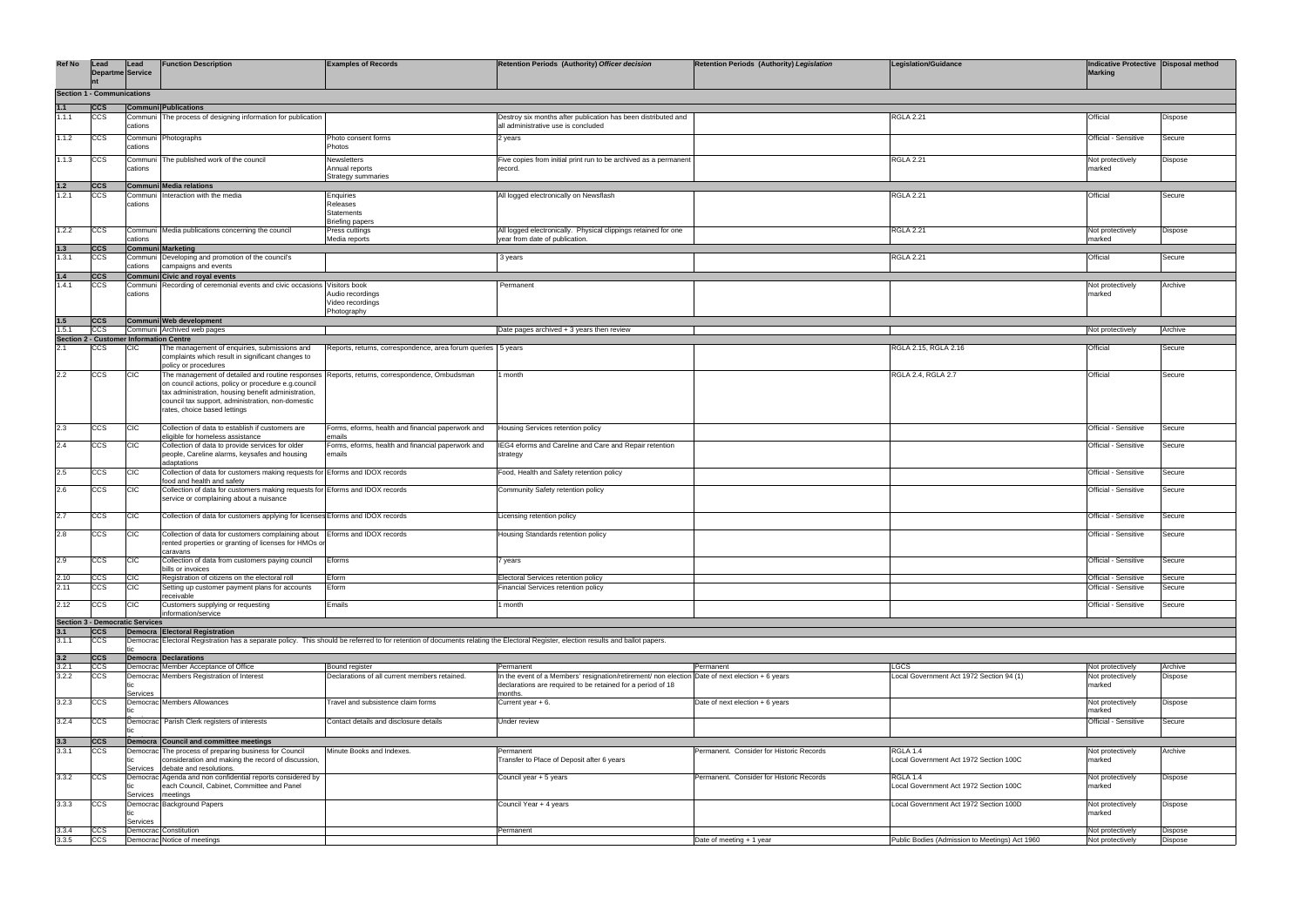| <b>Ref No</b>  | Lead<br><b>Departme Service</b>                              | Lead                 | <b>Function Description</b>                                                                                                                                                                                                                         | <b>Examples of Records</b>                                     | Retention Periods (Authority) Officer decision                                                                                                                                    | <b>Retention Periods (Authority) Legislation</b> | <b>Legislation/Guidance</b>                        | Indicative Protective Disposal method<br><b>Marking</b> |                  |
|----------------|--------------------------------------------------------------|----------------------|-----------------------------------------------------------------------------------------------------------------------------------------------------------------------------------------------------------------------------------------------------|----------------------------------------------------------------|-----------------------------------------------------------------------------------------------------------------------------------------------------------------------------------|--------------------------------------------------|----------------------------------------------------|---------------------------------------------------------|------------------|
|                | <b>Section 1 - Communications</b>                            |                      |                                                                                                                                                                                                                                                     |                                                                |                                                                                                                                                                                   |                                                  |                                                    |                                                         |                  |
| 1.1            | ccs                                                          |                      | <b>Communi Publications</b>                                                                                                                                                                                                                         |                                                                |                                                                                                                                                                                   |                                                  |                                                    |                                                         |                  |
| 1.1.1          | ccs                                                          | Commun<br>cations    | The process of designing information for publication                                                                                                                                                                                                |                                                                | Destroy six months after publication has been distributed and<br>all administrative use is concluded                                                                              |                                                  | <b>RGLA 2.21</b>                                   | Official                                                | Dispose          |
| 1.1.2          | <b>CCS</b>                                                   | Commun<br>cations    | Photographs                                                                                                                                                                                                                                         | Photo consent forms<br>Photos                                  | 2 years                                                                                                                                                                           |                                                  |                                                    | Official - Sensitive                                    | Secure           |
| 1.1.3          | ccs                                                          | Commu<br>cations     | The published work of the council                                                                                                                                                                                                                   | Newsletters<br>Annual reports<br>Strategy summaries            | Five copies from initial print run to be archived as a permanent<br>record.                                                                                                       |                                                  | <b>RGLA 2.21</b>                                   | Not protectively<br>marked                              | Dispose          |
| $1.2$          | <b>CCS</b>                                                   |                      | Communi Media relations                                                                                                                                                                                                                             |                                                                |                                                                                                                                                                                   |                                                  |                                                    |                                                         |                  |
| 1.2.1          | <b>CCS</b>                                                   | Commur<br>cations    | teraction with the media                                                                                                                                                                                                                            | Enquiries<br>Releases<br>Statements<br><b>Briefing papers</b>  | All logged electronically on Newsflash                                                                                                                                            |                                                  | <b>RGLA 2.21</b>                                   | Official                                                | Secure           |
| 1.2.2          | <b>CCS</b>                                                   | Communi<br>cations   | Media publications concerning the council                                                                                                                                                                                                           | Press cuttings<br>Media reports                                | All logged electronically. Physical clippings retained for one<br>year from date of publication.                                                                                  |                                                  | <b>RGLA 2.21</b>                                   | Not protectively<br>marked                              | Dispose          |
| $1.3$<br>1.3.1 | <b>CCS</b><br><b>CCS</b>                                     | Commun               | <b>Communi Marketing</b><br>Developing and promotion of the council's                                                                                                                                                                               |                                                                | 3 years                                                                                                                                                                           |                                                  | <b>RGLA 2.21</b>                                   | Official                                                | Secure           |
| 1.4            | <b>ICCS</b>                                                  | cations              | campaigns and events<br>Communi Civic and royal events                                                                                                                                                                                              |                                                                |                                                                                                                                                                                   |                                                  |                                                    |                                                         |                  |
| 1.4.1          | <b>CCS</b>                                                   | Communi              | Recording of ceremonial events and civic occasions Visitors book                                                                                                                                                                                    |                                                                | Permanent                                                                                                                                                                         |                                                  |                                                    | Not protectively                                        | Archive          |
|                |                                                              | cations              |                                                                                                                                                                                                                                                     | Audio recordings<br>Video recordings<br>Photography            |                                                                                                                                                                                   |                                                  |                                                    | marked                                                  |                  |
| 1.5            | <b>ICCS</b>                                                  |                      | Communi Web development                                                                                                                                                                                                                             |                                                                |                                                                                                                                                                                   |                                                  |                                                    |                                                         |                  |
| 1.5.1          | <b>CCS</b><br><b>Section 2 - Customer Information Centre</b> |                      | Communi Archived web pages                                                                                                                                                                                                                          |                                                                | Date pages archived + 3 years then review                                                                                                                                         |                                                  |                                                    | Not protectively                                        | Archive          |
| 2.1            | <b>CCS</b>                                                   | CIC                  | The management of enquiries, submissions and<br>complaints which result in significant changes to<br>policy or procedures                                                                                                                           | Reports, returns, correspondence, area forum queries   5 years |                                                                                                                                                                                   |                                                  | RGLA 2.15, RGLA 2.16                               | Official                                                | Secure           |
| 2.2            | <b>CCS</b>                                                   | <b>CIC</b>           | The management of detailed and routine responses<br>on council actions, policy or procedure e.g.council<br>tax administration, housing benefit administration,<br>council tax support, administration, non-domestic<br>rates, choice based lettings | Reports, returns, correspondence, Ombudsman                    | 1 month                                                                                                                                                                           |                                                  | RGLA 2.4, RGLA 2.7                                 | Official                                                | Secure           |
| 2.3            | <b>CCS</b>                                                   | <b>CIC</b>           | Collection of data to establish if customers are<br>eligible for homeless assistance                                                                                                                                                                | Forms, eforms, health and financial paperwork and<br>emails    | Housing Services retention policy                                                                                                                                                 |                                                  |                                                    | Official - Sensitive                                    | Secure           |
| 2.4            | <b>CCS</b>                                                   | <b>CIC</b>           | Collection of data to provide services for older<br>people, Careline alarms, keysafes and housing<br>adaptations                                                                                                                                    | Forms, eforms, health and financial paperwork and<br>emails    | IEG4 eforms and Careline and Care and Repair retention<br>strategy                                                                                                                |                                                  |                                                    | Official - Sensitive                                    | Secure           |
| 2.5            | <b>CCS</b>                                                   | <b>CIC</b>           | Collection of data for customers making requests for Eforms and IDOX records<br>food and health and safety                                                                                                                                          |                                                                | Food, Health and Safety retention policy                                                                                                                                          |                                                  |                                                    | Official - Sensitive                                    | Secure           |
| 2.6            | ccs                                                          | <b>CIC</b>           | Collection of data for customers making requests for Eforms and IDOX records<br>service or complaining about a nuisance                                                                                                                             |                                                                | Community Safety retention policy                                                                                                                                                 |                                                  |                                                    | Official - Sensitive                                    | Secure           |
| 2.7            | <b>CCS</b>                                                   | <b>CIC</b>           | Collection of data for customers applying for licenses Eforms and IDOX records                                                                                                                                                                      |                                                                | Licensing retention policy                                                                                                                                                        |                                                  |                                                    | Official - Sensitive                                    | Secure           |
| 2.8            | <b>CCS</b>                                                   | <b>CIC</b>           | Collection of data for customers complaining about   Eforms and IDOX records<br>rented properties or granting of licenses for HMOs or<br>caravans                                                                                                   |                                                                | Housing Standards retention policy                                                                                                                                                |                                                  |                                                    | Official - Sensitive                                    | Secure           |
| 2.9            | <b>CCS</b>                                                   | <b>CIC</b>           | Collection of data from customers paying council<br>bills or invoices                                                                                                                                                                               | Eforms                                                         | 7 years                                                                                                                                                                           |                                                  |                                                    | Official - Sensitive                                    | Secure           |
| 2.10<br>2.11   | <b>CCS</b><br><b>CCS</b>                                     | CIC<br><b>CIC</b>    | Registration of citizens on the electoral roll<br>Setting up customer payment plans for accounts                                                                                                                                                    | Eform<br>Eform                                                 | Electoral Services retention policy<br>Financial Services retention policy                                                                                                        |                                                  |                                                    | Official - Sensitive<br>Official - Sensitive            | Secure<br>Secure |
| 2.12           | <b>CCS</b>                                                   | <b>CIC</b>           | receivable<br>Customers supplying or requesting<br>information/service                                                                                                                                                                              | Emails                                                         | I month                                                                                                                                                                           |                                                  |                                                    | Official - Sensitive                                    | Secure           |
|                | <b>Section 3 - Democratic Services</b>                       |                      |                                                                                                                                                                                                                                                     |                                                                |                                                                                                                                                                                   |                                                  |                                                    |                                                         |                  |
| 3.1            | <b>ICCS</b>                                                  |                      | Democra Electoral Registration                                                                                                                                                                                                                      |                                                                |                                                                                                                                                                                   |                                                  |                                                    |                                                         |                  |
| 3.1.1          | <b>CCS</b>                                                   |                      |                                                                                                                                                                                                                                                     |                                                                | Democrac Electoral Registration has a separate policy. This should be referred to for retention of documents relating the Electoral Register, election results and ballot papers. |                                                  |                                                    |                                                         |                  |
| 3.2            | <b>ICCS</b>                                                  |                      | Democra Declarations                                                                                                                                                                                                                                |                                                                |                                                                                                                                                                                   |                                                  |                                                    |                                                         |                  |
| 3.2.1          | <b>CCS</b>                                                   |                      | Democrac Member Acceptance of Office                                                                                                                                                                                                                | Bound register                                                 | Permanent                                                                                                                                                                         | Permanent                                        | <b>LGCS</b>                                        | Not protectively                                        | Archive          |
| 3.2.2          | <b>CCS</b>                                                   | Services             | Democrac Members Registration of Interest                                                                                                                                                                                                           | Declarations of all current members retained.                  | In the event of a Members' resignation/retirement/ non election Date of next election + 6 years<br>declarations are required to be retained for a period of 18<br>months          |                                                  | Local Government Act 1972 Section 94 (1)           | Not protectively<br>marked                              | Dispose          |
| 3.2.3          | <b>CCS</b>                                                   |                      | Democrac Members Allowances                                                                                                                                                                                                                         | Travel and subsistence claim forms                             | Current year + 6.                                                                                                                                                                 | Date of next election + 6 years                  |                                                    | Not protectively<br>marked                              | Dispose          |
| 3.2.4          | <b>CCS</b>                                                   |                      | Democrac Parish Clerk registers of interests                                                                                                                                                                                                        | Contact details and disclosure details                         | Under review                                                                                                                                                                      |                                                  |                                                    | Official - Sensitive                                    | Secure           |
| 3.3            | <b>CCS</b>                                                   |                      | Democra Council and committee meetings                                                                                                                                                                                                              |                                                                |                                                                                                                                                                                   |                                                  |                                                    |                                                         |                  |
| 3.3.1          | <b>CCS</b>                                                   | Democrac<br>Services | The process of preparing business for Council<br>consideration and making the record of discussion,<br>debate and resolutions.                                                                                                                      | Minute Books and Indexes.                                      | Permanent<br>Transfer to Place of Deposit after 6 years                                                                                                                           | Permanent. Consider for Historic Records         | RGLA 1.4<br>Local Government Act 1972 Section 100C | Not protectively<br>marked                              | Archive          |
| 3.3.2          | <b>CCS</b>                                                   | tic<br>Services      | Democrac Agenda and non confidential reports considered by<br>each Council, Cabinet, Committee and Panel<br>meetings                                                                                                                                |                                                                | Council year + 5 years                                                                                                                                                            | Permanent. Consider for Historic Records         | RGLA 1.4<br>Local Government Act 1972 Section 100C | Not protectively<br>marked                              | Dispose          |
| 3.3.3          | <b>CCS</b>                                                   | tic.<br>Services     | Democrac Background Papers                                                                                                                                                                                                                          |                                                                | Council Year + 4 years                                                                                                                                                            |                                                  | Local Government Act 1972 Section 100D             | Not protectively<br>marked                              | Dispose          |
| 3.3.4          | <b>CCS</b>                                                   |                      | Democrac Constitution                                                                                                                                                                                                                               |                                                                | Permanent                                                                                                                                                                         |                                                  |                                                    | Not protectively                                        | Dispose          |
| 3.3.5          | <b>CCS</b>                                                   |                      | Democrac Notice of meetings                                                                                                                                                                                                                         |                                                                |                                                                                                                                                                                   | Date of meeting + 1 year                         | Public Bodies (Admission to Meetings) Act 1960     | Not protectively                                        | Dispose          |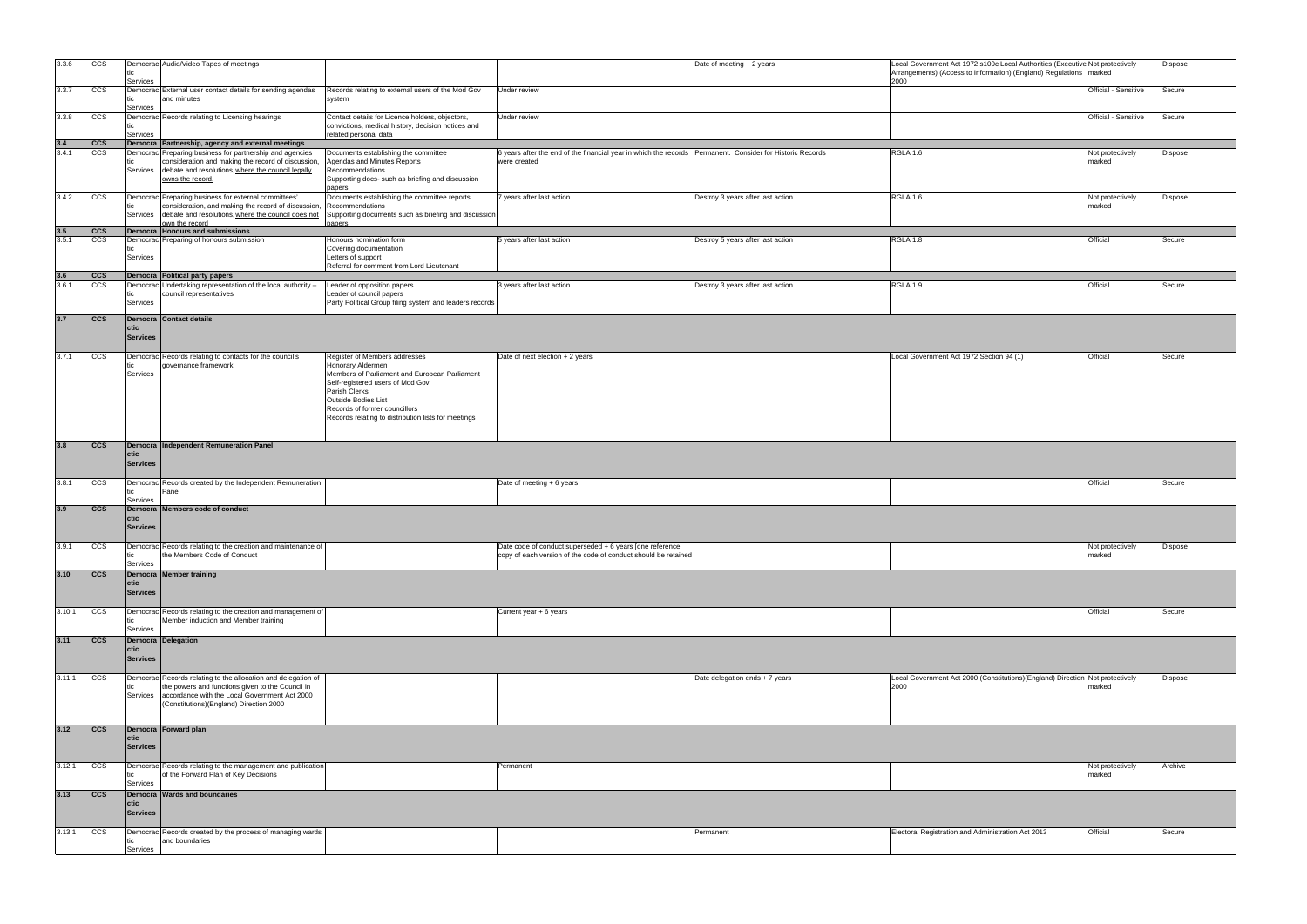| 3.3.6               | <b>CCS</b> |                         | Democrac Audio/Video Tapes of meetings                                                                                      |                                                                                                                    |                                                                                                           | Date of meeting + 2 years         | Local Government Act 1972 s100c Local Authorities (Executive Not protectively<br>Arrangements) (Access to Information) (England) Regulations   marked |                      | Dispose |
|---------------------|------------|-------------------------|-----------------------------------------------------------------------------------------------------------------------------|--------------------------------------------------------------------------------------------------------------------|-----------------------------------------------------------------------------------------------------------|-----------------------------------|-------------------------------------------------------------------------------------------------------------------------------------------------------|----------------------|---------|
|                     |            | Services                |                                                                                                                             |                                                                                                                    |                                                                                                           |                                   | 2000                                                                                                                                                  |                      |         |
| 3.3.7               | CCS        | Services                | Democrac External user contact details for sending agendas<br>and minutes                                                   | Records relating to external users of the Mod Gov<br>system                                                        | Jnder review                                                                                              |                                   |                                                                                                                                                       | Official - Sensitive | Secure  |
| 3.3.8               | CCS        |                         | Democrac Records relating to Licensing hearings                                                                             | Contact details for Licence holders, objectors,<br>convictions, medical history, decision notices and              | Under review                                                                                              |                                   |                                                                                                                                                       | Official - Sensitive | Secure  |
|                     | <b>CCS</b> | Services                | Democra Partnership, agency and external meetings                                                                           | related personal data                                                                                              |                                                                                                           |                                   |                                                                                                                                                       |                      |         |
| $\frac{3.4}{3.4.1}$ | CCS        |                         | Democrac Preparing business for partnership and agencies                                                                    | Documents establishing the committee                                                                               | 6 years after the end of the financial year in which the records Permanent. Consider for Historic Records |                                   | RGLA 1.6                                                                                                                                              | Not protectively     | Dispose |
|                     |            |                         | consideration and making the record of discussion,                                                                          | Agendas and Minutes Reports                                                                                        | were created                                                                                              |                                   |                                                                                                                                                       | marked               |         |
|                     |            | Services                | debate and resolutions, where the council legally<br>owns the record.                                                       | Recommendations<br>Supporting docs- such as briefing and discussion<br>papers                                      |                                                                                                           |                                   |                                                                                                                                                       |                      |         |
| 3.4.2               | CCS        |                         | Democrac Preparing business for external committees'                                                                        | Documents establishing the committee reports                                                                       | years after last action                                                                                   | Destroy 3 years after last action | RGLA 1.6                                                                                                                                              | Not protectively     | Dispose |
|                     |            | Services                | consideration, and making the record of discussion,<br>debate and resolutions, where the council does not<br>own the record | Recommendations<br>Supporting documents such as briefing and discussion<br>papers                                  |                                                                                                           |                                   |                                                                                                                                                       | marked               |         |
| $\frac{3.5}{3.5.1}$ | <b>CCS</b> |                         | Democra Honours and submissions                                                                                             |                                                                                                                    |                                                                                                           |                                   |                                                                                                                                                       |                      |         |
|                     | <b>CCS</b> | tic<br>Services         | Democrac Preparing of honours submission                                                                                    | Honours nomination form<br>Covering documentation<br>Letters of support                                            | 5 years after last action                                                                                 | Destroy 5 years after last action | RGLA 1.8                                                                                                                                              | Official             | Secure  |
|                     |            |                         |                                                                                                                             | Referral for comment from Lord Lieutenant                                                                          |                                                                                                           |                                   |                                                                                                                                                       |                      |         |
| $\frac{3.6}{3.6.1}$ | <b>CCS</b> |                         | Democra Political party papers                                                                                              |                                                                                                                    |                                                                                                           |                                   |                                                                                                                                                       |                      |         |
|                     | CCS        | tic<br>Services         | Democrac Undertaking representation of the local authority -<br>council representatives                                     | Leader of opposition papers<br>Leader of council papers<br>Party Political Group filing system and leaders records | 3 years after last action                                                                                 | Destroy 3 years after last action | <b>RGLA 1.9</b>                                                                                                                                       | Official             | Secure  |
| 3.7                 | ccs        |                         | Democra Contact details                                                                                                     |                                                                                                                    |                                                                                                           |                                   |                                                                                                                                                       |                      |         |
|                     |            | ctic<br><b>Services</b> |                                                                                                                             |                                                                                                                    |                                                                                                           |                                   |                                                                                                                                                       |                      |         |
| 3.7.1               | <b>CCS</b> |                         | Democrac Records relating to contacts for the council's                                                                     | Register of Members addresses                                                                                      | Date of next election + 2 years                                                                           |                                   | Local Government Act 1972 Section 94 (1)                                                                                                              | Official             | Secure  |
|                     |            |                         | governance framework                                                                                                        | Honorary Aldermen                                                                                                  |                                                                                                           |                                   |                                                                                                                                                       |                      |         |
|                     |            | Services                |                                                                                                                             | Members of Parliament and European Parliament                                                                      |                                                                                                           |                                   |                                                                                                                                                       |                      |         |
|                     |            |                         |                                                                                                                             | Self-registered users of Mod Gov<br>Parish Clerks                                                                  |                                                                                                           |                                   |                                                                                                                                                       |                      |         |
|                     |            |                         |                                                                                                                             | Outside Bodies List                                                                                                |                                                                                                           |                                   |                                                                                                                                                       |                      |         |
|                     |            |                         |                                                                                                                             | Records of former councillors                                                                                      |                                                                                                           |                                   |                                                                                                                                                       |                      |         |
|                     |            |                         |                                                                                                                             | Records relating to distribution lists for meetings                                                                |                                                                                                           |                                   |                                                                                                                                                       |                      |         |
|                     |            |                         |                                                                                                                             |                                                                                                                    |                                                                                                           |                                   |                                                                                                                                                       |                      |         |
| 3.8                 | <b>CCS</b> |                         | Democra Independent Remuneration Panel                                                                                      |                                                                                                                    |                                                                                                           |                                   |                                                                                                                                                       |                      |         |
|                     |            | ctic<br><b>Services</b> |                                                                                                                             |                                                                                                                    |                                                                                                           |                                   |                                                                                                                                                       |                      |         |
|                     |            |                         |                                                                                                                             |                                                                                                                    |                                                                                                           |                                   |                                                                                                                                                       |                      |         |
| 3.8.1               | <b>CCS</b> |                         | Democrac Records created by the Independent Remuneration                                                                    |                                                                                                                    | Date of meeting + 6 years                                                                                 |                                   |                                                                                                                                                       | Official             | Secure  |
|                     |            | tic<br>Services         | Panel                                                                                                                       |                                                                                                                    |                                                                                                           |                                   |                                                                                                                                                       |                      |         |
| 3.9                 | <b>CCS</b> |                         | Democra Members code of conduct                                                                                             |                                                                                                                    |                                                                                                           |                                   |                                                                                                                                                       |                      |         |
|                     |            | ctic<br><b>Services</b> |                                                                                                                             |                                                                                                                    |                                                                                                           |                                   |                                                                                                                                                       |                      |         |
|                     |            |                         |                                                                                                                             |                                                                                                                    |                                                                                                           |                                   |                                                                                                                                                       |                      |         |
| 3.9.1               | CCS        |                         | Democrac Records relating to the creation and maintenance of                                                                |                                                                                                                    | Date code of conduct superseded + 6 years [one reference                                                  |                                   |                                                                                                                                                       | Not protectively     | Dispose |
|                     |            | tic<br>Services         | the Members Code of Conduct                                                                                                 |                                                                                                                    | copy of each version of the code of conduct should be retained                                            |                                   |                                                                                                                                                       | marked               |         |
| 3.10                | ccs        |                         | Democra Member training                                                                                                     |                                                                                                                    |                                                                                                           |                                   |                                                                                                                                                       |                      |         |
|                     |            | ctic                    |                                                                                                                             |                                                                                                                    |                                                                                                           |                                   |                                                                                                                                                       |                      |         |
|                     |            | <b>Services</b>         |                                                                                                                             |                                                                                                                    |                                                                                                           |                                   |                                                                                                                                                       |                      |         |
| 3.10.1              | CCS        |                         | Democrac Records relating to the creation and management of                                                                 |                                                                                                                    | Current year + 6 years                                                                                    |                                   |                                                                                                                                                       | Official             | Secure  |
|                     |            | tic                     | Member induction and Member training                                                                                        |                                                                                                                    |                                                                                                           |                                   |                                                                                                                                                       |                      |         |
|                     |            | Services                |                                                                                                                             |                                                                                                                    |                                                                                                           |                                   |                                                                                                                                                       |                      |         |
| 3.11                | ccs        | ctic                    | Democra Delegation                                                                                                          |                                                                                                                    |                                                                                                           |                                   |                                                                                                                                                       |                      |         |
|                     |            | <b>Services</b>         |                                                                                                                             |                                                                                                                    |                                                                                                           |                                   |                                                                                                                                                       |                      |         |
|                     |            |                         |                                                                                                                             |                                                                                                                    |                                                                                                           |                                   |                                                                                                                                                       |                      |         |
| 3.11.1              | CCS        | tic                     | Democrac Records relating to the allocation and delegation of<br>the powers and functions given to the Council in           |                                                                                                                    |                                                                                                           | Date delegation ends + 7 years    | Local Government Act 2000 (Constitutions)(England) Direction Not protectively<br>2000                                                                 | marked               | Dispose |
|                     |            | Services                | accordance with the Local Government Act 2000                                                                               |                                                                                                                    |                                                                                                           |                                   |                                                                                                                                                       |                      |         |
|                     |            |                         | (Constitutions)(England) Direction 2000                                                                                     |                                                                                                                    |                                                                                                           |                                   |                                                                                                                                                       |                      |         |
|                     |            |                         |                                                                                                                             |                                                                                                                    |                                                                                                           |                                   |                                                                                                                                                       |                      |         |
| 3.12                | ccs        |                         | Democra Forward plan                                                                                                        |                                                                                                                    |                                                                                                           |                                   |                                                                                                                                                       |                      |         |
|                     |            | ctic<br><b>Services</b> |                                                                                                                             |                                                                                                                    |                                                                                                           |                                   |                                                                                                                                                       |                      |         |
|                     |            |                         |                                                                                                                             |                                                                                                                    |                                                                                                           |                                   |                                                                                                                                                       |                      |         |
| 3.12.1              | CCS        |                         | Democrac Records relating to the management and publication                                                                 |                                                                                                                    | Permanent                                                                                                 |                                   |                                                                                                                                                       | Not protectively     | Archive |
|                     |            | tic                     | of the Forward Plan of Key Decisions                                                                                        |                                                                                                                    |                                                                                                           |                                   |                                                                                                                                                       | marked               |         |
| 3.13                | ccs        | Services                | Democra Wards and boundaries                                                                                                |                                                                                                                    |                                                                                                           |                                   |                                                                                                                                                       |                      |         |
|                     |            | ctic                    |                                                                                                                             |                                                                                                                    |                                                                                                           |                                   |                                                                                                                                                       |                      |         |
|                     |            | <b>Services</b>         |                                                                                                                             |                                                                                                                    |                                                                                                           |                                   |                                                                                                                                                       |                      |         |
| 3.13.1              | <b>CCS</b> |                         | Democrac Records created by the process of managing wards                                                                   |                                                                                                                    |                                                                                                           | Permanent                         | Electoral Registration and Administration Act 2013                                                                                                    | Official             | Secure  |
|                     |            | tic                     | and boundaries                                                                                                              |                                                                                                                    |                                                                                                           |                                   |                                                                                                                                                       |                      |         |
|                     |            | Services                |                                                                                                                             |                                                                                                                    |                                                                                                           |                                   |                                                                                                                                                       |                      |         |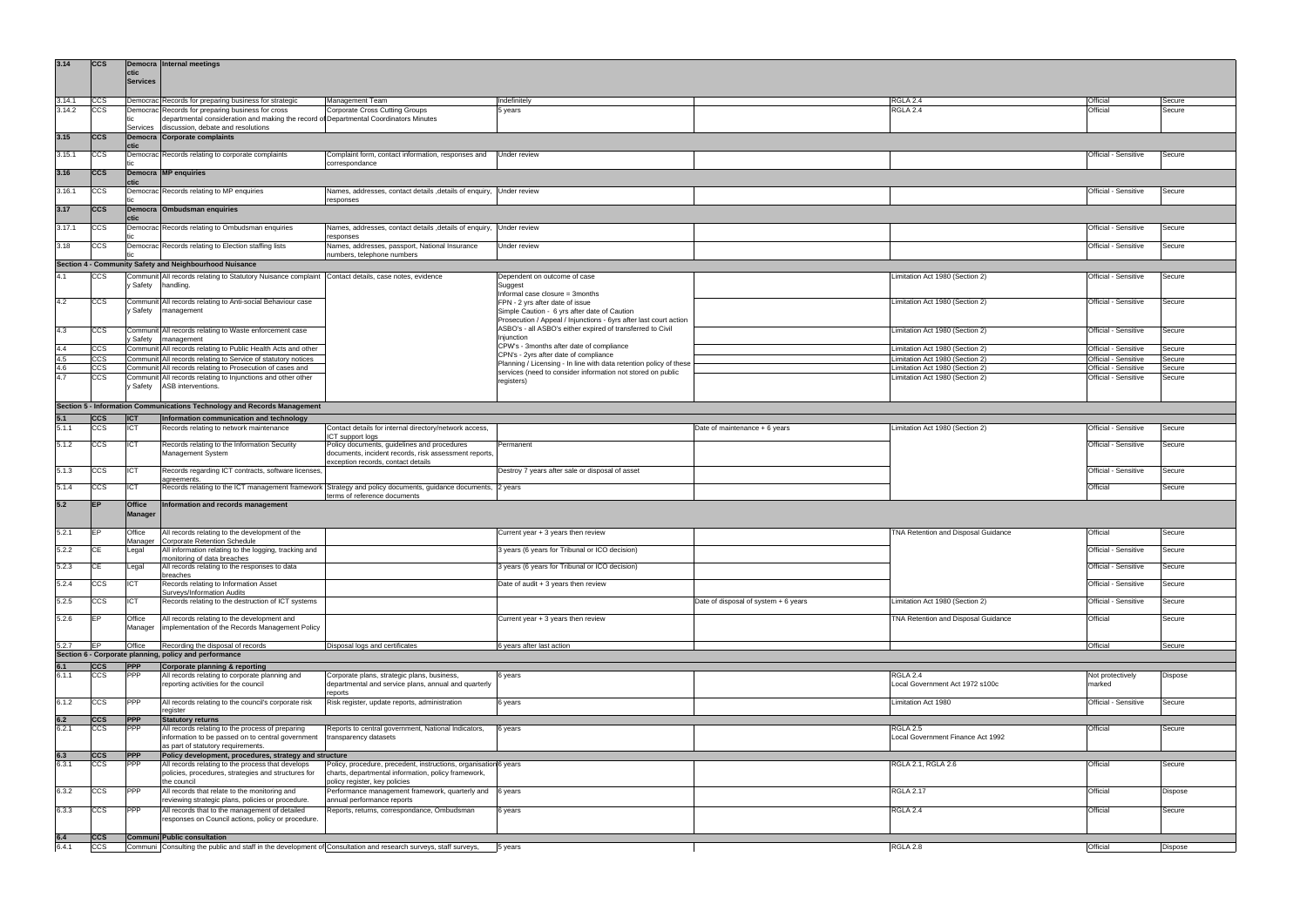| 3.14       | <b>CCS</b>                | ctic              | Democra Internal meetings                                                                                                   |                                                                                                                                             |                                                                                                                                 |                                      |                                                                    |                                              |                  |
|------------|---------------------------|-------------------|-----------------------------------------------------------------------------------------------------------------------------|---------------------------------------------------------------------------------------------------------------------------------------------|---------------------------------------------------------------------------------------------------------------------------------|--------------------------------------|--------------------------------------------------------------------|----------------------------------------------|------------------|
|            |                           | <b>Services</b>   |                                                                                                                             |                                                                                                                                             |                                                                                                                                 |                                      |                                                                    |                                              |                  |
| 3.14.1     | <b>CCS</b>                |                   | Democrac Records for preparing business for strategic                                                                       | Management Team                                                                                                                             | Indefinitely                                                                                                                    |                                      | RGLA 2.4                                                           | Official                                     | Secure           |
| 3.14.2     | <b>CCS</b>                |                   | Democrac Records for preparing business for cross                                                                           | <b>Corporate Cross Cutting Groups</b>                                                                                                       | 5 years                                                                                                                         |                                      | RGLA 2.4                                                           | Official                                     | Secure           |
|            |                           | Services          | departmental consideration and making the record of Departmental Coordinators Minutes<br>discussion, debate and resolutions |                                                                                                                                             |                                                                                                                                 |                                      |                                                                    |                                              |                  |
| 3.15       | <b>ICCS</b>               | ctic              | Democra Corporate complaints                                                                                                |                                                                                                                                             |                                                                                                                                 |                                      |                                                                    |                                              |                  |
| 3.15.1     | <b>CCS</b>                |                   | Democrac Records relating to corporate complaints                                                                           | Complaint form, contact information, responses and<br>correspondance                                                                        | Under review                                                                                                                    |                                      |                                                                    | Official - Sensitive                         | Secure           |
| 3.16       | <b>CCS</b>                | ctic              | Democra MP enquiries                                                                                                        |                                                                                                                                             |                                                                                                                                 |                                      |                                                                    |                                              |                  |
| 3.16.1     | <b>CCS</b>                |                   | Democrac Records relating to MP enquiries                                                                                   | Names, addresses, contact details , details of enquiry, Under review<br>responses                                                           |                                                                                                                                 |                                      |                                                                    | Official - Sensitive                         | Secure           |
| 3.17       | <b>CCS</b>                | ctic              | Democra Ombudsman enquiries                                                                                                 |                                                                                                                                             |                                                                                                                                 |                                      |                                                                    |                                              |                  |
| 3.17.1     | <b>CCS</b>                |                   | Democrac Records relating to Ombudsman enquiries                                                                            | Names, addresses, contact details , details of enquiry, Under review<br>responses                                                           |                                                                                                                                 |                                      |                                                                    | Official - Sensitive                         | Secure           |
| 3.18       | <b>CCS</b>                |                   | Democrac Records relating to Election staffing lists                                                                        | Names, addresses, passport, National Insurance<br>numbers, telephone numbers                                                                | Under review                                                                                                                    |                                      |                                                                    | Official - Sensitive                         | Secure           |
|            |                           |                   | Section 4 - Community Safety and Neighbourhood Nuisance                                                                     |                                                                                                                                             |                                                                                                                                 |                                      |                                                                    |                                              |                  |
|            | <b>CCS</b>                |                   | Communit All records relating to Statutory Nuisance complaint                                                               | Contact details, case notes, evidence                                                                                                       | Dependent on outcome of case                                                                                                    |                                      | Limitation Act 1980 (Section 2)                                    | Official - Sensitive                         | Secure           |
|            |                           | y Safety          | handling.                                                                                                                   |                                                                                                                                             | Suggest<br>Informal case closure = 3months                                                                                      |                                      |                                                                    |                                              |                  |
| 4.2        | <b>CCS</b>                | y Safety          | Communit All records relating to Anti-social Behaviour case<br>management                                                   |                                                                                                                                             | FPN - 2 yrs after date of issue<br>Simple Caution - 6 yrs after date of Caution                                                 |                                      | Limitation Act 1980 (Section 2)                                    | Official - Sensitive                         | Secure           |
|            |                           |                   |                                                                                                                             |                                                                                                                                             | Prosecution / Appeal / Injunctions - 6yrs after last court action<br>ASBO's - all ASBO's either expired of transferred to Civil |                                      |                                                                    |                                              |                  |
| 4.3        | <b>CCS</b>                | <sup>Safety</sup> | Communit All records relating to Waste enforcement case<br>management                                                       |                                                                                                                                             | Injunction<br>CPW's - 3months after date of compliance                                                                          |                                      | Limitation Act 1980 (Section 2)                                    | Official - Sensitive                         | Secure           |
| 4.4        | <b>CCS</b>                |                   | Communit All records relating to Public Health Acts and other                                                               |                                                                                                                                             | CPN's - 2yrs after date of compliance                                                                                           |                                      | Limitation Act 1980 (Section 2)                                    | Official - Sensitive                         | Secure           |
| 4.5<br>4.6 | <b>CCS</b>                |                   | Communit All records relating to Service of statutory notices<br>Communit All records relating to Prosecution of cases and  |                                                                                                                                             | Planning / Licensing - In line with data retention policy of these                                                              |                                      | Limitation Act 1980 (Section 2)<br>Limitation Act 1980 (Section 2) | Official - Sensitive<br>Official - Sensitive | Secure<br>Secure |
| 4.7        | <b>CCS</b><br><b>CCS</b>  | Communit          | All records relating to Injunctions and other other                                                                         |                                                                                                                                             | services (need to consider information not stored on public                                                                     |                                      | Limitation Act 1980 (Section 2)                                    | Official - Sensitive                         | Secure           |
|            |                           | y Safety          | ASB interventions.                                                                                                          |                                                                                                                                             | registers)                                                                                                                      |                                      |                                                                    |                                              |                  |
|            |                           |                   | Section 5 - Information Communications Technology and Records Management                                                    |                                                                                                                                             |                                                                                                                                 |                                      |                                                                    |                                              |                  |
|            | <b>CCS</b>                | <b>ICT</b>        | Information communication and technology                                                                                    |                                                                                                                                             |                                                                                                                                 |                                      |                                                                    |                                              |                  |
| 5.1.1      | <b>CCS</b>                | <b>ICT</b>        | Records relating to network maintenance                                                                                     | Contact details for internal directory/network access,<br>ICT support logs                                                                  |                                                                                                                                 | Date of maintenance + 6 years        | Limitation Act 1980 (Section 2)                                    | Official - Sensitive                         | Secure           |
| 5.1.2      | <b>CCS</b>                | ICT               | Records relating to the Information Security<br>Management System                                                           | Policy documents, guidelines and procedures<br>documents, incident records, risk assessment reports,<br>exception records, contact details  | Permanent                                                                                                                       |                                      |                                                                    | Official - Sensitive                         | Secure           |
| 5.1.3      | <b>CCS</b>                | <b>ICT</b>        | Records regarding ICT contracts, software licenses<br>agreements.                                                           |                                                                                                                                             | Destroy 7 years after sale or disposal of asset                                                                                 |                                      |                                                                    | Official - Sensitive                         | Secure           |
| 5.1.4      | <b>CCS</b>                | ICT               |                                                                                                                             | Records relating to the ICT management framework Strategy and policy documents, guidance documents, 2 years<br>terms of reference documents |                                                                                                                                 |                                      |                                                                    | Official                                     | Secure           |
| 5.2        | <b>IEP</b>                | Office<br>Manager | Information and records management                                                                                          |                                                                                                                                             |                                                                                                                                 |                                      |                                                                    |                                              |                  |
| 5.2.1      | EP                        | Office            | All records relating to the development of the                                                                              |                                                                                                                                             | Current year + 3 years then review                                                                                              |                                      | TNA Retention and Disposal Guidance                                | Official                                     | Secure           |
| 5.2.2      | СE                        | Legal             | Manager Corporate Retention Schedule<br>All information relating to the logging, tracking and                               |                                                                                                                                             | 3 years (6 years for Tribunal or ICO decision)                                                                                  |                                      |                                                                    | Official - Sensitive                         | Secure           |
| 5.2.3      | CE                        | _egal             | monitoring of data breaches<br>All records relating to the responses to data                                                |                                                                                                                                             | 3 years (6 years for Tribunal or ICO decision)                                                                                  |                                      |                                                                    | Official - Sensitive                         | Secure           |
| 5.2.4      | <b>CCS</b>                | <b>ICT</b>        | breaches<br>Records relating to Information Asset                                                                           |                                                                                                                                             | Date of audit + 3 years then review                                                                                             |                                      |                                                                    | Official - Sensitive                         | Secure           |
| 5.2.5      | <b>CCS</b>                | ICT               | Surveys/Information Audits<br>Records relating to the destruction of ICT systems                                            |                                                                                                                                             |                                                                                                                                 | Date of disposal of system + 6 years | Limitation Act 1980 (Section 2)                                    | Official - Sensitive                         | Secure           |
| 5.2.6      | EP                        | Office<br>Manager | All records relating to the development and<br>implementation of the Records Management Policy                              |                                                                                                                                             | Current year + 3 years then review                                                                                              |                                      | TNA Retention and Disposal Guidance                                | Official                                     | Secure           |
|            |                           |                   |                                                                                                                             |                                                                                                                                             |                                                                                                                                 |                                      |                                                                    |                                              |                  |
| 5.2.7      | EP                        | Office            | Recording the disposal of records                                                                                           | Disposal logs and certificates                                                                                                              | 6 years after last action                                                                                                       |                                      |                                                                    | Official                                     | Secure           |
|            |                           |                   | Section 6 - Corporate planning, policy and performance                                                                      |                                                                                                                                             |                                                                                                                                 |                                      |                                                                    |                                              |                  |
| 6.1.1      | <b>ICCS</b><br><b>CCS</b> | <b>PPP</b><br>PPP | <b>Corporate planning &amp; reporting</b>                                                                                   |                                                                                                                                             |                                                                                                                                 |                                      | RGLA 2.4                                                           |                                              |                  |
|            |                           |                   | All records relating to corporate planning and<br>reporting activities for the council                                      | Corporate plans, strategic plans, business,<br>departmental and service plans, annual and quarterly<br>reports                              | 6 years                                                                                                                         |                                      | Local Government Act 1972 s100c                                    | Not protectively<br>marked                   | <b>Dispose</b>   |
| 6.1.2      | <b>CCS</b>                | <b>PPP</b>        | All records relating to the council's corporate risk<br>register                                                            | Risk register, update reports, administration                                                                                               | 6 years                                                                                                                         |                                      | Limitation Act 1980                                                | Official - Sensitive                         | Secure           |
| 6.2        | <b>ICCS</b>               | <b>PPP</b>        | <b>Statutory returns</b>                                                                                                    |                                                                                                                                             |                                                                                                                                 |                                      |                                                                    |                                              |                  |
| 6.2.1      | <b>CCS</b>                | <b>PPP</b>        | All records relating to the process of preparing                                                                            | Reports to central government, National Indicators,                                                                                         | 6 years                                                                                                                         |                                      | RGLA 2.5                                                           | Official                                     | Secure           |
|            |                           |                   | information to be passed on to central government<br>as part of statutory requirements.                                     | transparency datasets                                                                                                                       |                                                                                                                                 |                                      | Local Government Finance Act 1992                                  |                                              |                  |
| 6.3        | <b>ICCS</b>               | <b>PPP</b>        | Policy development, procedures, strategy and structure                                                                      |                                                                                                                                             |                                                                                                                                 |                                      |                                                                    |                                              |                  |
| 6.3.1      | <b>CCS</b>                | PPP               | All records relating to the process that develops<br>policies, procedures, strategies and structures for                    | Policy, procedure, precedent, instructions, organisation 6 years<br>charts, departmental information, policy framework,                     |                                                                                                                                 |                                      | RGLA 2.1, RGLA 2.6                                                 | Official                                     | Secure           |
| 6.3.2      | <b>CCS</b>                | <b>PPP</b>        | the council<br>All records that relate to the monitoring and                                                                | policy register, key policies<br>Performance management framework, quarterly and 6 years                                                    |                                                                                                                                 |                                      | RGLA 2.17                                                          | Official                                     | Dispose          |
| 6.3.3      | <b>CCS</b>                | <b>PPP</b>        | reviewing strategic plans, policies or procedure.<br>All records that to the management of detailed                         | annual performance reports<br>Reports, returns, correspondance, Ombudsman                                                                   | 6 years                                                                                                                         |                                      | RGLA 2.4                                                           | Official                                     | Secure           |
|            |                           |                   | responses on Council actions, policy or procedure.                                                                          |                                                                                                                                             |                                                                                                                                 |                                      |                                                                    |                                              |                  |
| 6.4        | <b>CCS</b>                |                   | Communi Public consultation                                                                                                 |                                                                                                                                             |                                                                                                                                 |                                      |                                                                    |                                              |                  |
| 6.4.1      | <b>CCS</b>                |                   | Communi Consulting the public and staff in the development of Consultation and research surveys, staff surveys,             |                                                                                                                                             | 5 years                                                                                                                         |                                      | RGLA 2.8                                                           | Official                                     | Dispose          |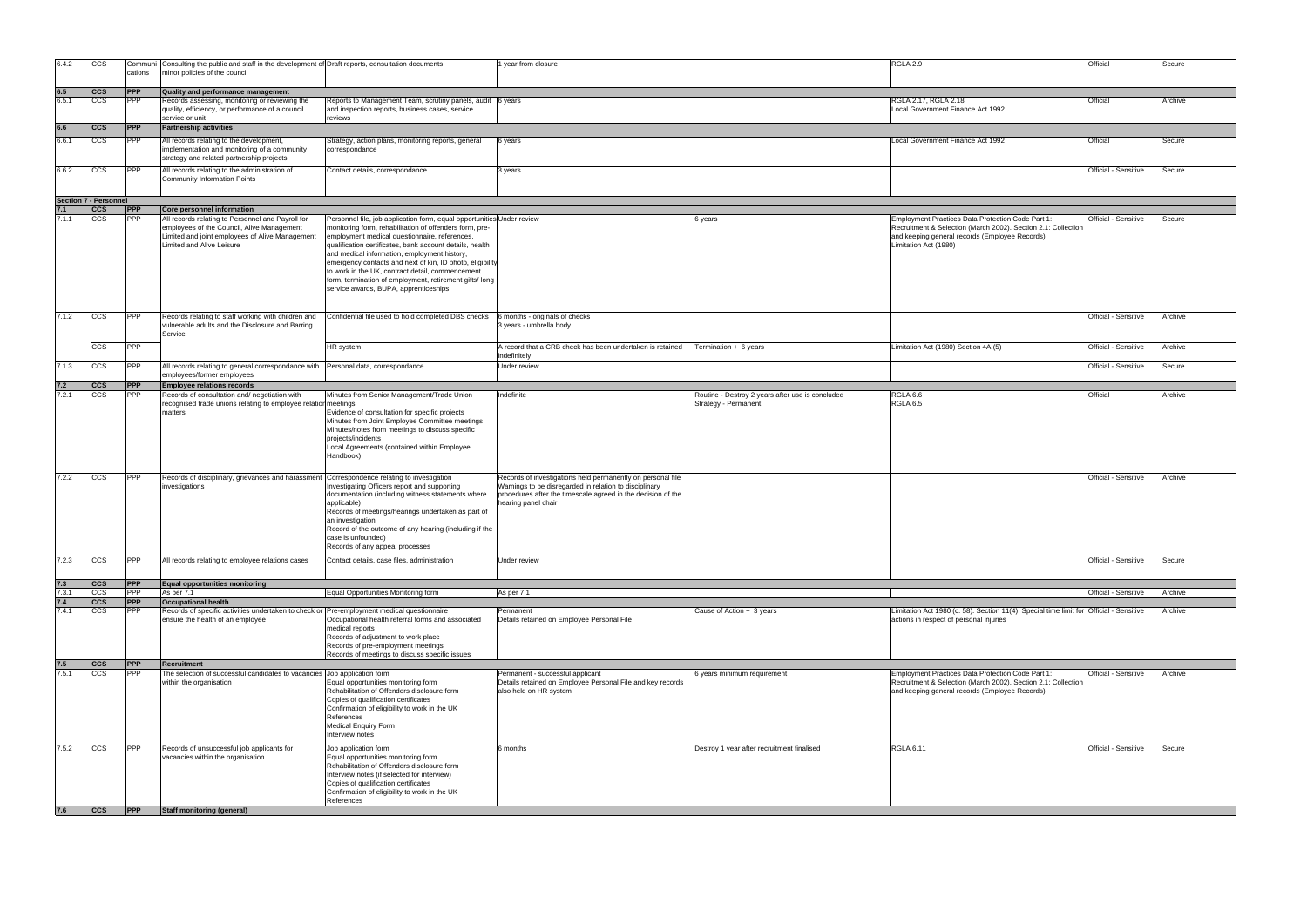| $\lambda 2.9$                                                                                                                                                               | Official             | Secure  |
|-----------------------------------------------------------------------------------------------------------------------------------------------------------------------------|----------------------|---------|
|                                                                                                                                                                             |                      |         |
| 12.17, RGLA 2.18<br>Government Finance Act 1992                                                                                                                             | Official             | Archive |
|                                                                                                                                                                             |                      |         |
| Government Finance Act 1992                                                                                                                                                 | Official             | Secure  |
|                                                                                                                                                                             | Official - Sensitive | Secure  |
|                                                                                                                                                                             |                      |         |
| oyment Practices Data Protection Code Part 1:<br>uitment & Selection (March 2002). Section 2.1: Collection<br>eeping general records (Employee Records)<br>ation Act (1980) | Official - Sensitive | Secure  |
|                                                                                                                                                                             | Official - Sensitive | Archive |
|                                                                                                                                                                             |                      |         |
| ation Act (1980) Section 4A (5)                                                                                                                                             | Official - Sensitive | Archive |
|                                                                                                                                                                             | Official - Sensitive | Secure  |
| ላ 6.6                                                                                                                                                                       | Official             | Archive |
|                                                                                                                                                                             | Official - Sensitive | Archive |
|                                                                                                                                                                             |                      |         |
|                                                                                                                                                                             | Official - Sensitive | Secure  |
|                                                                                                                                                                             | Official - Sensitive | Archive |
| ation Act 1980 (c. 58). Section 11(4): Special time limit for Official - Sensitive<br>ns in respect of personal injuries                                                    |                      | Archive |
| oyment Practices Data Protection Code Part 1:<br>uitment & Selection (March 2002). Section 2.1: Collection<br>eeping general records (Employee Records)                     | Official - Sensitive | Archive |
| \ 6.11                                                                                                                                                                      | Official - Sensitive | Secure  |

| 6.4.2        | <b>CCS</b>                           | Communi<br>cations       | Consulting the public and staff in the development of Draft reports, consultation documents<br>minor policies of the council          |                                                                                                                                                                                                                                                                                                                                                                                                                                           | year from closure                                                                                                                                                                                            |                                                                          | RGLA 2.9                                                                                                                                 | Official             | Secure  |
|--------------|--------------------------------------|--------------------------|---------------------------------------------------------------------------------------------------------------------------------------|-------------------------------------------------------------------------------------------------------------------------------------------------------------------------------------------------------------------------------------------------------------------------------------------------------------------------------------------------------------------------------------------------------------------------------------------|--------------------------------------------------------------------------------------------------------------------------------------------------------------------------------------------------------------|--------------------------------------------------------------------------|------------------------------------------------------------------------------------------------------------------------------------------|----------------------|---------|
| 6.5          | ccs                                  | <b>PPP</b>               | Quality and performance management                                                                                                    |                                                                                                                                                                                                                                                                                                                                                                                                                                           |                                                                                                                                                                                                              |                                                                          |                                                                                                                                          |                      |         |
| 6.5.1        | CCS                                  | <b>PPP</b>               | Records assessing, monitoring or reviewing the<br>quality, efficiency, or performance of a council                                    | Reports to Management Team, scrutiny panels, audit 6 years<br>and inspection reports, business cases, service                                                                                                                                                                                                                                                                                                                             |                                                                                                                                                                                                              |                                                                          | RGLA 2.17, RGLA 2.18<br>Local Government Finance Act 1992                                                                                | Official             | Archive |
| 6.6          | <b>CCS</b>                           | <b>PPP</b>               | service or unit<br><b>Partnership activities</b>                                                                                      | reviews                                                                                                                                                                                                                                                                                                                                                                                                                                   |                                                                                                                                                                                                              |                                                                          |                                                                                                                                          |                      |         |
| 6.6.1        | CCS                                  | <b>PPP</b>               |                                                                                                                                       |                                                                                                                                                                                                                                                                                                                                                                                                                                           |                                                                                                                                                                                                              |                                                                          | Local Government Finance Act 1992                                                                                                        | Official             |         |
|              |                                      |                          | All records relating to the development,<br>implementation and monitoring of a community<br>strategy and related partnership projects | Strategy, action plans, monitoring reports, general<br>correspondance                                                                                                                                                                                                                                                                                                                                                                     | 6 years                                                                                                                                                                                                      |                                                                          |                                                                                                                                          |                      | Secure  |
| 6.6.2        | <b>CCS</b>                           | <b>PPP</b>               | All records relating to the administration of<br><b>Community Information Points</b>                                                  | Contact details, correspondance                                                                                                                                                                                                                                                                                                                                                                                                           | 3 years                                                                                                                                                                                                      |                                                                          |                                                                                                                                          | Official - Sensitive | Secure  |
|              |                                      |                          |                                                                                                                                       |                                                                                                                                                                                                                                                                                                                                                                                                                                           |                                                                                                                                                                                                              |                                                                          |                                                                                                                                          |                      |         |
|              | <b>Section 7 - Personnel</b><br> ccs | <b>PPP</b>               | Core personnel information                                                                                                            |                                                                                                                                                                                                                                                                                                                                                                                                                                           |                                                                                                                                                                                                              |                                                                          |                                                                                                                                          |                      |         |
| 7.1.1        | ccs                                  | <b>PPP</b>               | All records relating to Personnel and Payroll for                                                                                     | Personnel file, job application form, equal opportunities Under review                                                                                                                                                                                                                                                                                                                                                                    |                                                                                                                                                                                                              | 6 years                                                                  | Employment Practices Data Protection Code Part 1:                                                                                        | Official - Sensitive | Secure  |
|              |                                      |                          | employees of the Council, Alive Management<br>Limited and joint employees of Alive Management<br>Limited and Alive Leisure            | monitoring form, rehabilitation of offenders form, pre-<br>employment medical questionnaire, references,<br>qualification certificates, bank account details, health<br>and medical information, employment history,<br>emergency contacts and next of kin, ID photo, eligibility<br>to work in the UK, contract detail, commencement<br>form, termination of employment, retirement gifts/ long<br>service awards, BUPA, apprenticeships |                                                                                                                                                                                                              |                                                                          | Recruitment & Selection (March 2002). Section 2.1: Collection<br>and keeping general records (Employee Records)<br>Limitation Act (1980) |                      |         |
|              |                                      |                          |                                                                                                                                       |                                                                                                                                                                                                                                                                                                                                                                                                                                           |                                                                                                                                                                                                              |                                                                          |                                                                                                                                          |                      |         |
| 7.1.2        | <b>CCS</b>                           | <b>PPP</b>               | Records relating to staff working with children and<br>vulnerable adults and the Disclosure and Barring<br>Service                    | Confidential file used to hold completed DBS checks                                                                                                                                                                                                                                                                                                                                                                                       | 6 months - originals of checks<br>3 years - umbrella body                                                                                                                                                    |                                                                          |                                                                                                                                          | Official - Sensitive | Archive |
|              | CCS                                  | <b>PPP</b>               |                                                                                                                                       | HR system                                                                                                                                                                                                                                                                                                                                                                                                                                 | A record that a CRB check has been undertaken is retained                                                                                                                                                    | Termination + 6 years                                                    | Limitation Act (1980) Section 4A (5)                                                                                                     | Official - Sensitive | Archive |
|              |                                      |                          |                                                                                                                                       |                                                                                                                                                                                                                                                                                                                                                                                                                                           | indefinitely                                                                                                                                                                                                 |                                                                          |                                                                                                                                          |                      |         |
| 7.1.3        | <b>CCS</b>                           | <b>PPP</b>               | All records relating to general correspondance with Personal data, correspondance<br>employees/former employees                       |                                                                                                                                                                                                                                                                                                                                                                                                                                           | Under review                                                                                                                                                                                                 |                                                                          |                                                                                                                                          | Official - Sensitive | Secure  |
| 7.2          | <b>CCS</b>                           | <b>PPP</b>               | <b>Employee relations records</b>                                                                                                     |                                                                                                                                                                                                                                                                                                                                                                                                                                           |                                                                                                                                                                                                              |                                                                          |                                                                                                                                          |                      |         |
| 7.2.1        | CCS                                  | <b>PPP</b>               | Records of consultation and/ negotiation with                                                                                         | Minutes from Senior Management/Trade Union                                                                                                                                                                                                                                                                                                                                                                                                | Indefinite                                                                                                                                                                                                   | Routine - Destroy 2 years after use is concluded<br>Strategy - Permanent | RGLA 6.6                                                                                                                                 | Official             | Archive |
|              |                                      |                          | matters                                                                                                                               | Evidence of consultation for specific projects<br>Minutes from Joint Employee Committee meetings<br>Minutes/notes from meetings to discuss specific<br>projects/incidents<br>Local Agreements (contained within Employee<br>Handbook)                                                                                                                                                                                                     |                                                                                                                                                                                                              |                                                                          |                                                                                                                                          |                      |         |
| 7.2.2        | <b>CCS</b>                           | <b>PPP</b>               | Records of disciplinary, grievances and harassment Correspondence relating to investigation<br>investigations                         | Investigating Officers report and supporting<br>documentation (including witness statements where<br>applicable)<br>Records of meetings/hearings undertaken as part of<br>an investigation<br>Record of the outcome of any hearing (including if the<br>case is unfounded)<br>Records of any appeal processes                                                                                                                             | Records of investigations held permanently on personal file<br>Warnings to be disregarded in relation to disciplinary<br>procedures after the timescale agreed in the decision of the<br>hearing panel chair |                                                                          |                                                                                                                                          | Official - Sensitive | Archive |
| 7.2.3        | <b>CCS</b>                           | <b>PPP</b>               | All records relating to employee relations cases                                                                                      | Contact details, case files, administration                                                                                                                                                                                                                                                                                                                                                                                               | Under review                                                                                                                                                                                                 |                                                                          |                                                                                                                                          | Official - Sensitive | Secure  |
|              |                                      |                          |                                                                                                                                       |                                                                                                                                                                                                                                                                                                                                                                                                                                           |                                                                                                                                                                                                              |                                                                          |                                                                                                                                          |                      |         |
| 7.3          | <b>CCS</b>                           | <b>PPP</b>               | Equal opportunities monitoring                                                                                                        |                                                                                                                                                                                                                                                                                                                                                                                                                                           |                                                                                                                                                                                                              |                                                                          |                                                                                                                                          |                      |         |
| 7.3.1<br>7.4 | CCS<br><b>CCS</b>                    | <b>PPP</b><br><b>PPP</b> | As per 7.1<br><b>Occupational health</b>                                                                                              | Equal Opportunities Monitoring form                                                                                                                                                                                                                                                                                                                                                                                                       | As per 7.1                                                                                                                                                                                                   |                                                                          |                                                                                                                                          | Official - Sensitive | Archive |
| 7.4.1        | CCS                                  | <b>PPP</b>               | Records of specific activities undertaken to check or Pre-employment medical questionnaire<br>ensure the health of an employee        | Occupational health referral forms and associated<br>medical reports<br>Records of adjustment to work place<br>Records of pre-employment meetings<br>Records of meetings to discuss specific issues                                                                                                                                                                                                                                       | Permanent<br>Details retained on Employee Personal File                                                                                                                                                      | Cause of Action + 3 years                                                | Limitation Act 1980 (c. 58). Section 11(4): Special time limit for Official - Sensitive<br>actions in respect of personal injuries       |                      | Archive |
| 7.5<br>7.5.1 | ccs <br>CCS                          | <b>PPP</b><br><b>PPP</b> | <b>Recruitment</b><br>The selection of successful candidates to vacancies Job application form                                        |                                                                                                                                                                                                                                                                                                                                                                                                                                           | Permanent - successful applicant                                                                                                                                                                             | 6 years minimum requirement                                              | Employment Practices Data Protection Code Part 1:                                                                                        | Official - Sensitive | Archive |
|              |                                      |                          | within the organisation                                                                                                               | Equal opportunities monitoring form<br>Rehabilitation of Offenders disclosure form<br>Copies of qualification certificates<br>Confirmation of eligibility to work in the UK<br>References<br>Medical Enquiry Form<br>Interview notes                                                                                                                                                                                                      | Details retained on Employee Personal File and key records<br>also held on HR system                                                                                                                         |                                                                          | Recruitment & Selection (March 2002). Section 2.1: Collection<br>and keeping general records (Employee Records)                          |                      |         |
| 7.5.2        | <b>CCS</b>                           | <b>PPP</b>               | Records of unsuccessful job applicants for<br>vacancies within the organisation                                                       | Job application form<br>Equal opportunities monitoring form<br>Rehabilitation of Offenders disclosure form<br>Interview notes (if selected for interview)<br>Copies of qualification certificates<br>Confirmation of eligibility to work in the UK<br>References                                                                                                                                                                          | 6 months                                                                                                                                                                                                     | Destroy 1 year after recruitment finalised                               | <b>RGLA 6.11</b>                                                                                                                         | Official - Sensitive | Secure  |
| 7.6          | ccs                                  | <b>PPP</b>               | <b>Staff monitoring (general)</b>                                                                                                     |                                                                                                                                                                                                                                                                                                                                                                                                                                           |                                                                                                                                                                                                              |                                                                          |                                                                                                                                          |                      |         |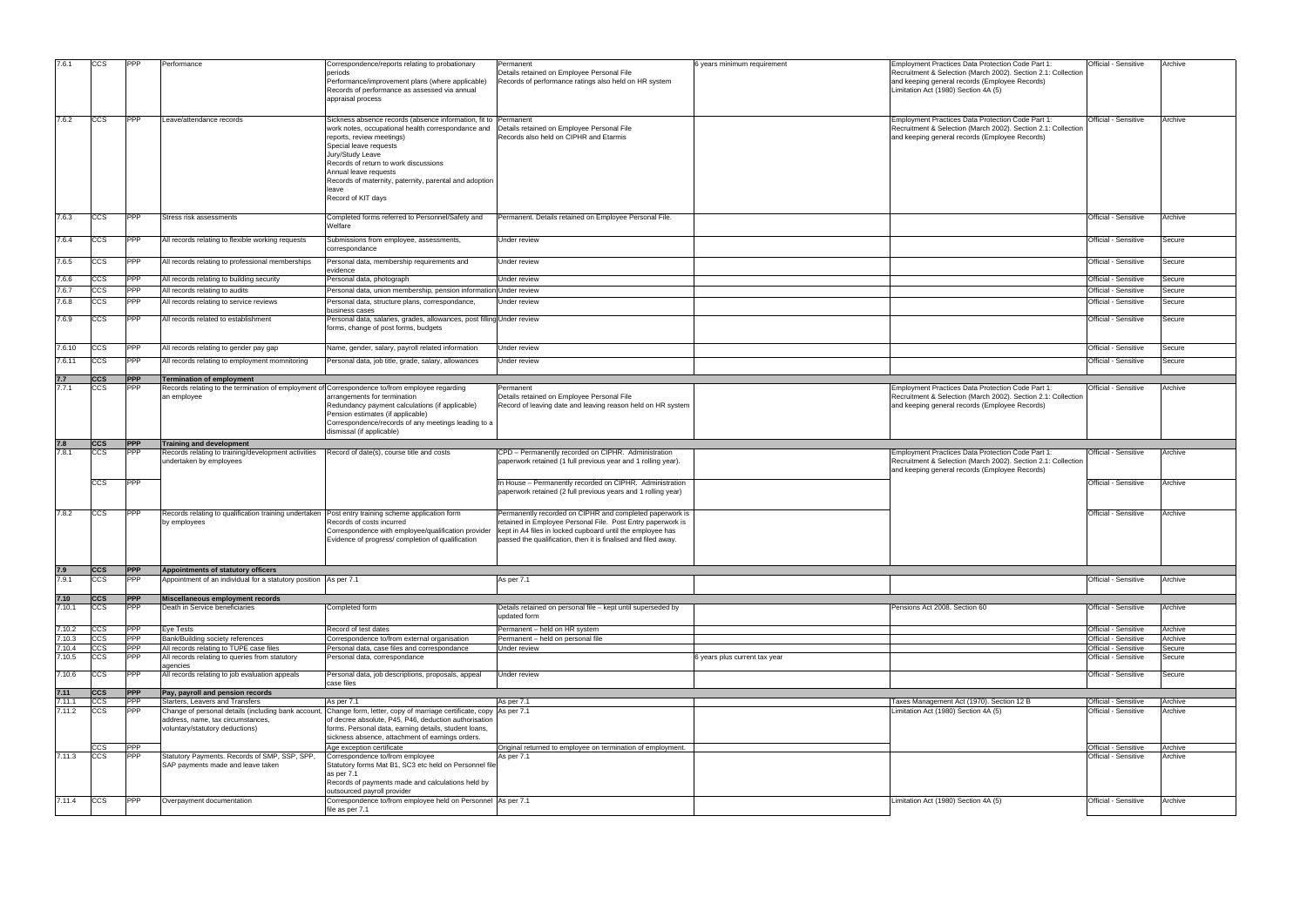| 7.6.1  | <b>CCS</b>  | <b>PPP</b> | Performance                                                                                                   | Correspondence/reports relating to probationary<br>periods<br>Performance/improvement plans (where applicable)<br>Records of performance as assessed via annual<br>appraisal process                                                                                                                                                              | Permanent<br>Details retained on Employee Personal File<br>Records of performance ratings also held on HR system                                                                                                                                        | 6 years minimum requirement   | Employment Practices Data Protection Code Part 1:<br>Recruitment & Selection (March 2002). Section 2.1: Collection<br>and keeping general records (Employee Records)<br>Limitation Act (1980) Section 4A (5) | Official - Sensitive        | Archive |
|--------|-------------|------------|---------------------------------------------------------------------------------------------------------------|---------------------------------------------------------------------------------------------------------------------------------------------------------------------------------------------------------------------------------------------------------------------------------------------------------------------------------------------------|---------------------------------------------------------------------------------------------------------------------------------------------------------------------------------------------------------------------------------------------------------|-------------------------------|--------------------------------------------------------------------------------------------------------------------------------------------------------------------------------------------------------------|-----------------------------|---------|
| 7.6.2  | <b>CCS</b>  | <b>PPP</b> | Leave/attendance records                                                                                      | Sickness absence records (absence information, fit to<br>work notes, occupational health correspondance and<br>reports, review meetings)<br>Special leave requests<br>Jury/Study Leave<br>Records of return to work discussions<br>Annual leave requests<br>Records of maternity, paternity, parental and adoption<br>leave<br>Record of KIT days | Permanent<br>Details retained on Employee Personal File<br>Records also held on CIPHR and Etarmis                                                                                                                                                       |                               | Employment Practices Data Protection Code Part 1:<br>Recruitment & Selection (March 2002). Section 2.1: Collection<br>and keeping general records (Employee Records)                                         | Official - Sensitive        | Archive |
| 7.6.3  | <b>CCS</b>  | <b>PPP</b> | Stress risk assessments                                                                                       | Completed forms referred to Personnel/Safety and<br>Welfare                                                                                                                                                                                                                                                                                       | Permanent. Details retained on Employee Personal File.                                                                                                                                                                                                  |                               |                                                                                                                                                                                                              | Official - Sensitive        | Archive |
| 7.6.4  | <b>CCS</b>  | <b>PPP</b> | All records relating to flexible working requests                                                             | Submissions from employee, assessments,<br>correspondance                                                                                                                                                                                                                                                                                         | Under review                                                                                                                                                                                                                                            |                               |                                                                                                                                                                                                              | Official - Sensitive        | Secure  |
| 7.6.5  | <b>CCS</b>  | <b>PPP</b> | All records relating to professional memberships                                                              | Personal data, membership requirements and<br>evidence                                                                                                                                                                                                                                                                                            | Under review                                                                                                                                                                                                                                            |                               |                                                                                                                                                                                                              | Official - Sensitive        | Secure  |
| 7.6.6  | <b>CCS</b>  | <b>PPP</b> | All records relating to building security                                                                     | Personal data, photograph                                                                                                                                                                                                                                                                                                                         | Under review                                                                                                                                                                                                                                            |                               |                                                                                                                                                                                                              | Official - Sensitive        | Secure  |
| 7.6.7  | <b>CCS</b>  | <b>PPP</b> | All records relating to audits                                                                                | Personal data, union membership, pension information                                                                                                                                                                                                                                                                                              | Under review                                                                                                                                                                                                                                            |                               |                                                                                                                                                                                                              | Official - Sensitive        | Secure  |
| 7.6.8  | <b>CCS</b>  | <b>PPP</b> | All records relating to service reviews                                                                       | Personal data, structure plans, correspondance                                                                                                                                                                                                                                                                                                    | Jnder review                                                                                                                                                                                                                                            |                               |                                                                                                                                                                                                              | Official - Sensitive        | Secure  |
|        |             |            |                                                                                                               | business cases                                                                                                                                                                                                                                                                                                                                    |                                                                                                                                                                                                                                                         |                               |                                                                                                                                                                                                              |                             |         |
| 7.6.9  | <b>CCS</b>  | <b>PPP</b> | All records related to establishment                                                                          | Personal data, salaries, grades, allowances, post filling Under review<br>forms, change of post forms, budgets                                                                                                                                                                                                                                    |                                                                                                                                                                                                                                                         |                               |                                                                                                                                                                                                              | Official - Sensitive        | Secure  |
| 7.6.10 | CCS         | <b>PPP</b> | All records relating to gender pay gap                                                                        | Name, gender, salary, payroll related information                                                                                                                                                                                                                                                                                                 | Under review                                                                                                                                                                                                                                            |                               |                                                                                                                                                                                                              | Official - Sensitive        | Secure  |
| 7.6.11 | ccs         | <b>PPP</b> | All records relating to employment momnitoring                                                                | Personal data, job title, grade, salary, allowances                                                                                                                                                                                                                                                                                               | Under review                                                                                                                                                                                                                                            |                               |                                                                                                                                                                                                              | Official - Sensitive        | Secure  |
|        |             |            |                                                                                                               |                                                                                                                                                                                                                                                                                                                                                   |                                                                                                                                                                                                                                                         |                               |                                                                                                                                                                                                              |                             |         |
| 7.7    | <b>ICCS</b> | <b>PPP</b> | <b>Termination of employment</b>                                                                              |                                                                                                                                                                                                                                                                                                                                                   |                                                                                                                                                                                                                                                         |                               |                                                                                                                                                                                                              |                             |         |
| 7.7.1  | ccs         | <b>PPP</b> | Records relating to the termination of employment of Correspondence to/from employee regarding<br>an employee | arrangements for termination<br>Redundancy payment calculations (if applicable)<br>Pension estimates (if applicable)<br>Correspondence/records of any meetings leading to a<br>dismissal (if applicable)                                                                                                                                          | Permanent<br>Details retained on Employee Personal File<br>Record of leaving date and leaving reason held on HR system                                                                                                                                  |                               | Employment Practices Data Protection Code Part 1:<br>Recruitment & Selection (March 2002). Section 2.1: Collection<br>and keeping general records (Employee Records)                                         | Official - Sensitive        | Archive |
|        |             |            | <b>Training and development</b>                                                                               |                                                                                                                                                                                                                                                                                                                                                   |                                                                                                                                                                                                                                                         |                               |                                                                                                                                                                                                              |                             |         |
| 7.8    | <b>CCS</b>  | <b>PPP</b> |                                                                                                               |                                                                                                                                                                                                                                                                                                                                                   |                                                                                                                                                                                                                                                         |                               |                                                                                                                                                                                                              |                             |         |
| 7.8.1  | <b>CCS</b>  | <b>PPP</b> | Records relating to training/development activities<br>undertaken by employees                                | Record of date(s), course title and costs                                                                                                                                                                                                                                                                                                         | CPD - Permanently recorded on CIPHR. Administration<br>paperwork retained (1 full previous year and 1 rolling year).                                                                                                                                    |                               | Employment Practices Data Protection Code Part 1:<br>Recruitment & Selection (March 2002). Section 2.1: Collection<br>and keeping general records (Employee Records)                                         | Official - Sensitive        | Archive |
|        | <b>CCS</b>  | <b>PPP</b> |                                                                                                               |                                                                                                                                                                                                                                                                                                                                                   | In House - Permanently recorded on CIPHR. Administration<br>paperwork retained (2 full previous years and 1 rolling year)                                                                                                                               |                               |                                                                                                                                                                                                              | <b>Official - Sensitive</b> | Archive |
| 7.8.2  | <b>CCS</b>  | <b>PPP</b> | Records relating to qualification training undertaken<br>by employees                                         | Post entry training scheme application form<br>Records of costs incurred<br>Correspondence with employee/qualification provider<br>Evidence of progress/ completion of qualification                                                                                                                                                              | Permanently recorded on CIPHR and completed paperwork is<br>retained in Employee Personal File. Post Entry paperwork is<br>kept in A4 files in locked cupboard until the employee has<br>passed the qualification, then it is finalised and filed away. |                               |                                                                                                                                                                                                              | Official - Sensitive        | Archive |
|        |             |            |                                                                                                               |                                                                                                                                                                                                                                                                                                                                                   |                                                                                                                                                                                                                                                         |                               |                                                                                                                                                                                                              |                             |         |
| 7.9    | ccs         | <b>PPP</b> | Appointments of statutory officers                                                                            |                                                                                                                                                                                                                                                                                                                                                   |                                                                                                                                                                                                                                                         |                               |                                                                                                                                                                                                              |                             |         |
| 7.9.1  | <b>CCS</b>  | <b>PPP</b> | Appointment of an individual for a statutory position As per 7.1                                              |                                                                                                                                                                                                                                                                                                                                                   | As per 7.1                                                                                                                                                                                                                                              |                               |                                                                                                                                                                                                              | Official - Sensitive        | Archive |
| 7.10   | <b>CCS</b>  | <b>PPP</b> | Miscellaneous employment records                                                                              |                                                                                                                                                                                                                                                                                                                                                   |                                                                                                                                                                                                                                                         |                               |                                                                                                                                                                                                              |                             |         |
| 7.10.1 | ccs         | <b>PPP</b> | Death in Service beneficiaries                                                                                | Completed form                                                                                                                                                                                                                                                                                                                                    | Details retained on personal file - kept until superseded by<br>updated form                                                                                                                                                                            |                               | Pensions Act 2008. Section 60                                                                                                                                                                                | Official - Sensitive        | Archive |
| 7.10.2 | <b>CCS</b>  | <b>PPP</b> | Eye Tests                                                                                                     | Record of test dates                                                                                                                                                                                                                                                                                                                              | Permanent - held on HR system                                                                                                                                                                                                                           |                               |                                                                                                                                                                                                              | Official - Sensitive        | Archive |
| 7.10.3 | <b>CCS</b>  | <b>PPP</b> | Bank/Building society references                                                                              | Correspondence to/from external organisation                                                                                                                                                                                                                                                                                                      | Permanent - held on personal file                                                                                                                                                                                                                       |                               |                                                                                                                                                                                                              | Official - Sensitive        | Archive |
| 7.10.4 | <b>CCS</b>  | <b>PPP</b> | All records relating to TUPE case files                                                                       | Personal data, case files and correspondance                                                                                                                                                                                                                                                                                                      | Under review                                                                                                                                                                                                                                            |                               |                                                                                                                                                                                                              | Official - Sensitive        | Secure  |
| 7.10.5 | <b>CCS</b>  | <b>PPP</b> | All records relating to queries from statutory                                                                | Personal data, correspondance                                                                                                                                                                                                                                                                                                                     |                                                                                                                                                                                                                                                         | 6 years plus current tax year |                                                                                                                                                                                                              | Official - Sensitive        | Secure  |
| 7.10.6 | <b>CCS</b>  | <b>PPP</b> | agencies<br>All records relating to job evaluation appeals                                                    | Personal data, job descriptions, proposals, appeal<br>case files                                                                                                                                                                                                                                                                                  | Under review                                                                                                                                                                                                                                            |                               |                                                                                                                                                                                                              | Official - Sensitive        | Secure  |
| 7.11   | <b>ICCS</b> | <b>PPP</b> | Pay, payroll and pension records                                                                              |                                                                                                                                                                                                                                                                                                                                                   |                                                                                                                                                                                                                                                         |                               |                                                                                                                                                                                                              |                             |         |
| 7.11.1 | <b>CCS</b>  | <b>PPP</b> | Starters, Leavers and Transfers                                                                               | As per 7.1                                                                                                                                                                                                                                                                                                                                        | As per 7.1                                                                                                                                                                                                                                              |                               | Taxes Management Act (1970). Section 12 B                                                                                                                                                                    | Official - Sensitive        | Archive |
| 7.11.2 | <b>CCS</b>  | <b>PPP</b> | address, name, tax circumstances,<br>voluntary/statutory deductions)                                          | Change of personal details (including bank account, Change form, letter, copy of marriage certificate, copy<br>of decree absolute, P45, P46, deduction authorisation<br>forms. Personal data, earning details, student loans,                                                                                                                     | As per 7.1                                                                                                                                                                                                                                              |                               | Limitation Act (1980) Section 4A (5)                                                                                                                                                                         | Official - Sensitive        | Archive |
|        | <b>CCS</b>  | <b>PPP</b> |                                                                                                               | sickness absence, attachment of earnings orders.<br>Age exception certificate                                                                                                                                                                                                                                                                     | Original returned to employee on termination of employment.                                                                                                                                                                                             |                               |                                                                                                                                                                                                              | Official - Sensitive        | Archive |
| 7.11.3 | <b>CCS</b>  | <b>PPP</b> | Statutory Payments. Records of SMP, SSP, SPP,                                                                 | Correspondence to/from employee                                                                                                                                                                                                                                                                                                                   | As per 7.1                                                                                                                                                                                                                                              |                               |                                                                                                                                                                                                              | Official - Sensitive        | Archive |
|        |             |            | SAP payments made and leave taken                                                                             | Statutory forms Mat B1, SC3 etc held on Personnel file<br>as per 7.1<br>Records of payments made and calculations held by<br>outsourced payroll provider                                                                                                                                                                                          |                                                                                                                                                                                                                                                         |                               |                                                                                                                                                                                                              |                             |         |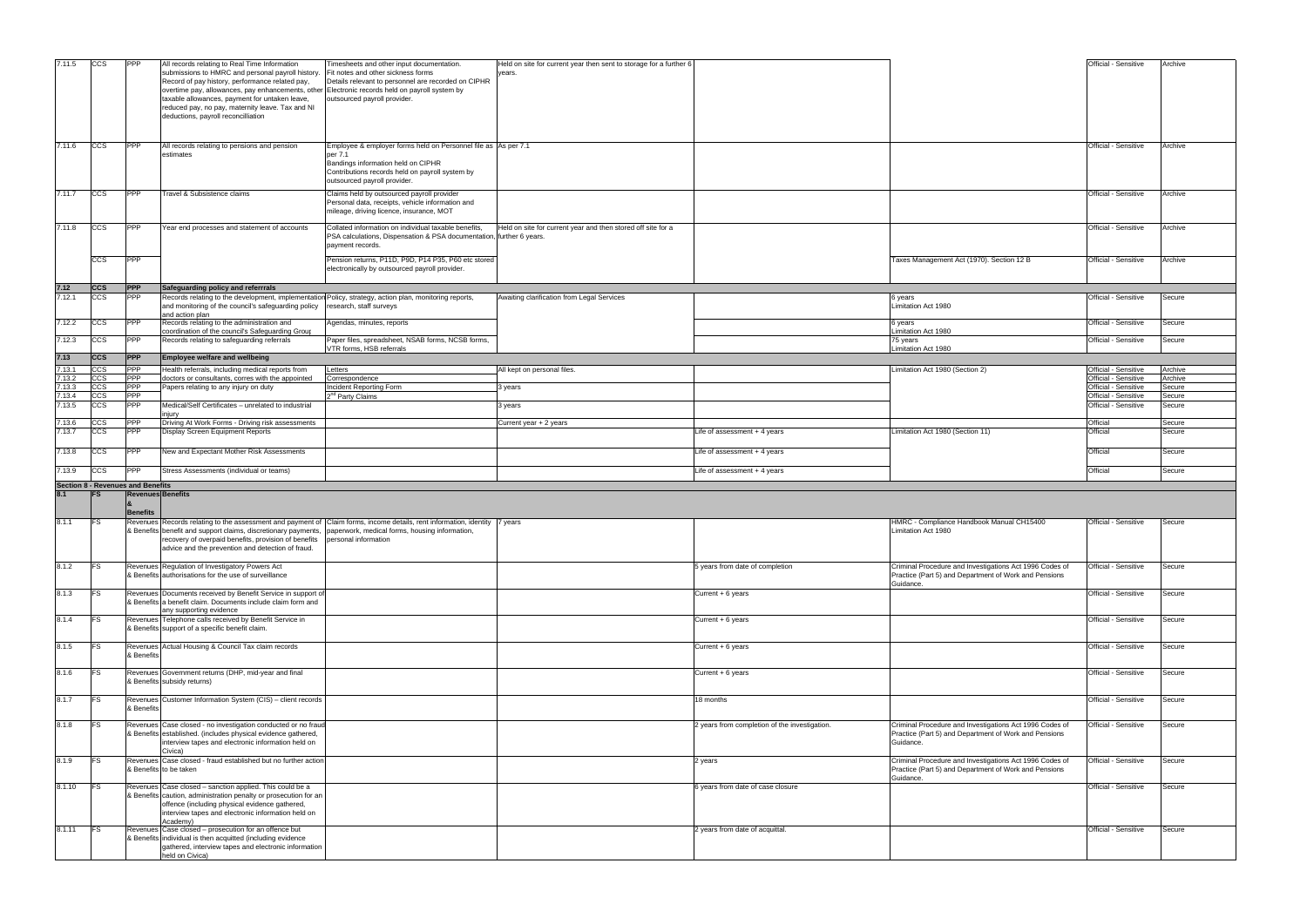| 7.11.5 | CCS                     | <b>PPP</b>                        | All records relating to Real Time Information                                                                 | Timesheets and other input documentation.                                                                                  |                                                                    |                                               |                                                         | Official - Sensitive | Archive |
|--------|-------------------------|-----------------------------------|---------------------------------------------------------------------------------------------------------------|----------------------------------------------------------------------------------------------------------------------------|--------------------------------------------------------------------|-----------------------------------------------|---------------------------------------------------------|----------------------|---------|
|        |                         |                                   | submissions to HMRC and personal payroll history.                                                             | Fit notes and other sickness forms                                                                                         | Held on site for current year then sent to storage for a further 6 |                                               |                                                         |                      |         |
|        |                         |                                   |                                                                                                               |                                                                                                                            | years.                                                             |                                               |                                                         |                      |         |
|        |                         |                                   | Record of pay history, performance related pay,                                                               | Details relevant to personnel are recorded on CIPHR                                                                        |                                                                    |                                               |                                                         |                      |         |
|        |                         |                                   | overtime pay, allowances, pay enhancements, other Electronic records held on payroll system by                |                                                                                                                            |                                                                    |                                               |                                                         |                      |         |
|        |                         |                                   | taxable allowances, payment for untaken leave,                                                                | outsourced payroll provider.                                                                                               |                                                                    |                                               |                                                         |                      |         |
|        |                         |                                   | reduced pay, no pay, maternity leave. Tax and NI                                                              |                                                                                                                            |                                                                    |                                               |                                                         |                      |         |
|        |                         |                                   | deductions, payroll reconcilliation                                                                           |                                                                                                                            |                                                                    |                                               |                                                         |                      |         |
|        |                         |                                   |                                                                                                               |                                                                                                                            |                                                                    |                                               |                                                         |                      |         |
|        |                         |                                   |                                                                                                               |                                                                                                                            |                                                                    |                                               |                                                         |                      |         |
| 7.11.6 |                         | <b>PPP</b>                        |                                                                                                               |                                                                                                                            |                                                                    |                                               |                                                         |                      |         |
|        | CCS                     |                                   | All records relating to pensions and pension                                                                  | Employee & employer forms held on Personnel file as As per 7.1                                                             |                                                                    |                                               |                                                         | Official - Sensitive | Archive |
|        |                         |                                   | estimates                                                                                                     | per 7.1                                                                                                                    |                                                                    |                                               |                                                         |                      |         |
|        |                         |                                   |                                                                                                               | Bandings information held on CIPHR                                                                                         |                                                                    |                                               |                                                         |                      |         |
|        |                         |                                   |                                                                                                               | Contributions records held on payroll system by                                                                            |                                                                    |                                               |                                                         |                      |         |
|        |                         |                                   |                                                                                                               | outsourced payroll provider.                                                                                               |                                                                    |                                               |                                                         |                      |         |
| 7.11.7 | <b>CCS</b>              | <b>PPP</b>                        | Travel & Subsistence claims                                                                                   | Claims held by outsourced payroll provider                                                                                 |                                                                    |                                               |                                                         | Official - Sensitive | Archive |
|        |                         |                                   |                                                                                                               | Personal data, receipts, vehicle information and                                                                           |                                                                    |                                               |                                                         |                      |         |
|        |                         |                                   |                                                                                                               |                                                                                                                            |                                                                    |                                               |                                                         |                      |         |
|        |                         |                                   |                                                                                                               | mileage, driving licence, insurance, MOT                                                                                   |                                                                    |                                               |                                                         |                      |         |
| 7.11.8 | <b>CCS</b>              | PPP                               |                                                                                                               | Collated information on individual taxable benefits,                                                                       | Held on site for current year and then stored off site for a       |                                               |                                                         | Official - Sensitive | Archive |
|        |                         |                                   | Year end processes and statement of accounts                                                                  | PSA calculations, Dispensation & PSA documentation, further 6 years.                                                       |                                                                    |                                               |                                                         |                      |         |
|        |                         |                                   |                                                                                                               |                                                                                                                            |                                                                    |                                               |                                                         |                      |         |
|        |                         |                                   |                                                                                                               | payment records.                                                                                                           |                                                                    |                                               |                                                         |                      |         |
|        | <b>CCS</b>              | PPP                               |                                                                                                               | Pension returns, P11D, P9D, P14 P35, P60 etc stored                                                                        |                                                                    |                                               | Taxes Management Act (1970). Section 12 B               | Official - Sensitive | Archive |
|        |                         |                                   |                                                                                                               | electronically by outsourced payroll provider.                                                                             |                                                                    |                                               |                                                         |                      |         |
|        |                         |                                   |                                                                                                               |                                                                                                                            |                                                                    |                                               |                                                         |                      |         |
|        |                         |                                   |                                                                                                               |                                                                                                                            |                                                                    |                                               |                                                         |                      |         |
| 7.12   | <b>CCS</b>              | <b>PPP</b>                        | Safeguarding policy and referrrals                                                                            |                                                                                                                            |                                                                    |                                               |                                                         |                      |         |
| 7.12.1 | CCS                     | <b>PPP</b>                        | Records relating to the development, implementation Policy, strategy, action plan, monitoring reports,        |                                                                                                                            | Awaiting clarification from Legal Services                         |                                               | 6 years                                                 | Official - Sensitive | Secure  |
|        |                         |                                   | and monitoring of the council's safeguarding policy                                                           | research, staff surveys                                                                                                    |                                                                    |                                               | Limitation Act 1980                                     |                      |         |
|        |                         |                                   | and action plan                                                                                               |                                                                                                                            |                                                                    |                                               |                                                         |                      |         |
| 7.12.2 | CCS                     | <b>PPP</b>                        | Records relating to the administration and                                                                    | Agendas, minutes, reports                                                                                                  |                                                                    |                                               | 6 years                                                 | Official - Sensitive | Secure  |
|        |                         |                                   | coordination of the council's Safeguarding Group                                                              |                                                                                                                            |                                                                    |                                               | imitation Act 1980                                      |                      |         |
| 7.12.3 | ccs                     | <b>PPP</b>                        | Records relating to safeguarding referrals                                                                    | Paper files, spreadsheet, NSAB forms, NCSB forms,                                                                          |                                                                    |                                               | 75 years                                                | Official - Sensitive | Secure  |
|        |                         |                                   |                                                                                                               | VTR forms, HSB referrals                                                                                                   |                                                                    |                                               | imitation Act 1980                                      |                      |         |
| 7.13   | <b>CCS</b>              | <b>PPP</b>                        | Employee welfare and wellbeing                                                                                |                                                                                                                            |                                                                    |                                               |                                                         |                      |         |
|        |                         |                                   |                                                                                                               |                                                                                                                            |                                                                    |                                               |                                                         |                      |         |
| 7.13.1 | CCS                     | <b>PPP</b>                        | Health referrals, including medical reports from                                                              | Letters                                                                                                                    | All kept on personal files.                                        |                                               | Limitation Act 1980 (Section 2)                         | Official - Sensitive | Archive |
| 7.13.2 | $\overline{\text{ccs}}$ | <b>PPP</b>                        | doctors or consultants, corres with the appointed                                                             | Correspondence                                                                                                             |                                                                    |                                               |                                                         | Official - Sensitive | Archive |
| 7.13.3 | CCS                     | PPP                               | Papers relating to any injury on duty                                                                         | Incident Reporting Form                                                                                                    | 3 years                                                            |                                               |                                                         | Official - Sensitive | Secure  |
| 7.13.4 | ccs                     | <b>PPP</b>                        |                                                                                                               | 2 <sup>nd</sup> Party Claims                                                                                               |                                                                    |                                               |                                                         | Official - Sensitive | Secure  |
| 7.13.5 | ccs                     | <b>PPP</b>                        | Medical/Self Certificates - unrelated to industrial                                                           |                                                                                                                            | 3 years                                                            |                                               |                                                         | Official - Sensitive | Secure  |
|        |                         |                                   | injury                                                                                                        |                                                                                                                            |                                                                    |                                               |                                                         |                      |         |
| 7.13.6 | ccs                     | <b>PPP</b>                        | Driving At Work Forms - Driving risk assessments                                                              |                                                                                                                            | Current year + 2 years                                             |                                               |                                                         | Official             | Secure  |
| 7.13.7 | ccs                     | PPP                               | Display Screen Equipment Reports                                                                              |                                                                                                                            |                                                                    | Life of assessment + 4 years                  | imitation Act 1980 (Section 11)                         | Official             | Secure  |
|        |                         |                                   |                                                                                                               |                                                                                                                            |                                                                    |                                               |                                                         |                      |         |
|        |                         |                                   |                                                                                                               |                                                                                                                            |                                                                    |                                               |                                                         |                      |         |
| 7.13.8 | CCS                     | PPP                               | New and Expectant Mother Risk Assessments                                                                     |                                                                                                                            |                                                                    | Life of assessment + 4 years                  |                                                         | Official             | Secure  |
|        |                         |                                   |                                                                                                               |                                                                                                                            |                                                                    |                                               |                                                         |                      |         |
|        |                         | <b>PPP</b>                        | Stress Assessments (individual or teams)                                                                      |                                                                                                                            |                                                                    | Life of assessment $+4$ years                 |                                                         | Official             | Secure  |
| 7.13.9 | CCS                     |                                   |                                                                                                               |                                                                                                                            |                                                                    |                                               |                                                         |                      |         |
|        |                         |                                   |                                                                                                               |                                                                                                                            |                                                                    |                                               |                                                         |                      |         |
|        |                         | Section 8 - Revenues and Benefits |                                                                                                               |                                                                                                                            |                                                                    |                                               |                                                         |                      |         |
| 8.1    |                         | <b>Revenues Benefits</b>          |                                                                                                               |                                                                                                                            |                                                                    |                                               |                                                         |                      |         |
|        |                         |                                   |                                                                                                               |                                                                                                                            |                                                                    |                                               |                                                         |                      |         |
|        |                         | <b>Benefits</b>                   |                                                                                                               |                                                                                                                            |                                                                    |                                               |                                                         |                      |         |
|        | <b>FS</b>               |                                   |                                                                                                               |                                                                                                                            |                                                                    |                                               |                                                         | Official - Sensitive | Secure  |
| 8.1.1  |                         |                                   |                                                                                                               | Revenues Records relating to the assessment and payment of Claim forms, income details, rent information, identity 7 years |                                                                    |                                               | HMRC - Compliance Handbook Manual CH15400               |                      |         |
|        |                         |                                   | & Benefits benefit and support claims, discretionary payments, paperwork, medical forms, housing information, |                                                                                                                            |                                                                    |                                               | Limitation Act 1980                                     |                      |         |
|        |                         |                                   | recovery of overpaid benefits, provision of benefits personal information                                     |                                                                                                                            |                                                                    |                                               |                                                         |                      |         |
|        |                         |                                   | advice and the prevention and detection of fraud.                                                             |                                                                                                                            |                                                                    |                                               |                                                         |                      |         |
|        |                         |                                   |                                                                                                               |                                                                                                                            |                                                                    |                                               |                                                         |                      |         |
| 8.1.2  | <b>FS</b>               |                                   | Revenues Regulation of Investigatory Powers Act                                                               |                                                                                                                            |                                                                    | 5 years from date of completion               | Criminal Procedure and Investigations Act 1996 Codes of | Official - Sensitive | Secure  |
|        |                         |                                   | & Benefits authorisations for the use of surveillance                                                         |                                                                                                                            |                                                                    |                                               | Practice (Part 5) and Department of Work and Pensions   |                      |         |
|        |                         |                                   |                                                                                                               |                                                                                                                            |                                                                    |                                               | Guidance.                                               |                      |         |
| 8.1.3  | <b>FS</b>               |                                   | Revenues Documents received by Benefit Service in support of                                                  |                                                                                                                            |                                                                    | Current + 6 years                             |                                                         | Official - Sensitive | Secure  |
|        |                         |                                   | & Benefits a benefit claim. Documents include claim form and                                                  |                                                                                                                            |                                                                    |                                               |                                                         |                      |         |
|        |                         |                                   | any supporting evidence                                                                                       |                                                                                                                            |                                                                    |                                               |                                                         |                      |         |
| 8.1.4  | IFS.                    |                                   | Revenues Telephone calls received by Benefit Service in                                                       |                                                                                                                            |                                                                    | Current + 6 years                             |                                                         | Official - Sensitive | Secure  |
|        |                         |                                   | & Benefits support of a specific benefit claim.                                                               |                                                                                                                            |                                                                    |                                               |                                                         |                      |         |
|        |                         |                                   |                                                                                                               |                                                                                                                            |                                                                    |                                               |                                                         |                      |         |
|        |                         |                                   |                                                                                                               |                                                                                                                            |                                                                    |                                               |                                                         |                      |         |
| 8.1.5  | <b>FS</b>               |                                   | Revenues Actual Housing & Council Tax claim records                                                           |                                                                                                                            |                                                                    | Current + 6 years                             |                                                         | Official - Sensitive | Secure  |
|        |                         | & Benefits                        |                                                                                                               |                                                                                                                            |                                                                    |                                               |                                                         |                      |         |
|        |                         |                                   |                                                                                                               |                                                                                                                            |                                                                    |                                               |                                                         |                      |         |
| 8.1.6  | <b>FS</b>               |                                   | Revenues Government returns (DHP, mid-year and final                                                          |                                                                                                                            |                                                                    | Current + 6 years                             |                                                         | Official - Sensitive | Secure  |
|        |                         |                                   | & Benefits subsidy returns)                                                                                   |                                                                                                                            |                                                                    |                                               |                                                         |                      |         |
|        |                         |                                   |                                                                                                               |                                                                                                                            |                                                                    |                                               |                                                         |                      |         |
| 8.1.7  | <b>IFS</b>              |                                   | Revenues Customer Information System (CIS) - client records                                                   |                                                                                                                            |                                                                    | 18 months                                     |                                                         | Official - Sensitive | Secure  |
|        |                         | & Benefits                        |                                                                                                               |                                                                                                                            |                                                                    |                                               |                                                         |                      |         |
|        |                         |                                   |                                                                                                               |                                                                                                                            |                                                                    |                                               |                                                         |                      |         |
| 8.1.8  | <b>FS</b>               |                                   | Revenues Case closed - no investigation conducted or no fraud                                                 |                                                                                                                            |                                                                    | 2 years from completion of the investigation. | Criminal Procedure and Investigations Act 1996 Codes of | Official - Sensitive | Secure  |
|        |                         |                                   | & Benefits established. (includes physical evidence gathered,                                                 |                                                                                                                            |                                                                    |                                               | Practice (Part 5) and Department of Work and Pensions   |                      |         |
|        |                         |                                   | interview tapes and electronic information held on                                                            |                                                                                                                            |                                                                    |                                               | Guidance.                                               |                      |         |
|        |                         |                                   | Civica)                                                                                                       |                                                                                                                            |                                                                    |                                               |                                                         |                      |         |
|        |                         |                                   |                                                                                                               |                                                                                                                            |                                                                    |                                               |                                                         |                      |         |
| 8.1.9  | <b>IFS</b>              |                                   | Revenues Case closed - fraud established but no further action                                                |                                                                                                                            |                                                                    | 2 years                                       | Criminal Procedure and Investigations Act 1996 Codes of | Official - Sensitive | Secure  |
|        |                         |                                   | & Benefits to be taken                                                                                        |                                                                                                                            |                                                                    |                                               | Practice (Part 5) and Department of Work and Pensions   |                      |         |
|        |                         |                                   |                                                                                                               |                                                                                                                            |                                                                    |                                               | Guidance.                                               |                      |         |
| 8.1.10 | IFS.                    |                                   | Revenues Case closed - sanction applied. This could be a                                                      |                                                                                                                            |                                                                    | 6 years from date of case closure             |                                                         | Official - Sensitive | Secure  |
|        |                         |                                   | & Benefits caution, administration penalty or prosecution for an                                              |                                                                                                                            |                                                                    |                                               |                                                         |                      |         |
|        |                         |                                   | offence (including physical evidence gathered,                                                                |                                                                                                                            |                                                                    |                                               |                                                         |                      |         |
|        |                         |                                   | interview tapes and electronic information held on                                                            |                                                                                                                            |                                                                    |                                               |                                                         |                      |         |
|        |                         |                                   | Academy)                                                                                                      |                                                                                                                            |                                                                    |                                               |                                                         |                      |         |
| 8.1.11 | <b>IFS</b>              |                                   | Revenues Case closed - prosecution for an offence but                                                         |                                                                                                                            |                                                                    | 2 years from date of acquittal.               |                                                         | Official - Sensitive | Secure  |
|        |                         |                                   | & Benefits individual is then acquitted (including evidence                                                   |                                                                                                                            |                                                                    |                                               |                                                         |                      |         |
|        |                         |                                   | gathered, interview tapes and electronic information<br>held on Civica)                                       |                                                                                                                            |                                                                    |                                               |                                                         |                      |         |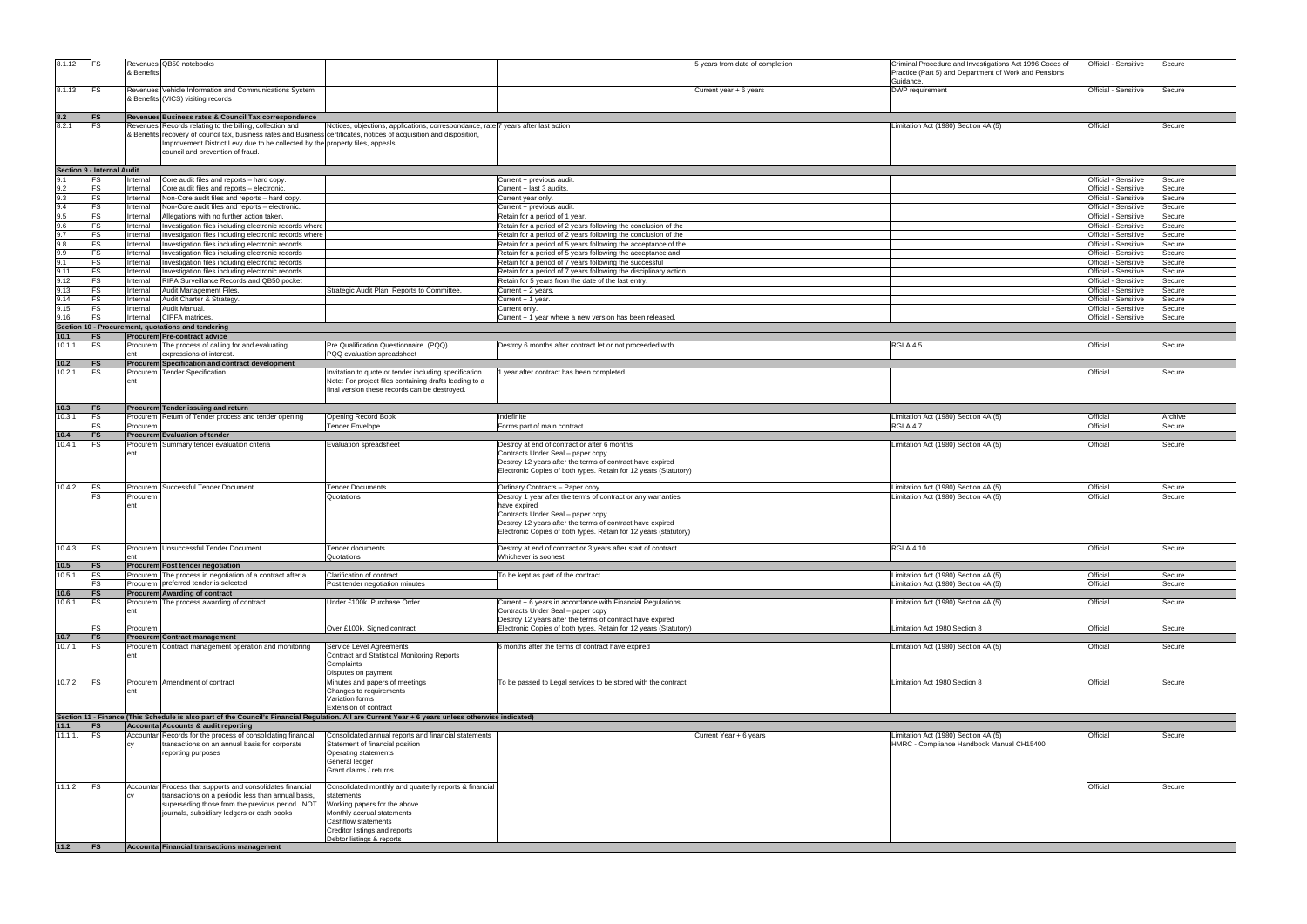| 8.1.12              | <b>IFS</b>                 | & Benefits           | Revenues QB50 notebooks                                                                                                                                                                                                                                                                               |                                                                                                                                                                                                                         | 5 years from date of completion                                                                                                                                                                                                                    | Criminal Procedure and Investigations Act 1996 Codes of<br>Practice (Part 5) and Department of Work and Pensions<br>Guidance. | Official - Sensitive                         | Secure           |
|---------------------|----------------------------|----------------------|-------------------------------------------------------------------------------------------------------------------------------------------------------------------------------------------------------------------------------------------------------------------------------------------------------|-------------------------------------------------------------------------------------------------------------------------------------------------------------------------------------------------------------------------|----------------------------------------------------------------------------------------------------------------------------------------------------------------------------------------------------------------------------------------------------|-------------------------------------------------------------------------------------------------------------------------------|----------------------------------------------|------------------|
| 8.1.13              | <b>IFS</b>                 |                      | Revenues Vehicle Information and Communications System<br>& Benefits (VICS) visiting records                                                                                                                                                                                                          |                                                                                                                                                                                                                         | Current year + 6 years                                                                                                                                                                                                                             | DWP requirement                                                                                                               | Official - Sensitive                         | Secure           |
| $\frac{8.2}{8.2.1}$ | <b>FS</b>                  |                      | Revenues Business rates & Council Tax correspondence                                                                                                                                                                                                                                                  |                                                                                                                                                                                                                         |                                                                                                                                                                                                                                                    |                                                                                                                               |                                              |                  |
|                     | FS                         |                      | Revenues Records relating to the billing, collection and<br>& Benefits recovery of council tax, business rates and Business certificates, notices of acquisition and disposition,<br>Improvement District Levy due to be collected by the property files, appeals<br>council and prevention of fraud. | Notices, objections, applications, correspondance, rate 7 years after last action                                                                                                                                       |                                                                                                                                                                                                                                                    | Limitation Act (1980) Section 4A (5)                                                                                          | Official                                     | Secure           |
|                     | Section 9 - Internal Audit |                      |                                                                                                                                                                                                                                                                                                       |                                                                                                                                                                                                                         |                                                                                                                                                                                                                                                    |                                                                                                                               |                                              |                  |
|                     | lFS                        | nternal              | Core audit files and reports - hard copy.                                                                                                                                                                                                                                                             |                                                                                                                                                                                                                         | Current + previous audit.                                                                                                                                                                                                                          |                                                                                                                               | Official - Sensitive                         | Secure           |
| 9.2                 | <b>FS</b>                  | Internal             | Core audit files and reports - electronic.                                                                                                                                                                                                                                                            |                                                                                                                                                                                                                         | Current + last 3 audits.                                                                                                                                                                                                                           |                                                                                                                               | Official - Sensitive                         | Secure           |
| 9.3<br>9.4          | <b>FS</b><br><b>FS</b>     | nternal<br>nternal   | Non-Core audit files and reports - hard copy.<br>Non-Core audit files and reports - electronic.                                                                                                                                                                                                       |                                                                                                                                                                                                                         | Current year only.<br>Current + previous audit.                                                                                                                                                                                                    |                                                                                                                               | Official - Sensitive<br>Official - Sensitive | Secure<br>Secure |
| 9.5                 | <b>FS</b>                  | nternal              | Allegations with no further action taken.                                                                                                                                                                                                                                                             |                                                                                                                                                                                                                         | Retain for a period of 1 year.                                                                                                                                                                                                                     |                                                                                                                               | Official - Sensitive                         | Secure           |
| 9.6                 | <b>FS</b>                  | nternal              | Investigation files including electronic records where                                                                                                                                                                                                                                                |                                                                                                                                                                                                                         | Retain for a period of 2 years following the conclusion of the                                                                                                                                                                                     |                                                                                                                               | Official - Sensitive                         | Secure           |
| 9.7                 | <b>FS</b>                  | Internal             | Investigation files including electronic records where                                                                                                                                                                                                                                                |                                                                                                                                                                                                                         | Retain for a period of 2 years following the conclusion of the                                                                                                                                                                                     |                                                                                                                               | Official - Sensitive                         | Secure           |
| 9.8                 | <b>FS</b>                  | nternal              | Investigation files including electronic records                                                                                                                                                                                                                                                      |                                                                                                                                                                                                                         | Retain for a period of 5 years following the acceptance of the                                                                                                                                                                                     |                                                                                                                               | Official - Sensitive                         | Secure           |
| 9.9                 | <b>FS</b>                  | nternal              | Investigation files including electronic records                                                                                                                                                                                                                                                      |                                                                                                                                                                                                                         | Retain for a period of 5 years following the acceptance and                                                                                                                                                                                        |                                                                                                                               | Official - Sensitive                         | Secure           |
|                     | <b>FS</b>                  | nternal              | Investigation files including electronic records                                                                                                                                                                                                                                                      |                                                                                                                                                                                                                         | Retain for a period of 7 years following the successful                                                                                                                                                                                            |                                                                                                                               | Official - Sensitive                         | Secure           |
| 9.11                | <b>FS</b>                  | nternal              | Investigation files including electronic records                                                                                                                                                                                                                                                      |                                                                                                                                                                                                                         | Retain for a period of 7 years following the disciplinary action                                                                                                                                                                                   |                                                                                                                               | Official - Sensitive                         | Secure           |
| 9.12<br>9.13        | FS<br><b>FS</b>            | Internal<br>Internal | RIPA Surveillance Records and QB50 pocket<br>Audit Management Files.                                                                                                                                                                                                                                  | Strategic Audit Plan, Reports to Committee                                                                                                                                                                              | Retain for 5 years from the date of the last entry<br>Current + 2 years.                                                                                                                                                                           |                                                                                                                               | Official - Sensitive<br>Official - Sensitive | Secure<br>Secure |
| 9.14                | <b>FS</b>                  | nternal              | Audit Charter & Strategy.                                                                                                                                                                                                                                                                             |                                                                                                                                                                                                                         | Current + 1 year.                                                                                                                                                                                                                                  |                                                                                                                               | Official - Sensitive                         | Secure           |
| 9.15                | <b>FS</b>                  | nternal              | Audit Manual.                                                                                                                                                                                                                                                                                         |                                                                                                                                                                                                                         | Current only                                                                                                                                                                                                                                       |                                                                                                                               | Official - Sensitive                         | Secure           |
| 9.16                | <b>FS</b>                  | nternal              | CIPFA matrices.                                                                                                                                                                                                                                                                                       |                                                                                                                                                                                                                         | Current + 1 year where a new version has been released.                                                                                                                                                                                            |                                                                                                                               | Official - Sensitive                         | Secure           |
|                     |                            |                      | Section 10 - Procurement, quotations and tendering                                                                                                                                                                                                                                                    |                                                                                                                                                                                                                         |                                                                                                                                                                                                                                                    |                                                                                                                               |                                              |                  |
| 10.1                | IFS                        |                      | Procurem Pre-contract advice                                                                                                                                                                                                                                                                          |                                                                                                                                                                                                                         |                                                                                                                                                                                                                                                    |                                                                                                                               |                                              |                  |
| 10.1.1              | <b>IFS</b>                 |                      | Procurem The process of calling for and evaluating                                                                                                                                                                                                                                                    | Pre Qualification Questionnaire (PQQ)                                                                                                                                                                                   | Destroy 6 months after contract let or not proceeded with.                                                                                                                                                                                         | RGLA 4.5                                                                                                                      | Official                                     | Secure           |
| 10.2                | <b>IFS</b>                 | ent                  | expressions of interest.<br>Procurem Specification and contract development                                                                                                                                                                                                                           | PQQ evaluation spreadsheet                                                                                                                                                                                              |                                                                                                                                                                                                                                                    |                                                                                                                               |                                              |                  |
| 10.2.1              | IFS                        |                      | Procurem Tender Specification                                                                                                                                                                                                                                                                         | Invitation to quote or tender including specification.                                                                                                                                                                  | year after contract has been completed                                                                                                                                                                                                             |                                                                                                                               | Official                                     | Secure           |
|                     |                            | ent                  |                                                                                                                                                                                                                                                                                                       | Note: For project files containing drafts leading to a<br>final version these records can be destroyed.                                                                                                                 |                                                                                                                                                                                                                                                    |                                                                                                                               |                                              |                  |
| 10.3                | <b>IFS</b>                 |                      | Procurem Tender issuing and return                                                                                                                                                                                                                                                                    |                                                                                                                                                                                                                         |                                                                                                                                                                                                                                                    |                                                                                                                               |                                              |                  |
| 10.3.1              | <b>FS</b>                  |                      | Procurem Return of Tender process and tender opening                                                                                                                                                                                                                                                  | <b>Opening Record Book</b>                                                                                                                                                                                              | Indefinite                                                                                                                                                                                                                                         | Limitation Act (1980) Section 4A (5)                                                                                          | Official                                     | Archive          |
|                     | FS                         | Procurem             |                                                                                                                                                                                                                                                                                                       | <b>Tender Envelope</b>                                                                                                                                                                                                  | Forms part of main contract                                                                                                                                                                                                                        | RGLA 4.7                                                                                                                      | Official                                     | Secure           |
| 10.4<br>10.4.1      | <b>FS</b><br>FS            |                      | <b>Procurem Evaluation of tender</b><br>Procurem Summary tender evaluation criteria                                                                                                                                                                                                                   | Evaluation spreadsheet                                                                                                                                                                                                  | Destroy at end of contract or after 6 months                                                                                                                                                                                                       | Limitation Act (1980) Section 4A (5)                                                                                          | Official                                     | Secure           |
|                     |                            |                      |                                                                                                                                                                                                                                                                                                       |                                                                                                                                                                                                                         | Contracts Under Seal - paper copy<br>Destroy 12 years after the terms of contract have expired<br>Electronic Copies of both types. Retain for 12 years (Statutory)                                                                                 |                                                                                                                               |                                              |                  |
| 10.4.2              | FS                         |                      | Procurem Successful Tender Document                                                                                                                                                                                                                                                                   | <b>Fender Documents</b>                                                                                                                                                                                                 | Ordinary Contracts - Paper copy                                                                                                                                                                                                                    | imitation Act (1980) Section 4A (5)                                                                                           | Official                                     | Secure           |
|                     |                            | Procurem<br>ent      |                                                                                                                                                                                                                                                                                                       | Quotations                                                                                                                                                                                                              | Destroy 1 year after the terms of contract or any warranties<br>have expired<br>Contracts Under Seal - paper copy<br>Destroy 12 years after the terms of contract have expired<br>Electronic Copies of both types. Retain for 12 years (statutory) | imitation Act (1980) Section 4A (5).                                                                                          | Official                                     | Secure           |
| 10.4.3 FS           |                            |                      | Procurem Unsuccessful Tender Document                                                                                                                                                                                                                                                                 | Tender documents                                                                                                                                                                                                        | Destroy at end of contract or 3 years after start of contract.                                                                                                                                                                                     | RGLA 4.10                                                                                                                     | Official                                     | Secure           |
| 10.5                |                            | ent                  |                                                                                                                                                                                                                                                                                                       | Quotations                                                                                                                                                                                                              | Whichever is soonest,                                                                                                                                                                                                                              |                                                                                                                               |                                              |                  |
| 10.5.1              | <b>FS</b><br>FS            |                      | Procurem Post tender negotiation<br>Procurem The process in negotiation of a contract after a                                                                                                                                                                                                         | Clarification of contract                                                                                                                                                                                               | To be kept as part of the contract                                                                                                                                                                                                                 | Limitation Act (1980) Section 4A (5)                                                                                          | Official                                     | Secure           |
|                     | <b>FS</b>                  |                      | Procurem preferred tender is selected                                                                                                                                                                                                                                                                 | Post tender negotiation minutes                                                                                                                                                                                         |                                                                                                                                                                                                                                                    | Limitation Act (1980) Section 4A (5)                                                                                          | Official                                     | Secure           |
| 10.6                | <b>FS</b>                  |                      | <b>Procurem Awarding of contract</b>                                                                                                                                                                                                                                                                  |                                                                                                                                                                                                                         |                                                                                                                                                                                                                                                    |                                                                                                                               |                                              |                  |
| 10.6.1              | FS                         |                      | Procurem The process awarding of contract                                                                                                                                                                                                                                                             | Jnder £100k. Purchase Order                                                                                                                                                                                             | Current + 6 years in accordance with Financial Regulations<br>Contracts Under Seal - paper copy<br>Destroy 12 years after the terms of contract have expired                                                                                       | imitation Act (1980) Section 4A (5)                                                                                           | Official                                     | Secure           |
|                     | FS                         | Procurem             |                                                                                                                                                                                                                                                                                                       | Over £100k. Signed contract                                                                                                                                                                                             | Electronic Copies of both types. Retain for 12 years (Statutory)                                                                                                                                                                                   | Limitation Act 1980 Section 8                                                                                                 | Official                                     | Secure           |
| 10.7<br>10.7.1      | <b>FS</b><br><b>IFS</b>    |                      | Procurem Contract management<br>Procurem Contract management operation and monitoring                                                                                                                                                                                                                 | Service Level Agreements                                                                                                                                                                                                | 6 months after the terms of contract have expired                                                                                                                                                                                                  | imitation Act (1980) Section 4A (5)                                                                                           | Official                                     | Secure           |
|                     |                            | ent                  |                                                                                                                                                                                                                                                                                                       | Contract and Statistical Monitoring Reports<br>Complaints<br>Disputes on payment                                                                                                                                        |                                                                                                                                                                                                                                                    |                                                                                                                               |                                              |                  |
| 10.7.2              | <b>FS</b>                  |                      | Procurem Amendment of contract                                                                                                                                                                                                                                                                        | Minutes and papers of meetings<br>Changes to requirements<br>Variation forms<br>Extension of contract                                                                                                                   | To be passed to Legal services to be stored with the contract.                                                                                                                                                                                     | Limitation Act 1980 Section 8                                                                                                 | Official                                     | Secure           |
|                     |                            |                      |                                                                                                                                                                                                                                                                                                       | Section 11 - Finance (This Schedule is also part of the Council's Financial Regulation. All are Current Year + 6 years unless otherwise indicated)                                                                      |                                                                                                                                                                                                                                                    |                                                                                                                               |                                              |                  |
| 11.1                | <b>IFS</b>                 |                      | <b>Accounta Accounts &amp; audit reporting</b>                                                                                                                                                                                                                                                        |                                                                                                                                                                                                                         |                                                                                                                                                                                                                                                    |                                                                                                                               |                                              |                  |
| 11.1.1.             | <b>IFS</b>                 | CV                   | Accountan Records for the process of consolidating financial<br>transactions on an annual basis for corporate<br>reporting purposes                                                                                                                                                                   | Consolidated annual reports and financial statements<br>Statement of financial position<br>Operating statements<br>General ledger<br>Grant claims / returns                                                             | Current Year + 6 years                                                                                                                                                                                                                             | imitation Act (1980) Section 4A (5)<br>HMRC - Compliance Handbook Manual CH15400                                              | Official                                     | Secure           |
| 11.1.2              | <b>IFS</b>                 |                      | Accountan Process that supports and consolidates financial<br>transactions on a periodic less than annual basis,<br>superseding those from the previous period. NOT<br>journals, subsidiary ledgers or cash books                                                                                     | Consolidated monthly and quarterly reports & financial<br>statements<br>Working papers for the above<br>Monthly accrual statements<br>Cashflow statements<br>Creditor listings and reports<br>Debtor listings & reports |                                                                                                                                                                                                                                                    |                                                                                                                               | Official                                     | Secure           |
| 11.2                | FS                         |                      | Accounta Financial transactions management                                                                                                                                                                                                                                                            |                                                                                                                                                                                                                         |                                                                                                                                                                                                                                                    |                                                                                                                               |                                              |                  |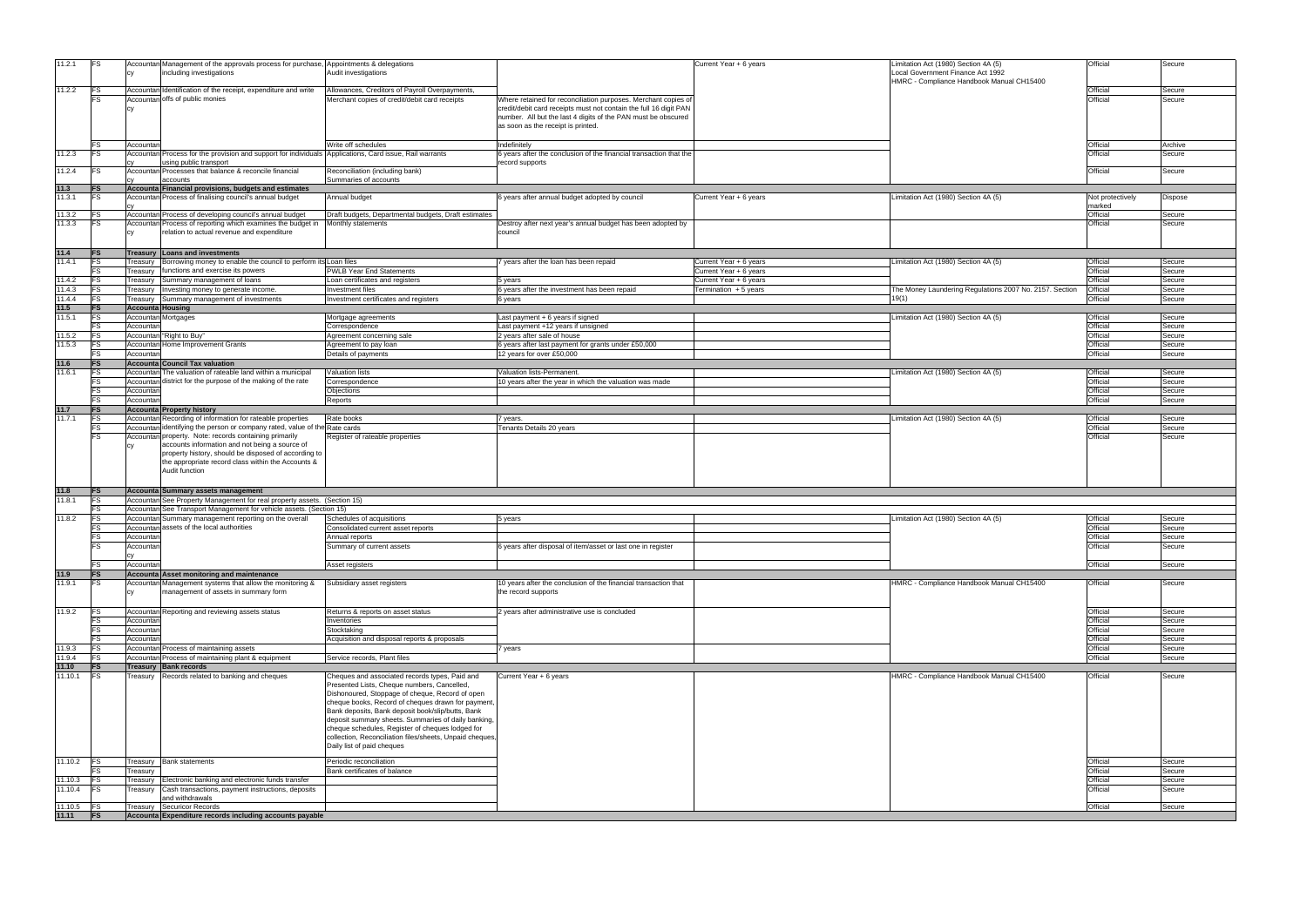| 11.2.1           |                         | Accountan Management of the approvals process for purchase, Appointments & delegations          |                                                         |                                                                    | Current Year + 6 years | imitation Act (1980) Section 4A (5)                     | Official         | Secure  |
|------------------|-------------------------|-------------------------------------------------------------------------------------------------|---------------------------------------------------------|--------------------------------------------------------------------|------------------------|---------------------------------------------------------|------------------|---------|
|                  |                         | including investigations                                                                        | Audit investigations                                    |                                                                    |                        | Local Government Finance Act 1992                       |                  |         |
|                  |                         |                                                                                                 |                                                         |                                                                    |                        | HMRC - Compliance Handbook Manual CH15400               |                  |         |
| 11.2.2           | FS                      | Accountan Identification of the receipt, expenditure and write                                  | Allowances, Creditors of Payroll Overpayments,          |                                                                    |                        |                                                         | Official         | Secure  |
|                  |                         |                                                                                                 |                                                         |                                                                    |                        |                                                         |                  |         |
|                  |                         | Accountan offs of public monies                                                                 | Merchant copies of credit/debit card receipts           | Where retained for reconciliation purposes. Merchant copies of     |                        |                                                         | Official         | Secure  |
|                  |                         |                                                                                                 |                                                         | credit/debit card receipts must not contain the full 16 digit PAN  |                        |                                                         |                  |         |
|                  |                         |                                                                                                 |                                                         | number. All but the last 4 digits of the PAN must be obscured      |                        |                                                         |                  |         |
|                  |                         |                                                                                                 |                                                         |                                                                    |                        |                                                         |                  |         |
|                  |                         |                                                                                                 |                                                         | as soon as the receipt is printed.                                 |                        |                                                         |                  |         |
|                  |                         |                                                                                                 |                                                         |                                                                    |                        |                                                         |                  |         |
|                  |                         |                                                                                                 |                                                         |                                                                    |                        |                                                         |                  |         |
|                  |                         | Accountar                                                                                       | Write off schedules                                     | Indefinitely                                                       |                        |                                                         | Official         | Archive |
| 11.2.3           | IF.                     | Accountan Process for the provision and support for individuals                                 | Applications, Card issue, Rail warrants                 | 6 years after the conclusion of the financial transaction that the |                        |                                                         | Official         | Secure  |
|                  |                         | using public transport                                                                          |                                                         | record supports                                                    |                        |                                                         |                  |         |
| 11.2.4           | IFS                     | Accountan Processes that balance & reconcile financial                                          | Reconciliation (including bank)                         |                                                                    |                        |                                                         | Official         | Secure  |
|                  |                         |                                                                                                 |                                                         |                                                                    |                        |                                                         |                  |         |
|                  |                         | accounts                                                                                        | Summaries of accounts                                   |                                                                    |                        |                                                         |                  |         |
| 11.3             | <b>IFS</b>              | Accounta Financial provisions, budgets and estimates                                            |                                                         |                                                                    |                        |                                                         |                  |         |
| 11.3.1           | IFS                     | Accountan Process of finalising council's annual budget                                         | Annual budget                                           | 6 years after annual budget adopted by council                     | Current Year + 6 years | Limitation Act (1980) Section 4A (5)                    | Not protectively | Dispose |
|                  |                         |                                                                                                 |                                                         |                                                                    |                        |                                                         |                  |         |
|                  |                         |                                                                                                 |                                                         |                                                                    |                        |                                                         | marked           |         |
| 11.3.2           |                         | Accountan Process of developing council's annual budget                                         | Draft budgets, Departmental budgets, Draft estimates    |                                                                    |                        |                                                         | Official         | Secure  |
| 11.3.3           |                         | Accountan Process of reporting which examines the budget in                                     | Monthly statements                                      | Destroy after next year's annual budget has been adopted by        |                        |                                                         | Official         | Secure  |
|                  |                         | relation to actual revenue and expenditure                                                      |                                                         | council                                                            |                        |                                                         |                  |         |
|                  |                         |                                                                                                 |                                                         |                                                                    |                        |                                                         |                  |         |
|                  |                         |                                                                                                 |                                                         |                                                                    |                        |                                                         |                  |         |
| 11.4             | <b>IFS</b>              | Treasury Loans and investments                                                                  |                                                         |                                                                    |                        |                                                         |                  |         |
|                  |                         |                                                                                                 |                                                         |                                                                    |                        |                                                         |                  |         |
| 11.4.1           |                         | reasury Borrowing money to enable the council to perform its Loan files                         |                                                         | 7 years after the loan has been repaid                             | Current Year + 6 years | Limitation Act (1980) Section 4A (5)                    | Official         | Secure  |
|                  |                         | functions and exercise its powers<br>reasury                                                    | <b>PWLB Year End Statements</b>                         |                                                                    | Current Year + 6 years |                                                         | Official         | Secure  |
|                  |                         |                                                                                                 |                                                         |                                                                    |                        |                                                         | Official         |         |
| 11.4.2           | <b>IFS</b>              | Summary management of loans<br>reasury                                                          | Loan certificates and registers                         | 5 years                                                            | Current Year + 6 years |                                                         |                  | Secure  |
| 11.4.3           |                         | Investing money to generate income.<br>reasury                                                  | Investment files                                        | 6 years after the investment has been repaid                       | Termination + 5 years  | The Money Laundering Regulations 2007 No. 2157. Section | Official         | Secure  |
| 11.4.4           | <b>FS</b>               | Summary management of investments<br>reasury                                                    | Investment certificates and registers                   | 6 years                                                            |                        | 19(1)                                                   | Official         | Secure  |
|                  |                         |                                                                                                 |                                                         |                                                                    |                        |                                                         |                  |         |
| 11.5             | IFS                     | <b>Accounta Housing</b>                                                                         |                                                         |                                                                    |                        |                                                         |                  |         |
| 11.5.1           |                         | Accountan Mortgages                                                                             | Mortgage agreements                                     | Last payment + 6 years if signed                                   |                        | Limitation Act (1980) Section 4A (5)                    | Official         | Secure  |
|                  |                         | Accountan                                                                                       | Correspondence                                          | Last payment +12 years if unsigned                                 |                        |                                                         | Official         | Secure  |
|                  |                         |                                                                                                 |                                                         |                                                                    |                        |                                                         |                  |         |
| 11.5.2           |                         | Accountan "Right to Buy"                                                                        | Agreement concerning sale                               | 2 years after sale of house                                        |                        |                                                         | Official         | Secure  |
| 11.5.3           |                         | Accountan Home Improvement Grants                                                               | Agreement to pay loan                                   | 6 years after last payment for grants under £50,000                |                        |                                                         | Official         | Secure  |
|                  |                         |                                                                                                 |                                                         | 12 years for over £50,000                                          |                        |                                                         | Official         | Secure  |
|                  |                         | Accountan                                                                                       | Details of payments                                     |                                                                    |                        |                                                         |                  |         |
| 11.6             | <b>IFS</b>              | <b>Accounta Council Tax valuation</b>                                                           |                                                         |                                                                    |                        |                                                         |                  |         |
| 11.6.1           | <b>FS</b>               | Accountan The valuation of rateable land within a municipal                                     | <b>Valuation lists</b>                                  | Valuation lists-Permanent.                                         |                        | Limitation Act (1980) Section 4A (5)                    | Official         | Secure  |
|                  |                         |                                                                                                 |                                                         |                                                                    |                        |                                                         |                  |         |
|                  | <b>FS</b>               | Accountan district for the purpose of the making of the rate                                    | Correspondence                                          | 10 years after the year in which the valuation was made            |                        |                                                         | Official         | Secure  |
|                  | FS                      | Accountan                                                                                       | Objections                                              |                                                                    |                        |                                                         | Official         | Secure  |
|                  |                         | Accountan                                                                                       | Reports                                                 |                                                                    |                        |                                                         | Official         | Secure  |
|                  |                         |                                                                                                 |                                                         |                                                                    |                        |                                                         |                  |         |
| 11.7             | <b>FS</b>               | <b>Accounta Property history</b>                                                                |                                                         |                                                                    |                        |                                                         |                  |         |
| 11.7.1           | <b>FS</b>               | Accountan Recording of information for rateable properties                                      | Rate books                                              | 7 years.                                                           |                        | Limitation Act (1980) Section 4A (5)                    | Official         | Secure  |
|                  | FS                      | Accountan identifying the person or company rated, value of the Rate cards                      |                                                         | Tenants Details 20 years                                           |                        |                                                         | Official         | Secure  |
|                  |                         |                                                                                                 |                                                         |                                                                    |                        |                                                         |                  |         |
|                  |                         | Accountan property. Note: records containing primarily                                          | Register of rateable properties                         |                                                                    |                        |                                                         | Official         | Secure  |
|                  |                         | accounts information and not being a source of                                                  |                                                         |                                                                    |                        |                                                         |                  |         |
|                  |                         | property history, should be disposed of according to                                            |                                                         |                                                                    |                        |                                                         |                  |         |
|                  |                         |                                                                                                 |                                                         |                                                                    |                        |                                                         |                  |         |
|                  |                         | the appropriate record class within the Accounts &                                              |                                                         |                                                                    |                        |                                                         |                  |         |
|                  |                         | Audit function                                                                                  |                                                         |                                                                    |                        |                                                         |                  |         |
|                  |                         |                                                                                                 |                                                         |                                                                    |                        |                                                         |                  |         |
|                  |                         |                                                                                                 |                                                         |                                                                    |                        |                                                         |                  |         |
| 11.8             | <b>FS</b>               | Accounta Summary assets management                                                              |                                                         |                                                                    |                        |                                                         |                  |         |
| 11.8.1           | <b>FS</b>               | Accountan See Property Management for real property assets. (Section 15)                        |                                                         |                                                                    |                        |                                                         |                  |         |
|                  | <b>FS</b>               | Accountan See Transport Management for vehicle assets. (Section 15)                             |                                                         |                                                                    |                        |                                                         |                  |         |
|                  |                         |                                                                                                 |                                                         |                                                                    |                        |                                                         |                  |         |
| 11.8.2           | FS                      | Accountan Summary management reporting on the overall                                           | Schedules of acquisitions                               | 5 years                                                            |                        | Limitation Act (1980) Section 4A (5)                    | Official         | Secure  |
|                  |                         | Accountan assets of the local authorities                                                       | Consolidated current asset reports                      |                                                                    |                        |                                                         | Official         | Secure  |
|                  | FS                      | Accountan                                                                                       | Annual reports                                          |                                                                    |                        |                                                         | Official         | Secure  |
|                  |                         |                                                                                                 |                                                         |                                                                    |                        |                                                         |                  |         |
|                  |                         | <b>ccounta</b>                                                                                  | Summary of current assets                               | 6 years after disposal of item/asset or last one in register       |                        |                                                         | Official         | oecure  |
|                  |                         |                                                                                                 |                                                         |                                                                    |                        |                                                         |                  |         |
|                  | <b>FS</b>               |                                                                                                 |                                                         |                                                                    |                        |                                                         | Official         |         |
|                  |                         | Accountan                                                                                       | Asset registers                                         |                                                                    |                        |                                                         |                  | Secure  |
| 11.9             | <b>FS</b>               | Accounta Asset monitoring and maintenance                                                       |                                                         |                                                                    |                        |                                                         |                  |         |
| 11.9.1           | <b>FS</b>               | Accountan Management systems that allow the monitoring &                                        | Subsidiary asset registers                              | 10 years after the conclusion of the financial transaction that    |                        | HMRC - Compliance Handbook Manual CH15400               | Official         | Secure  |
|                  |                         | management of assets in summary form                                                            |                                                         |                                                                    |                        |                                                         |                  |         |
|                  |                         | CV                                                                                              |                                                         | the record supports                                                |                        |                                                         |                  |         |
|                  |                         |                                                                                                 |                                                         |                                                                    |                        |                                                         |                  |         |
| 11.9.2           | <b>FS</b>               | Accountan Reporting and reviewing assets status                                                 | Returns & reports on asset status                       | 2 years after administrative use is concluded                      |                        |                                                         | Official         | Secure  |
|                  |                         |                                                                                                 |                                                         |                                                                    |                        |                                                         |                  |         |
|                  | <b>FS</b>               | Accountan                                                                                       | Inventories                                             |                                                                    |                        |                                                         | Official         | Secure  |
|                  | FS                      | Accountan                                                                                       | Stocktaking                                             |                                                                    |                        |                                                         | Official         | Secure  |
|                  |                         | Accountan                                                                                       | Acquisition and disposal reports & proposals            |                                                                    |                        |                                                         | Official         | Secure  |
|                  |                         |                                                                                                 |                                                         |                                                                    |                        |                                                         |                  |         |
| 11.9.3           | FS                      | Accountan Process of maintaining assets                                                         |                                                         | 7 years                                                            |                        |                                                         | Official         | Secure  |
| 11.9.4           | FS                      | Accountan Process of maintaining plant & equipment                                              | Service records, Plant files                            |                                                                    |                        |                                                         | Official         | Secure  |
| 11.10            | <b>FS</b>               | Treasury Bank records                                                                           |                                                         |                                                                    |                        |                                                         |                  |         |
|                  |                         |                                                                                                 |                                                         |                                                                    |                        |                                                         |                  |         |
| 11.10.1          | <b>FS</b>               | Treasury Records related to banking and cheques                                                 | Cheques and associated records types, Paid and          | Current Year + 6 years                                             |                        | HMRC - Compliance Handbook Manual CH15400               | Official         | Secure  |
|                  |                         |                                                                                                 | Presented Lists, Cheque numbers, Cancelled,             |                                                                    |                        |                                                         |                  |         |
|                  |                         |                                                                                                 | Dishonoured, Stoppage of cheque, Record of open         |                                                                    |                        |                                                         |                  |         |
|                  |                         |                                                                                                 |                                                         |                                                                    |                        |                                                         |                  |         |
|                  |                         |                                                                                                 | cheque books, Record of cheques drawn for payment,      |                                                                    |                        |                                                         |                  |         |
|                  |                         |                                                                                                 | Bank deposits, Bank deposit book/slip/butts, Bank       |                                                                    |                        |                                                         |                  |         |
|                  |                         |                                                                                                 | deposit summary sheets. Summaries of daily banking,     |                                                                    |                        |                                                         |                  |         |
|                  |                         |                                                                                                 |                                                         |                                                                    |                        |                                                         |                  |         |
|                  |                         |                                                                                                 | cheque schedules, Register of cheques lodged for        |                                                                    |                        |                                                         |                  |         |
|                  |                         |                                                                                                 | collection, Reconciliation files/sheets, Unpaid cheques |                                                                    |                        |                                                         |                  |         |
|                  |                         |                                                                                                 |                                                         |                                                                    |                        |                                                         |                  |         |
|                  |                         |                                                                                                 | Daily list of paid cheques                              |                                                                    |                        |                                                         |                  |         |
|                  |                         |                                                                                                 |                                                         |                                                                    |                        |                                                         |                  |         |
| 11.10.2          |                         |                                                                                                 |                                                         |                                                                    |                        |                                                         |                  |         |
|                  | <b>IFS</b>              | <b>Treasury</b> Bank statements                                                                 | Periodic reconciliation                                 |                                                                    |                        |                                                         | Official         | Secure  |
|                  |                         |                                                                                                 |                                                         |                                                                    |                        |                                                         |                  |         |
|                  |                         | Treasury                                                                                        | Bank certificates of balance                            |                                                                    |                        |                                                         | Official         | Secure  |
| 11.10.3          |                         | Electronic banking and electronic funds transfer<br>reasury                                     |                                                         |                                                                    |                        |                                                         | Official         | Secure  |
| 11.10.4          | FS                      | Cash transactions, payment instructions, deposits<br>reasury                                    |                                                         |                                                                    |                        |                                                         | Official         | Secure  |
|                  |                         |                                                                                                 |                                                         |                                                                    |                        |                                                         |                  |         |
|                  |                         | and withdrawals                                                                                 |                                                         |                                                                    |                        |                                                         |                  |         |
| 11.10.5<br>11.11 | <b>IFS</b><br><b>FS</b> | <b>Securicor Records</b><br>Treasury<br>Accounta Expenditure records including accounts payable |                                                         |                                                                    |                        |                                                         | Official         | Secure  |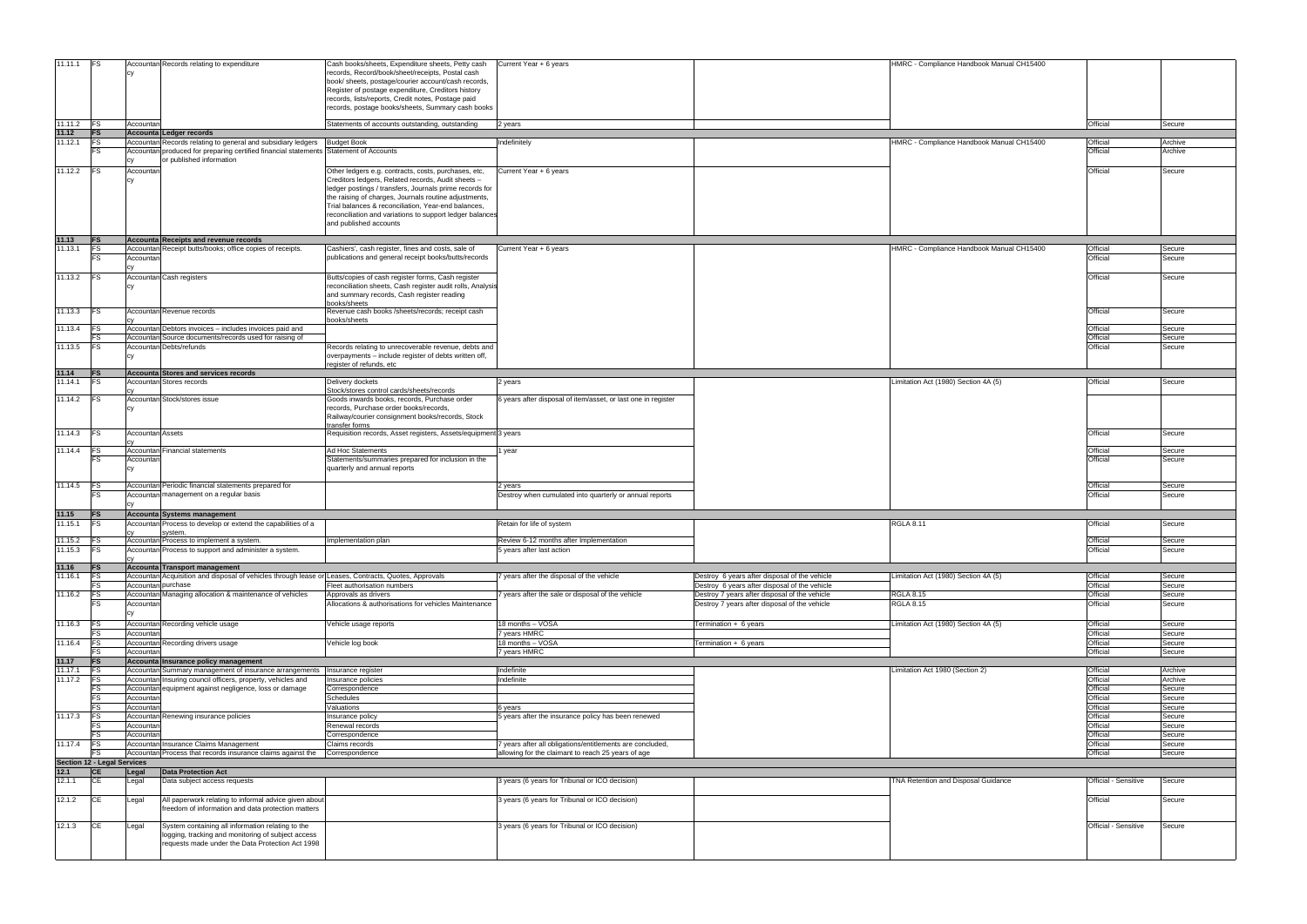| 11.11.1           | <b>IFS</b>                         |                         |                                                                                                      |                                                                                                               |                                                               |                                                                                                | HMRC - Compliance Handbook Manual CH15400 |                      |                  |
|-------------------|------------------------------------|-------------------------|------------------------------------------------------------------------------------------------------|---------------------------------------------------------------------------------------------------------------|---------------------------------------------------------------|------------------------------------------------------------------------------------------------|-------------------------------------------|----------------------|------------------|
|                   |                                    |                         | Accountan Records relating to expenditure                                                            | Cash books/sheets, Expenditure sheets, Petty cash<br>records, Record/book/sheet/receipts, Postal cash         | Current Year + 6 years                                        |                                                                                                |                                           |                      |                  |
|                   |                                    |                         |                                                                                                      | book/ sheets, postage/courier account/cash records,                                                           |                                                               |                                                                                                |                                           |                      |                  |
|                   |                                    |                         |                                                                                                      | Register of postage expenditure, Creditors history                                                            |                                                               |                                                                                                |                                           |                      |                  |
|                   |                                    |                         |                                                                                                      | records, lists/reports, Credit notes, Postage paid                                                            |                                                               |                                                                                                |                                           |                      |                  |
|                   |                                    |                         |                                                                                                      | records, postage books/sheets, Summary cash books                                                             |                                                               |                                                                                                |                                           |                      |                  |
|                   |                                    |                         |                                                                                                      |                                                                                                               |                                                               |                                                                                                |                                           |                      |                  |
| 11.11.2 <b>FS</b> |                                    | Accountan               |                                                                                                      | Statements of accounts outstanding, outstanding                                                               | 2 years                                                       |                                                                                                |                                           | Official             | Secure           |
| 11.12             | FS                                 |                         | Accounta Ledger records                                                                              |                                                                                                               |                                                               |                                                                                                |                                           |                      |                  |
| 11.12.1           | <b>IFS</b>                         |                         | Accountan Records relating to general and subsidiary ledgers                                         | <b>Budget Book</b>                                                                                            | Indefinitely                                                  |                                                                                                | HMRC - Compliance Handbook Manual CH15400 | Official             | Archive          |
|                   |                                    |                         | Accountan produced for preparing certified financial statements Statement of Accounts                |                                                                                                               |                                                               |                                                                                                |                                           | Official             | Archive          |
|                   |                                    |                         | or published information                                                                             |                                                                                                               |                                                               |                                                                                                |                                           |                      |                  |
| 11.12.2           | FS                                 | Accountan               |                                                                                                      | Other ledgers e.g. contracts, costs, purchases, etc,                                                          | Current Year + 6 years                                        |                                                                                                |                                           | Official             | Secure           |
|                   |                                    | CV                      |                                                                                                      | Creditors ledgers, Related records, Audit sheets -<br>ledger postings / transfers, Journals prime records for |                                                               |                                                                                                |                                           |                      |                  |
|                   |                                    |                         |                                                                                                      | the raising of charges, Journals routine adjustments,                                                         |                                                               |                                                                                                |                                           |                      |                  |
|                   |                                    |                         |                                                                                                      | Trial balances & reconciliation, Year-end balances,                                                           |                                                               |                                                                                                |                                           |                      |                  |
|                   |                                    |                         |                                                                                                      | reconciliation and variations to support ledger balances                                                      |                                                               |                                                                                                |                                           |                      |                  |
|                   |                                    |                         |                                                                                                      | and published accounts                                                                                        |                                                               |                                                                                                |                                           |                      |                  |
|                   |                                    |                         |                                                                                                      |                                                                                                               |                                                               |                                                                                                |                                           |                      |                  |
| 11.13<br>11.13.1  | <b>IFS</b><br>F.S                  |                         | Accounta Receipts and revenue records                                                                |                                                                                                               |                                                               |                                                                                                | HMRC - Compliance Handbook Manual CH15400 | Official             | Secure           |
|                   |                                    | Accountan               | Accountan Receipt butts/books; office copies of receipts.                                            | Cashiers', cash register, fines and costs, sale of<br>publications and general receipt books/butts/records    | Current Year + 6 years                                        |                                                                                                |                                           | Official             | Secure           |
|                   |                                    |                         |                                                                                                      |                                                                                                               |                                                               |                                                                                                |                                           |                      |                  |
| 11.13.2           | <b>FS</b>                          |                         | Accountan Cash registers                                                                             | Butts/copies of cash register forms, Cash register                                                            |                                                               |                                                                                                |                                           | Official             | Secure           |
|                   |                                    |                         |                                                                                                      | reconciliation sheets, Cash register audit rolls, Analysis                                                    |                                                               |                                                                                                |                                           |                      |                  |
|                   |                                    |                         |                                                                                                      | and summary records, Cash register reading                                                                    |                                                               |                                                                                                |                                           |                      |                  |
|                   |                                    |                         |                                                                                                      | books/sheets                                                                                                  |                                                               |                                                                                                |                                           |                      |                  |
| 11.13.3           | <b>IFS</b>                         |                         | Accountan Revenue records                                                                            | Revenue cash books /sheets/records; receipt cash                                                              |                                                               |                                                                                                |                                           | Official             | Secure           |
|                   |                                    |                         |                                                                                                      | books/sheets                                                                                                  |                                                               |                                                                                                |                                           |                      |                  |
| 11.13.4           |                                    |                         | Accountan Debtors invoices - includes invoices paid and                                              |                                                                                                               |                                                               |                                                                                                |                                           | Official             | Secure           |
|                   | <b>IFS</b>                         |                         | Accountan Source documents/records used for raising of<br>Accountan Debts/refunds                    |                                                                                                               |                                                               |                                                                                                |                                           | Official<br>Official | Secure           |
| 11.13.5           |                                    |                         |                                                                                                      | Records relating to unrecoverable revenue, debts and<br>overpayments - include register of debts written off, |                                                               |                                                                                                |                                           |                      | Secure           |
|                   |                                    |                         |                                                                                                      | register of refunds, etc                                                                                      |                                                               |                                                                                                |                                           |                      |                  |
| 11.14             | <b>IFS</b>                         |                         | Accounta Stores and services records                                                                 |                                                                                                               |                                                               |                                                                                                |                                           |                      |                  |
| 11.14.1           |                                    |                         | <b>Accountan Stores records</b>                                                                      | Delivery dockets                                                                                              | 2 years                                                       |                                                                                                | Limitation Act (1980) Section 4A (5)      | Official             | Secure           |
|                   |                                    |                         |                                                                                                      | Stock/stores control cards/sheets/records                                                                     |                                                               |                                                                                                |                                           |                      |                  |
| 11.14.2           |                                    |                         | Accountan Stock/stores issue                                                                         | Goods inwards books, records, Purchase order                                                                  | 6 years after disposal of item/asset, or last one in register |                                                                                                |                                           |                      |                  |
|                   |                                    | CV                      |                                                                                                      | records, Purchase order books/records,<br>Railway/courier consignment books/records, Stock                    |                                                               |                                                                                                |                                           |                      |                  |
|                   |                                    |                         |                                                                                                      | transfer forms                                                                                                |                                                               |                                                                                                |                                           |                      |                  |
| 11.14.3           | IFS.                               | <b>Accountan Assets</b> |                                                                                                      | Requisition records, Asset registers, Assets/equipment 3 years                                                |                                                               |                                                                                                |                                           | Official             | Secure           |
|                   |                                    |                         |                                                                                                      |                                                                                                               |                                                               |                                                                                                |                                           |                      |                  |
| 11.14.4           | IFS                                |                         | Accountan Financial statements                                                                       | Ad Hoc Statements                                                                                             | l year                                                        |                                                                                                |                                           | Official             | Secure           |
|                   |                                    | Accountan               |                                                                                                      | Statements/summaries prepared for inclusion in the                                                            |                                                               |                                                                                                |                                           | Official             | Secure           |
|                   |                                    | СV                      |                                                                                                      | quarterly and annual reports                                                                                  |                                                               |                                                                                                |                                           |                      |                  |
| 11.14.5           |                                    |                         | Accountan Periodic financial statements prepared for                                                 |                                                                                                               | 2 years                                                       |                                                                                                |                                           | Official             | Secure           |
|                   |                                    |                         | Accountan management on a regular basis                                                              |                                                                                                               | Destroy when cumulated into quarterly or annual reports       |                                                                                                |                                           | Official             | Secure           |
|                   |                                    |                         |                                                                                                      |                                                                                                               |                                                               |                                                                                                |                                           |                      |                  |
| 11.15             | <b>IFS</b>                         |                         | Accounta Systems management                                                                          |                                                                                                               |                                                               |                                                                                                |                                           |                      |                  |
| 11.15.1           |                                    |                         | Accountan Process to develop or extend the capabilities of a                                         |                                                                                                               | Retain for life of system                                     |                                                                                                | <b>RGLA 8.11</b>                          | Official             | Secure           |
|                   |                                    |                         | system.                                                                                              |                                                                                                               |                                                               |                                                                                                |                                           |                      |                  |
| 11.15.2           | IFS.                               |                         | Accountan Process to implement a system.                                                             | mplementation plan                                                                                            | Review 6-12 months after Implementation                       |                                                                                                |                                           | Official             | Secure           |
| 11.15.3           | <b>FS</b>                          |                         | Accountan Process to support and administer a system.                                                |                                                                                                               | 5 years after last action                                     |                                                                                                |                                           | Official             | Secure           |
|                   |                                    |                         |                                                                                                      |                                                                                                               |                                                               |                                                                                                |                                           |                      |                  |
| 11.16<br>11.16.1  | <b>FS</b><br><b>FS</b>             |                         | Accounta Transport management                                                                        |                                                                                                               | 7 years after the disposal of the vehicle                     |                                                                                                | Limitation Act (1980) Section 4A (5)      | Official             | Secure           |
|                   |                                    | Accountan purchase      | Accountan Acquisition and disposal of vehicles through lease or Leases, Contracts, Quotes, Approvals | Fleet authorisation numbers                                                                                   |                                                               | Destroy 6 years after disposal of the vehicle<br>Destroy 6 years after disposal of the vehicle |                                           | Official             | Secure           |
| 11.16.2           | <b>IFS</b>                         |                         | Accountan Managing allocation & maintenance of vehicles                                              | Approvals as drivers                                                                                          | years after the sale or disposal of the vehicle               | Destroy 7 years after disposal of the vehicle                                                  | <b>RGLA 8.15</b>                          | Official             | Secure           |
|                   |                                    | Accountan               |                                                                                                      | Allocations & authorisations for vehicles Maintenance                                                         |                                                               | Destroy 7 years after disposal of the vehicle                                                  | <b>RGLA 8.15</b>                          | Official             | Secure           |
|                   |                                    |                         |                                                                                                      |                                                                                                               |                                                               |                                                                                                |                                           |                      |                  |
| 11.16.3           | lFS.                               |                         | Accountan Recording vehicle usage                                                                    | Vehicle usage reports                                                                                         | 18 months - VOSA                                              | Termination + 6 years                                                                          | Limitation Act (1980) Section 4A (5)      | Official             | Secure           |
|                   |                                    | Accountan               |                                                                                                      |                                                                                                               | 7 years HMRC                                                  |                                                                                                |                                           | Official             | Secure           |
| 11.16.4           |                                    |                         | Accountan Recording drivers usage                                                                    | Vehicle log book                                                                                              | 18 months - VOSA                                              | Fermination + 6 years                                                                          |                                           | Official             | Secure           |
|                   |                                    | Accountar               |                                                                                                      |                                                                                                               | 7 years HMRC                                                  |                                                                                                |                                           | Official             | Secure           |
| 11.17             | <b>FS</b>                          |                         | Accounta Insurance policy management                                                                 |                                                                                                               |                                                               |                                                                                                |                                           |                      |                  |
| 11.17.1           |                                    |                         | Accountan Summary management of insurance arrangements                                               | nsurance register                                                                                             | Indefinite                                                    |                                                                                                | Limitation Act 1980 (Section 2)           | Official             | Archive          |
| 11.17.2           | <b>FS</b>                          |                         | Accountan Insuring council officers, property, vehicles and                                          | nsurance policies                                                                                             | Indefinite                                                    |                                                                                                |                                           | Official             | Archive          |
|                   |                                    |                         | Accountan equipment against negligence, loss or damage                                               | Correspondence                                                                                                |                                                               |                                                                                                |                                           | Official             | Secure           |
|                   | ES                                 | Accountan               |                                                                                                      | <b>Schedules</b>                                                                                              |                                                               |                                                                                                |                                           | Official             | Secure           |
|                   |                                    | Accountar               |                                                                                                      | Valuations                                                                                                    | 6 years                                                       |                                                                                                |                                           | Official<br>Official | Secure           |
| 11.17.3           |                                    | Accountan               | Accountan Renewing insurance policies                                                                | nsurance policy<br>Renewal records                                                                            | 5 years after the insurance policy has been renewed           |                                                                                                |                                           | Official             | Secure<br>Secure |
|                   | F.                                 | Accountar               |                                                                                                      | Correspondence                                                                                                |                                                               |                                                                                                |                                           | Official             | Secure           |
| 11.17.4           | <b>IFS</b>                         |                         | Accountan Insurance Claims Management                                                                | Claims records                                                                                                | 7 years after all obligations/entitlements are concluded,     |                                                                                                |                                           | Official             | Secure           |
|                   |                                    |                         | Accountan Process that records insurance claims against the                                          | Correspondence                                                                                                | allowing for the claimant to reach 25 years of age            |                                                                                                |                                           | Official             | Secure           |
|                   | <b>Section 12 - Legal Services</b> |                         |                                                                                                      |                                                                                                               |                                                               |                                                                                                |                                           |                      |                  |
| 12.1              | <b>CE</b>                          | Legal                   | <b>Data Protection Act</b>                                                                           |                                                                                                               |                                                               |                                                                                                |                                           |                      |                  |
| 12.1.1            | <b>CE</b>                          | Legal                   | Data subject access requests                                                                         |                                                                                                               | 3 years (6 years for Tribunal or ICO decision)                |                                                                                                | TNA Retention and Disposal Guidance       | Official - Sensitive | Secure           |
|                   |                                    |                         |                                                                                                      |                                                                                                               |                                                               |                                                                                                |                                           |                      |                  |
| 12.1.2            | СE                                 | _egal                   | All paperwork relating to informal advice given abou                                                 |                                                                                                               | 3 years (6 years for Tribunal or ICO decision)                |                                                                                                |                                           | Official             | Secure           |
|                   |                                    |                         | freedom of information and data protection matters                                                   |                                                                                                               |                                                               |                                                                                                |                                           |                      |                  |
| 12.1.3            | <b>ICE</b>                         | _egal                   | System containing all information relating to the                                                    |                                                                                                               | 3 years (6 years for Tribunal or ICO decision)                |                                                                                                |                                           | Official - Sensitive | Secure           |
|                   |                                    |                         | logging, tracking and monitoring of subject access                                                   |                                                                                                               |                                                               |                                                                                                |                                           |                      |                  |
|                   |                                    |                         | requests made under the Data Protection Act 1998                                                     |                                                                                                               |                                                               |                                                                                                |                                           |                      |                  |
|                   |                                    |                         |                                                                                                      |                                                                                                               |                                                               |                                                                                                |                                           |                      |                  |
|                   |                                    |                         |                                                                                                      |                                                                                                               |                                                               |                                                                                                |                                           |                      |                  |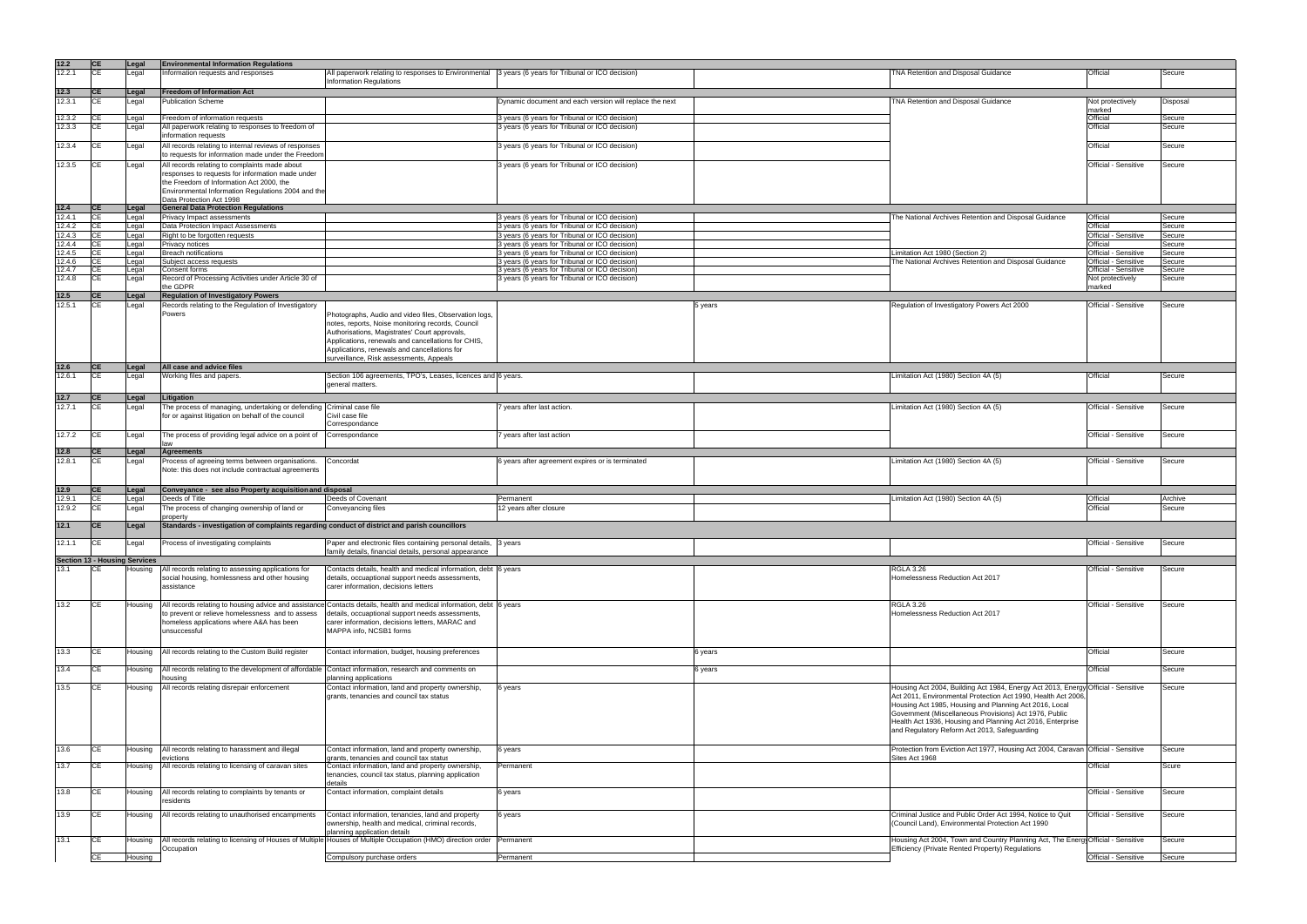| 12.2           | <b>CE</b>                | Legal                                | <b>Environmental Information Regulations</b>                                                             |                                                                                                                      |                                                         |         |                                                                                                                        |                      |          |
|----------------|--------------------------|--------------------------------------|----------------------------------------------------------------------------------------------------------|----------------------------------------------------------------------------------------------------------------------|---------------------------------------------------------|---------|------------------------------------------------------------------------------------------------------------------------|----------------------|----------|
| 12.2.1         | <b>CE</b>                | Legal                                | Information requests and responses                                                                       | All paperwork relating to responses to Environmental 3 years (6 years for Tribunal or ICO decision)                  |                                                         |         | TNA Retention and Disposal Guidance                                                                                    | Official             | Secure   |
|                |                          |                                      |                                                                                                          | <b>Information Regulations</b>                                                                                       |                                                         |         |                                                                                                                        |                      |          |
| 12.3           | <b>ICE</b>               | Legal                                | <b>Freedom of Information Act</b>                                                                        |                                                                                                                      |                                                         |         |                                                                                                                        |                      |          |
| 12.3.1         | <b>CE</b>                | Legal                                | <b>Publication Scheme</b>                                                                                |                                                                                                                      | Dynamic document and each version will replace the next |         | TNA Retention and Disposal Guidance                                                                                    | Not protectively     | Disposal |
|                |                          |                                      |                                                                                                          |                                                                                                                      |                                                         |         |                                                                                                                        | marked               |          |
| 12.3.2         | ICE                      | Legal                                | Freedom of information requests                                                                          |                                                                                                                      | 3 years (6 years for Tribunal or ICO decision)          |         |                                                                                                                        | Official             | Secure   |
| 12.3.3         | CE                       | Legal                                | All paperwork relating to responses to freedom of                                                        |                                                                                                                      | 3 years (6 years for Tribunal or ICO decision)          |         |                                                                                                                        | Official             | Secure   |
|                |                          |                                      | information requests                                                                                     |                                                                                                                      |                                                         |         |                                                                                                                        |                      |          |
| 12.3.4         | CE                       | Legal                                | All records relating to internal reviews of responses                                                    |                                                                                                                      | 3 years (6 years for Tribunal or ICO decision)          |         |                                                                                                                        | Official             | Secure   |
|                |                          |                                      | to requests for information made under the Freedom                                                       |                                                                                                                      |                                                         |         |                                                                                                                        |                      |          |
| 12.3.5         | IСE                      | Legal                                | All records relating to complaints made about                                                            |                                                                                                                      | 3 years (6 years for Tribunal or ICO decision)          |         |                                                                                                                        | Official - Sensitive | Secure   |
|                |                          |                                      | responses to requests for information made under                                                         |                                                                                                                      |                                                         |         |                                                                                                                        |                      |          |
|                |                          |                                      | the Freedom of Information Act 2000, the                                                                 |                                                                                                                      |                                                         |         |                                                                                                                        |                      |          |
|                |                          |                                      | Environmental Information Regulations 2004 and the                                                       |                                                                                                                      |                                                         |         |                                                                                                                        |                      |          |
|                |                          |                                      | Data Protection Act 1998                                                                                 |                                                                                                                      |                                                         |         |                                                                                                                        |                      |          |
| 12.4<br>12.4.1 | <b>ICE</b><br><b>ICE</b> | Legal                                | <b>General Data Protection Regulations</b><br>Privacy Impact assessments                                 |                                                                                                                      | 3 years (6 years for Tribunal or ICO decision)          |         | The National Archives Retention and Disposal Guidance                                                                  | Official             | Secure   |
| 12.4.2         | <b>CE</b>                | Legal<br>Legal                       | Data Protection Impact Assessments                                                                       |                                                                                                                      | 3 years (6 years for Tribunal or ICO decision)          |         |                                                                                                                        | <b>Official</b>      | Secure   |
| 12.4.3         | <b>ICE</b>               | Legal                                | Right to be forgotten requests                                                                           |                                                                                                                      | 3 years (6 years for Tribunal or ICO decision)          |         |                                                                                                                        | Official - Sensitive | Secure   |
| 12.4.4         | ICE                      | Legal                                | Privacy notices                                                                                          |                                                                                                                      | 3 years (6 years for Tribunal or ICO decision)          |         |                                                                                                                        | Official             | Secure   |
| 12.4.5         |                          | Legal                                | <b>Breach notifications</b>                                                                              |                                                                                                                      | 3 years (6 years for Tribunal or ICO decision)          |         | Limitation Act 1980 (Section 2)                                                                                        | Official - Sensitive | Secure   |
| 12.4.6         | <b>ICE</b>               | Legal                                | Subject access requests                                                                                  |                                                                                                                      | 3 years (6 years for Tribunal or ICO decision)          |         | The National Archives Retention and Disposal Guidance                                                                  | Official - Sensitive | Secure   |
| 12.4.7         | ICE                      | Legal                                | Consent forms                                                                                            |                                                                                                                      | 3 years (6 years for Tribunal or ICO decision)          |         |                                                                                                                        | Official - Sensitive | Secure   |
| 12.4.8         | CE                       | Legal                                | Record of Processing Activities under Article 30 of                                                      |                                                                                                                      | 3 years (6 years for Tribunal or ICO decision)          |         |                                                                                                                        | Not protectively     | Secure   |
|                |                          |                                      | the GDPR                                                                                                 |                                                                                                                      |                                                         |         |                                                                                                                        | marked               |          |
| 12.5           | <b>ICE</b>               | Legal                                | <b>Regulation of Investigatory Powers</b>                                                                |                                                                                                                      |                                                         |         |                                                                                                                        |                      |          |
| 12.5.1         | <b>CE</b>                | Legal                                | Records relating to the Regulation of Investigatory                                                      |                                                                                                                      |                                                         | 5 years | Regulation of Investigatory Powers Act 2000                                                                            | Official - Sensitive | Secure   |
|                |                          |                                      | Powers                                                                                                   | Photographs, Audio and video files, Observation logs,                                                                |                                                         |         |                                                                                                                        |                      |          |
|                |                          |                                      |                                                                                                          | notes, reports, Noise monitoring records, Council                                                                    |                                                         |         |                                                                                                                        |                      |          |
|                |                          |                                      |                                                                                                          | Authorisations, Magistrates' Court approvals,                                                                        |                                                         |         |                                                                                                                        |                      |          |
|                |                          |                                      |                                                                                                          | Applications, renewals and cancellations for CHIS,                                                                   |                                                         |         |                                                                                                                        |                      |          |
|                |                          |                                      |                                                                                                          | Applications, renewals and cancellations for                                                                         |                                                         |         |                                                                                                                        |                      |          |
|                |                          |                                      |                                                                                                          | surveillance, Risk assessments, Appeals                                                                              |                                                         |         |                                                                                                                        |                      |          |
| 12.6           | <b>CE</b>                | Legal                                | All case and advice files                                                                                |                                                                                                                      |                                                         |         |                                                                                                                        |                      |          |
| 12.6.1         | <b>ICE</b>               | Legal                                | Working files and papers.                                                                                | Section 106 agreements, TPO's, Leases, licences and 6 years.                                                         |                                                         |         | Limitation Act (1980) Section 4A (5)                                                                                   | Official             | Secure   |
|                |                          |                                      |                                                                                                          | general matters.                                                                                                     |                                                         |         |                                                                                                                        |                      |          |
| 12.7           | <b>CE</b>                | Legal                                | Litigation                                                                                               |                                                                                                                      |                                                         |         |                                                                                                                        |                      |          |
| 12.7.1         | <b>CE</b>                | Legal                                | The process of managing, undertaking or defending Criminal case file                                     |                                                                                                                      | years after last action.                                |         | Limitation Act (1980) Section 4A (5)                                                                                   | Official - Sensitive | Secure   |
|                |                          |                                      | for or against litigation on behalf of the council                                                       | Civil case file                                                                                                      |                                                         |         |                                                                                                                        |                      |          |
|                |                          |                                      |                                                                                                          | Correspondance                                                                                                       |                                                         |         |                                                                                                                        |                      |          |
| 12.7.2         |                          | Legal                                | The process of providing legal advice on a point of                                                      | Correspondance                                                                                                       | years after last action                                 |         |                                                                                                                        | Official - Sensitive | Secure   |
|                |                          |                                      |                                                                                                          |                                                                                                                      |                                                         |         |                                                                                                                        |                      |          |
| 12.8           | <b>ICE</b>               | Legal                                | <b>Agreements</b>                                                                                        |                                                                                                                      |                                                         |         |                                                                                                                        |                      |          |
| 12.8.1         | IСE                      | Legal                                | Process of agreeing terms between organisations.                                                         | Concordat                                                                                                            | 6 years after agreement expires or is terminated        |         | Limitation Act (1980) Section 4A (5)                                                                                   | Official - Sensitive | Secure   |
|                |                          |                                      | Note: this does not include contractual agreements                                                       |                                                                                                                      |                                                         |         |                                                                                                                        |                      |          |
|                |                          |                                      |                                                                                                          |                                                                                                                      |                                                         |         |                                                                                                                        |                      |          |
| 12.9           | <b>ICE</b>               | Legal                                | Conveyance - see also Property acquisition and disposal                                                  |                                                                                                                      |                                                         |         |                                                                                                                        |                      |          |
| 12.9.1         | <b>CE</b>                | ∟egal                                | Deeds of Title                                                                                           | Deeds of Covenant                                                                                                    | Permanent                                               |         | Limitation Act (1980) Section 4A (5)                                                                                   | Official             | Archive  |
| 12.9.2         | СE                       | Legal                                | The process of changing ownership of land or                                                             | Conveyancing files                                                                                                   | 12 years after closure                                  |         |                                                                                                                        | Official             | Secure   |
|                | <b>ICE</b>               |                                      | property<br>Standards - investigation of complaints regarding conduct of district and parish councillors |                                                                                                                      |                                                         |         |                                                                                                                        |                      |          |
| 12.1           |                          | Legal                                |                                                                                                          |                                                                                                                      |                                                         |         |                                                                                                                        |                      |          |
| 12.1.1         | СE                       | ∟egal                                | Process of investigating complaints                                                                      | Paper and electronic files containing personal details, 3 years                                                      |                                                         |         |                                                                                                                        | Official - Sensitive | Secure   |
|                |                          |                                      |                                                                                                          | family details, financial details, personal appearance                                                               |                                                         |         |                                                                                                                        |                      |          |
|                |                          | <b>Section 13 - Housing Services</b> |                                                                                                          |                                                                                                                      |                                                         |         |                                                                                                                        |                      |          |
| 13.1           |                          | Housing                              | All records relating to assessing applications for                                                       | Contacts details, health and medical information, debt 6 years                                                       |                                                         |         | <b>RGLA 3.26</b>                                                                                                       | Official - Sensitive | Secure   |
|                |                          |                                      | social housing, homlessness and other housing                                                            | details, occuaptional support needs assessments,                                                                     |                                                         |         | Homelessness Reduction Act 2017                                                                                        |                      |          |
|                |                          |                                      | assistance                                                                                               | carer information, decisions letters                                                                                 |                                                         |         |                                                                                                                        |                      |          |
|                |                          |                                      |                                                                                                          |                                                                                                                      |                                                         |         |                                                                                                                        |                      |          |
| 13.2           | <b>CE</b>                | Housing                              |                                                                                                          | All records relating to housing advice and assistance Contacts details, health and medical information, debt 6 years |                                                         |         | <b>RGLA 3.26</b>                                                                                                       | Official - Sensitive | Secure   |
|                |                          |                                      | to prevent or relieve homelessness and to assess                                                         | details, occuaptional support needs assessments,                                                                     |                                                         |         | Homelessness Reduction Act 2017                                                                                        |                      |          |
|                |                          |                                      | homeless applications where A&A has been                                                                 | carer information, decisions letters, MARAC and                                                                      |                                                         |         |                                                                                                                        |                      |          |
|                |                          |                                      | unsuccessful                                                                                             | MAPPA info. NCSB1 forms                                                                                              |                                                         |         |                                                                                                                        |                      |          |
|                |                          |                                      |                                                                                                          |                                                                                                                      |                                                         |         |                                                                                                                        |                      |          |
| 13.3           | ICE.                     | Housing                              | All records relating to the Custom Build register                                                        | Contact information, budget, housing preferences                                                                     |                                                         | 6 years |                                                                                                                        | Official             | Secure   |
|                |                          |                                      |                                                                                                          |                                                                                                                      |                                                         |         |                                                                                                                        |                      |          |
| 13.4           | <b>CE</b>                | Housing                              | All records relating to the development of affordable                                                    | Contact information, research and comments on                                                                        |                                                         | 6 years |                                                                                                                        | Official             | Secure   |
|                |                          |                                      | housing                                                                                                  | planning applications                                                                                                |                                                         |         |                                                                                                                        |                      |          |
| 13.5           | <b>CE</b>                | Housing                              | All records relating disrepair enforcement                                                               | Contact information, land and property ownership,                                                                    | 6 years                                                 |         | Housing Act 2004, Building Act 1984, Energy Act 2013, Energy Official - Sensitive                                      |                      | Secure   |
|                |                          |                                      |                                                                                                          | grants, tenancies and council tax status                                                                             |                                                         |         | Act 2011, Environmental Protection Act 1990, Health Act 2006<br>Housing Act 1985, Housing and Planning Act 2016, Local |                      |          |
|                |                          |                                      |                                                                                                          |                                                                                                                      |                                                         |         | Government (Miscellaneous Provisions) Act 1976, Public                                                                 |                      |          |
|                |                          |                                      |                                                                                                          |                                                                                                                      |                                                         |         | Health Act 1936, Housing and Planning Act 2016, Enterprise                                                             |                      |          |
|                |                          |                                      |                                                                                                          |                                                                                                                      |                                                         |         | and Regulatory Reform Act 2013, Safeguarding                                                                           |                      |          |
|                |                          |                                      |                                                                                                          |                                                                                                                      |                                                         |         |                                                                                                                        |                      |          |
| 13.6           | <b>CE</b>                | Housing                              | All records relating to harassment and illegal                                                           | Contact information, land and property ownership,                                                                    | 6 years                                                 |         | Protection from Eviction Act 1977, Housing Act 2004, Caravan Official - Sensitive                                      |                      | Secure   |
|                |                          |                                      | evictions                                                                                                | grants, tenancies and council tax status                                                                             |                                                         |         | Sites Act 1968                                                                                                         |                      |          |
| 13.7           | <b>CE</b>                | Housing                              | All records relating to licensing of caravan sites                                                       | Contact information, land and property ownership,                                                                    | Permanent                                               |         |                                                                                                                        | Official             | Scure    |
|                |                          |                                      |                                                                                                          | tenancies, council tax status, planning application                                                                  |                                                         |         |                                                                                                                        |                      |          |
|                |                          |                                      |                                                                                                          | details                                                                                                              |                                                         |         |                                                                                                                        |                      |          |
| 13.8           | ICE                      | Housing                              | All records relating to complaints by tenants or                                                         | Contact information, complaint details                                                                               | 6 years                                                 |         |                                                                                                                        | Official - Sensitive | Secure   |
|                |                          |                                      | residents                                                                                                |                                                                                                                      |                                                         |         |                                                                                                                        |                      |          |
| 13.9           | <b>ICE</b>               | Housing                              | All records relating to unauthorised encampments                                                         | Contact information, tenancies, land and property                                                                    | 6 years                                                 |         | Criminal Justice and Public Order Act 1994, Notice to Quit                                                             | Official - Sensitive | Secure   |
|                |                          |                                      |                                                                                                          | ownership, health and medical, criminal records,                                                                     |                                                         |         | (Council Land), Environmental Protection Act 1990                                                                      |                      |          |
|                |                          |                                      |                                                                                                          | planning application details                                                                                         |                                                         |         |                                                                                                                        |                      |          |
| 13.1           | <b>CE</b>                | Housing                              |                                                                                                          | All records relating to licensing of Houses of Multiple Houses of Multiple Occupation (HMO) direction order          | Permanent                                               |         | Housing Act 2004, Town and Country Planning Act, The Energy Official - Sensitive                                       |                      | Secure   |
|                |                          |                                      | Occupation                                                                                               |                                                                                                                      |                                                         |         | Efficiency (Private Rented Property) Regulations                                                                       |                      |          |
|                | <b>CE</b>                | Housing                              |                                                                                                          | Compulsory purchase orders                                                                                           | Permanent                                               |         |                                                                                                                        | Official - Sensitive | Secure   |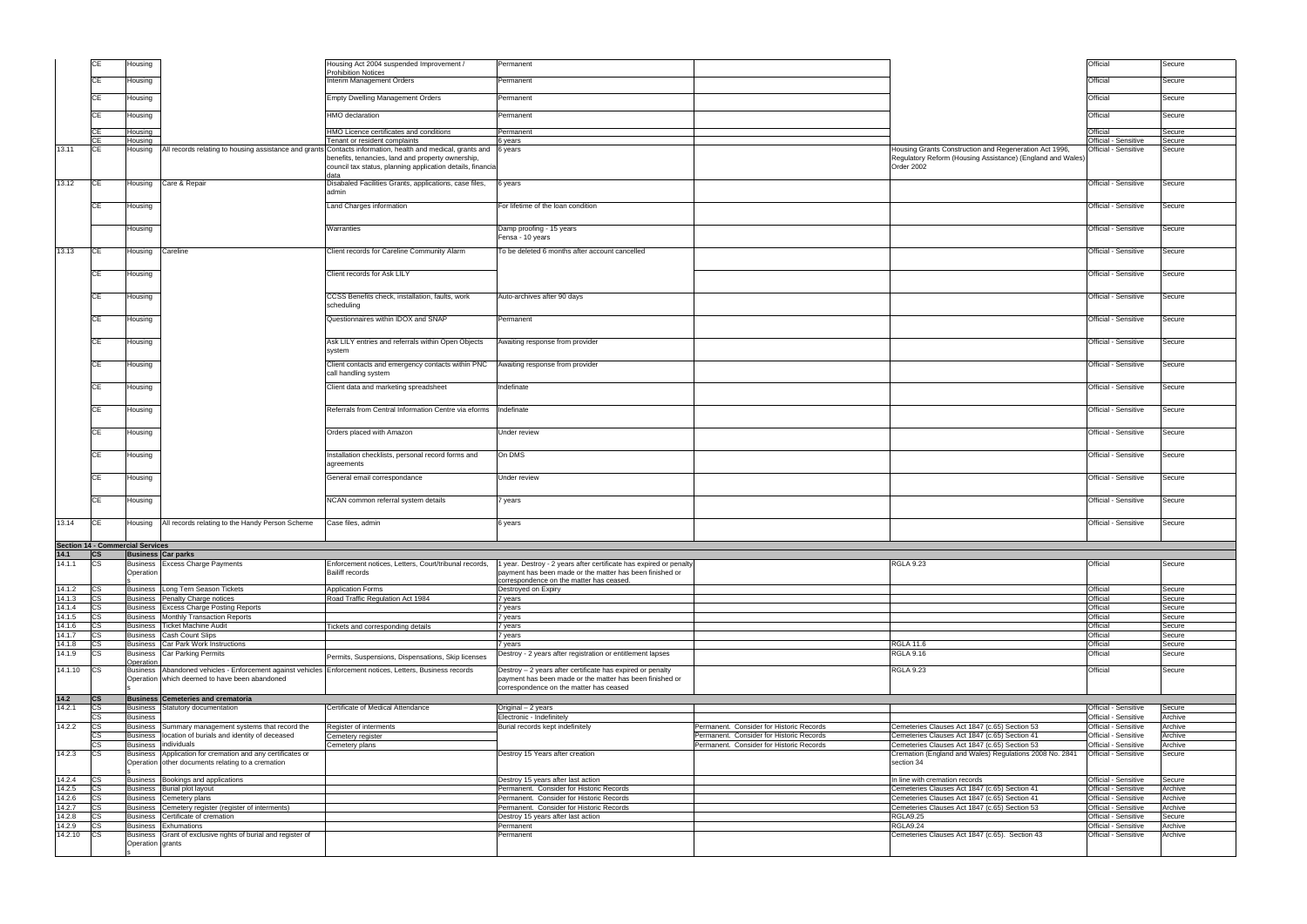|                  |            | Housing                                                                                                                                                        | Housing Act 2004 suspended Improvement /                                                                   | Permanent                                                                                                              |                                          |                                                                                                | Official                                     | Secure             |
|------------------|------------|----------------------------------------------------------------------------------------------------------------------------------------------------------------|------------------------------------------------------------------------------------------------------------|------------------------------------------------------------------------------------------------------------------------|------------------------------------------|------------------------------------------------------------------------------------------------|----------------------------------------------|--------------------|
|                  |            |                                                                                                                                                                | <b>Prohibition Notices</b>                                                                                 |                                                                                                                        |                                          |                                                                                                |                                              |                    |
|                  | СE         | Housing                                                                                                                                                        | Interim Management Orders                                                                                  | Permanent                                                                                                              |                                          |                                                                                                | Official                                     | Secure             |
|                  |            |                                                                                                                                                                |                                                                                                            |                                                                                                                        |                                          |                                                                                                |                                              |                    |
|                  | СE         | Housing                                                                                                                                                        | <b>Empty Dwelling Management Orders</b>                                                                    | Permanent                                                                                                              |                                          |                                                                                                | Official                                     | Secure             |
|                  |            | Housing                                                                                                                                                        | <b>HMO</b> declaration                                                                                     | Permanent                                                                                                              |                                          |                                                                                                | Official                                     | Secure             |
|                  |            |                                                                                                                                                                |                                                                                                            |                                                                                                                        |                                          |                                                                                                |                                              |                    |
|                  | СE         | Housing                                                                                                                                                        | HMO Licence certificates and conditions                                                                    | Permanent                                                                                                              |                                          |                                                                                                | Official                                     | Secure             |
|                  |            | Housing                                                                                                                                                        | Tenant or resident complaints                                                                              | 6 years                                                                                                                |                                          |                                                                                                | Official - Sensitive                         | Secure             |
| 13.11            | <b>CE</b>  | Housing                                                                                                                                                        | All records relating to housing assistance and grants Contacts information, health and medical, grants and | 6 years                                                                                                                |                                          | Housing Grants Construction and Regeneration Act 1996,                                         | Official - Sensitive                         | Secure             |
|                  |            |                                                                                                                                                                | benefits, tenancies, land and property ownership,                                                          |                                                                                                                        |                                          | Regulatory Reform (Housing Assistance) (England and Wales)                                     |                                              |                    |
|                  |            |                                                                                                                                                                | council tax status, planning application details, financia<br>data                                         |                                                                                                                        |                                          | Order 2002                                                                                     |                                              |                    |
| 13.12            | CE         | Housing Care & Repair                                                                                                                                          | Disabaled Facilities Grants, applications, case files,                                                     | 6 years                                                                                                                |                                          |                                                                                                | Official - Sensitive                         | Secure             |
|                  |            |                                                                                                                                                                | admin                                                                                                      |                                                                                                                        |                                          |                                                                                                |                                              |                    |
|                  |            |                                                                                                                                                                |                                                                                                            |                                                                                                                        |                                          |                                                                                                |                                              |                    |
|                  | CE         | Housing                                                                                                                                                        | Land Charges information                                                                                   | For lifetime of the loan condition                                                                                     |                                          |                                                                                                | Official - Sensitive                         | Secure             |
|                  |            |                                                                                                                                                                |                                                                                                            |                                                                                                                        |                                          |                                                                                                |                                              |                    |
|                  |            | Housing                                                                                                                                                        | Warranties                                                                                                 | Damp proofing - 15 years                                                                                               |                                          |                                                                                                | Official - Sensitive                         | Secure             |
|                  |            |                                                                                                                                                                |                                                                                                            | Fensa - 10 years                                                                                                       |                                          |                                                                                                |                                              |                    |
| 13.13            | CE         | Housing<br>Careline                                                                                                                                            | Client records for Careline Community Alarm                                                                | To be deleted 6 months after account cancelled                                                                         |                                          |                                                                                                | Official - Sensitive                         | Secure             |
|                  |            |                                                                                                                                                                |                                                                                                            |                                                                                                                        |                                          |                                                                                                |                                              |                    |
|                  | CE         | Housing                                                                                                                                                        | Client records for Ask LILY                                                                                |                                                                                                                        |                                          |                                                                                                | Official - Sensitive                         | Secure             |
|                  |            |                                                                                                                                                                |                                                                                                            |                                                                                                                        |                                          |                                                                                                |                                              |                    |
|                  |            |                                                                                                                                                                |                                                                                                            |                                                                                                                        |                                          |                                                                                                |                                              |                    |
|                  | CE         | Housing                                                                                                                                                        | CCSS Benefits check, installation, faults, work                                                            | Auto-archives after 90 days                                                                                            |                                          |                                                                                                | Official - Sensitive                         | Secure             |
|                  |            |                                                                                                                                                                | scheduling                                                                                                 |                                                                                                                        |                                          |                                                                                                |                                              |                    |
|                  | CE         | Housing                                                                                                                                                        | Questionnaires within IDOX and SNAP                                                                        | Permanent                                                                                                              |                                          |                                                                                                | Official - Sensitive                         | Secure             |
|                  |            |                                                                                                                                                                |                                                                                                            |                                                                                                                        |                                          |                                                                                                |                                              |                    |
|                  | CE         | Housing                                                                                                                                                        | Ask LILY entries and referrals within Open Objects                                                         | Awaiting response from provider                                                                                        |                                          |                                                                                                | Official - Sensitive                         | Secure             |
|                  |            |                                                                                                                                                                | system                                                                                                     |                                                                                                                        |                                          |                                                                                                |                                              |                    |
|                  |            |                                                                                                                                                                |                                                                                                            |                                                                                                                        |                                          |                                                                                                |                                              |                    |
|                  | СE         | Housing                                                                                                                                                        | Client contacts and emergency contacts within PNC                                                          | Awaiting response from provider                                                                                        |                                          |                                                                                                | Official - Sensitive                         | Secure             |
|                  |            |                                                                                                                                                                | call handling system                                                                                       |                                                                                                                        |                                          |                                                                                                |                                              |                    |
|                  | CЕ         | Housing                                                                                                                                                        | Client data and marketing spreadsheet                                                                      | Indefinate                                                                                                             |                                          |                                                                                                | Official - Sensitive                         | Secure             |
|                  |            |                                                                                                                                                                |                                                                                                            |                                                                                                                        |                                          |                                                                                                |                                              |                    |
|                  |            | Housing                                                                                                                                                        | Referrals from Central Information Centre via eforms   Indefinate                                          |                                                                                                                        |                                          |                                                                                                | Official - Sensitive                         | Secure             |
|                  |            |                                                                                                                                                                |                                                                                                            |                                                                                                                        |                                          |                                                                                                |                                              |                    |
|                  |            |                                                                                                                                                                |                                                                                                            |                                                                                                                        |                                          |                                                                                                |                                              |                    |
|                  |            | Housing                                                                                                                                                        | Orders placed with Amazon                                                                                  | Under review                                                                                                           |                                          |                                                                                                | Official - Sensitive                         | Secure             |
|                  |            |                                                                                                                                                                |                                                                                                            |                                                                                                                        |                                          |                                                                                                |                                              |                    |
|                  |            | Housing                                                                                                                                                        | Installation checklists, personal record forms and                                                         | On DMS                                                                                                                 |                                          |                                                                                                | Official - Sensitive                         | Secure             |
|                  |            |                                                                                                                                                                | agreements                                                                                                 |                                                                                                                        |                                          |                                                                                                |                                              |                    |
|                  | CE         | Housing                                                                                                                                                        | General email correspondance                                                                               | Jnder review                                                                                                           |                                          |                                                                                                | Official - Sensitive                         | Secure             |
|                  |            |                                                                                                                                                                |                                                                                                            |                                                                                                                        |                                          |                                                                                                |                                              |                    |
|                  | CE         |                                                                                                                                                                | NCAN common referral system details                                                                        |                                                                                                                        |                                          |                                                                                                | Official - Sensitive                         | Secure             |
|                  |            | Housing                                                                                                                                                        |                                                                                                            | 7 years                                                                                                                |                                          |                                                                                                |                                              |                    |
|                  |            |                                                                                                                                                                |                                                                                                            |                                                                                                                        |                                          |                                                                                                |                                              |                    |
| 13.14            | ICE.       | All records relating to the Handy Person Scheme<br>Housing                                                                                                     | Case files, admin                                                                                          | 6 years                                                                                                                |                                          |                                                                                                | Official - Sensitive                         | Secure             |
|                  |            |                                                                                                                                                                |                                                                                                            |                                                                                                                        |                                          |                                                                                                |                                              |                    |
|                  |            | <b>Section 14 - Commercial Services</b>                                                                                                                        |                                                                                                            |                                                                                                                        |                                          |                                                                                                |                                              |                    |
| 14.1             | cs         | <b>Business Car parks</b>                                                                                                                                      |                                                                                                            |                                                                                                                        |                                          |                                                                                                |                                              |                    |
| 14.1.1           | <b>CS</b>  | Business Excess Charge Payments                                                                                                                                | Enforcement notices, Letters, Court/tribunal records,                                                      | 1 year. Destroy - 2 years after certificate has expired or penalty                                                     |                                          | <b>RGLA 9.23</b>                                                                               | Official                                     | Secure             |
|                  |            | Operation                                                                                                                                                      | <b>Bailiff records</b>                                                                                     | payment has been made or the matter has been finished or<br>correspondence on the matter has ceased.                   |                                          |                                                                                                |                                              |                    |
| 14.1.2           | СS         | Long Tern Season Tickets<br><b>Business</b>                                                                                                                    | <b>Application Forms</b>                                                                                   | Destroyed on Expiry                                                                                                    |                                          |                                                                                                | Official                                     | Secure             |
| 14.1.3           | <b>CS</b>  | Business Penalty Charge notices                                                                                                                                | Road Traffic Regulation Act 1984                                                                           | 7 years                                                                                                                |                                          |                                                                                                | Official                                     | Secure             |
| 14.1.4           | СS         | Business Excess Charge Posting Reports                                                                                                                         |                                                                                                            | 7 years                                                                                                                |                                          |                                                                                                | <b>Official</b>                              | Secure             |
| 14.1.5           | сs         | Business Monthly Transaction Reports                                                                                                                           |                                                                                                            | 7 years                                                                                                                |                                          |                                                                                                | Official                                     | Secure             |
| 14.1.6           | СS         | <b>Ticket Machine Audit</b><br>Business                                                                                                                        | <b>Tickets and corresponding details</b>                                                                   | 7 years                                                                                                                |                                          |                                                                                                | Official                                     | Secure             |
| 14.1.7           | СS         | <b>Cash Count Slips</b><br>Business                                                                                                                            |                                                                                                            | 7 years                                                                                                                |                                          |                                                                                                | Official                                     | Secure             |
| 14.1.8           | сs         | Car Park Work Instructions<br>Business                                                                                                                         |                                                                                                            | 7 years                                                                                                                |                                          | <b>RGLA 11.6</b>                                                                               | Official                                     | Secure             |
| 14.1.9           | СS         | <b>Business</b> Car Parking Permits                                                                                                                            | Permits, Suspensions, Dispensations, Skip licenses                                                         | Destroy - 2 years after registration or entitlement lapses                                                             |                                          | <b>RGLA 9.16</b>                                                                               | Official                                     | Secure             |
|                  |            | <b>Operation</b>                                                                                                                                               |                                                                                                            |                                                                                                                        |                                          |                                                                                                |                                              |                    |
| 14.1.10          | <b>CS</b>  | Business   Abandoned vehicles - Enforcement against vehicles   Enforcement notices, Letters, Business records<br>Operation which deemed to have been abandoned |                                                                                                            | Destroy - 2 years after certificate has expired or penalty<br>payment has been made or the matter has been finished or |                                          | <b>RGLA 9.23</b>                                                                               | Official                                     | Secure             |
|                  |            |                                                                                                                                                                |                                                                                                            | correspondence on the matter has ceased                                                                                |                                          |                                                                                                |                                              |                    |
| 14.2             | <b>ICS</b> | <b>Business Cemeteries and crematoria</b>                                                                                                                      |                                                                                                            |                                                                                                                        |                                          |                                                                                                |                                              |                    |
| 14.2.1           | СS         | Statutory documentation<br>Business                                                                                                                            | Certificate of Medical Attendance                                                                          | Original – 2 years                                                                                                     |                                          |                                                                                                | Official - Sensitive                         | Secure             |
|                  |            | <b>Business</b>                                                                                                                                                |                                                                                                            | Electronic - Indefinitely                                                                                              |                                          |                                                                                                | Official - Sensitive                         | Archive            |
| 14.2.2           | СS         | Business Summary management systems that record the                                                                                                            | Register of interments                                                                                     | Burial records kept indefinitely                                                                                       | Permanent. Consider for Historic Records | Cemeteries Clauses Act 1847 (c.65) Section 53                                                  | Official - Sensitive                         | Archive            |
|                  |            | location of burials and identity of deceased<br>Business                                                                                                       | Cemetery register                                                                                          |                                                                                                                        | Permanent. Consider for Historic Records | Cemeteries Clauses Act 1847 (c.65) Section 41                                                  | Official - Sensitive                         | Archive            |
|                  |            | individuals<br><b>Business</b>                                                                                                                                 | Cemetery plans                                                                                             |                                                                                                                        | Permanent. Consider for Historic Records | Cemeteries Clauses Act 1847 (c.65) Section 53                                                  | Official - Sensitive                         | Archive            |
| 14.2.3           | СS         | Application for cremation and any certificates or<br>Business                                                                                                  |                                                                                                            | Destroy 15 Years after creation                                                                                        |                                          | Cremation (England and Wales) Regulations 2008 No. 2841                                        | Official - Sensitive                         | Secure             |
|                  |            | Operation other documents relating to a cremation                                                                                                              |                                                                                                            |                                                                                                                        |                                          | section 34                                                                                     |                                              |                    |
|                  |            |                                                                                                                                                                |                                                                                                            |                                                                                                                        |                                          |                                                                                                |                                              |                    |
| 14.2.4<br>14.2.5 | ICS        | Business Bookings and applications                                                                                                                             |                                                                                                            | Destroy 15 years after last action                                                                                     |                                          | In line with cremation records                                                                 | Official - Sensitive                         | Secure             |
| 14.2.6           | СS<br>СS   | Business Burial plot layout<br>Business<br>Cemetery plans                                                                                                      |                                                                                                            | Permanent. Consider for Historic Records<br>Permanent. Consider for Historic Records                                   |                                          | Cemeteries Clauses Act 1847 (c.65) Section 41<br>Cemeteries Clauses Act 1847 (c.65) Section 41 | Official - Sensitive<br>Official - Sensitive | Archive<br>Archive |
| 14.2.7           | СS         | <b>Business</b><br>Cemetery register (register of interments)                                                                                                  |                                                                                                            | Permanent. Consider for Historic Records                                                                               |                                          | Cemeteries Clauses Act 1847 (c.65) Section 53                                                  | Official - Sensitive                         | Archive            |
| 14.2.8           | СS         | Certificate of cremation<br>Business                                                                                                                           |                                                                                                            | Destroy 15 years after last action                                                                                     |                                          | <b>RGLA9.25</b>                                                                                | Official - Sensitive                         | Secure             |
| 14.2.9           | CS.        | Exhumations<br>Business                                                                                                                                        |                                                                                                            | Permanent                                                                                                              |                                          | <b>RGLA9.24</b>                                                                                | Official - Sensitive                         | Archive            |
| 14.2.10          | <b>CS</b>  | Grant of exclusive rights of burial and register of<br><b>Business</b>                                                                                         |                                                                                                            | Permanent                                                                                                              |                                          | Cemeteries Clauses Act 1847 (c.65). Section 43                                                 | Official - Sensitive                         | Archive            |
|                  |            | Operation grants                                                                                                                                               |                                                                                                            |                                                                                                                        |                                          |                                                                                                |                                              |                    |
|                  |            |                                                                                                                                                                |                                                                                                            |                                                                                                                        |                                          |                                                                                                |                                              |                    |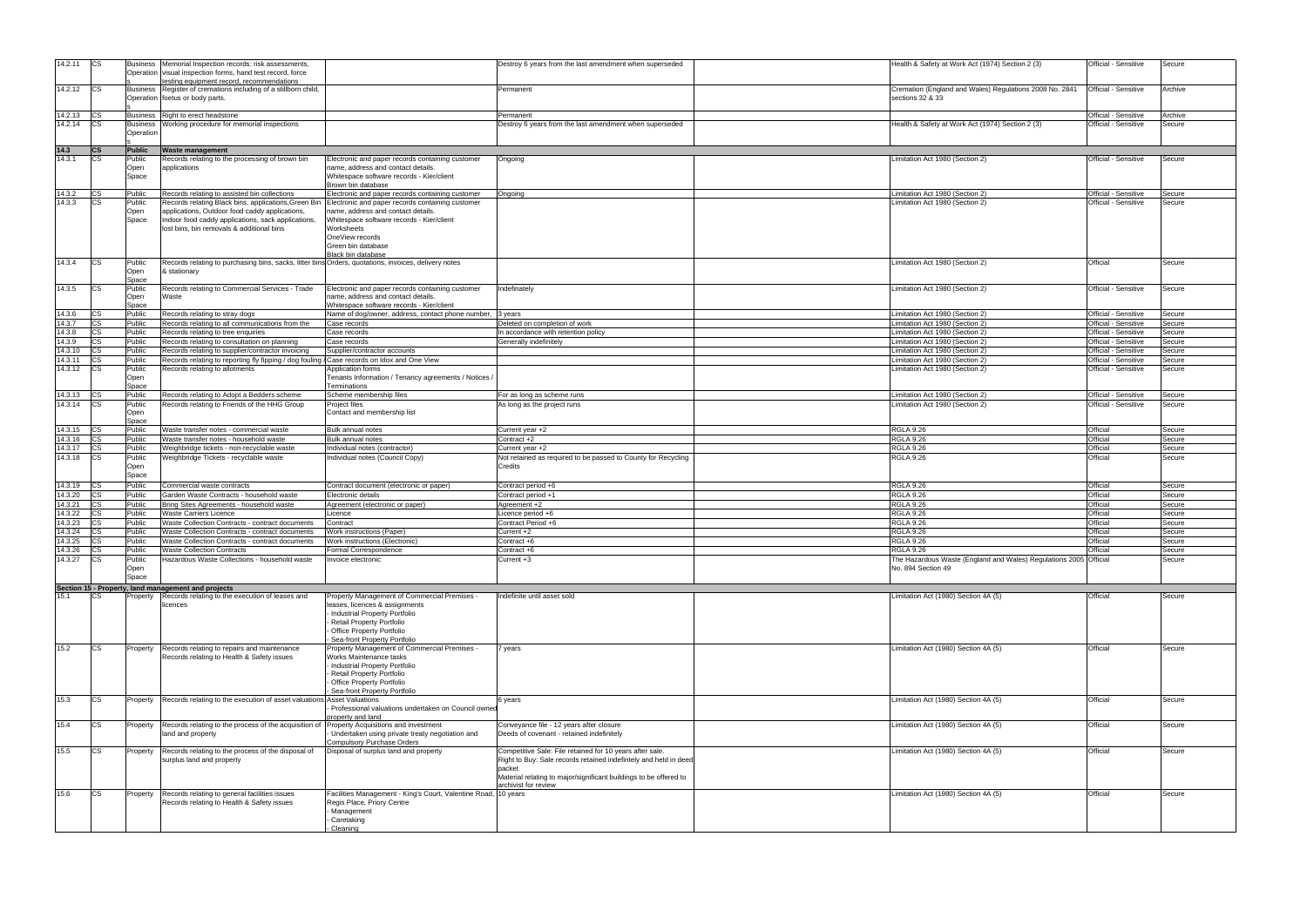| 14.2.11 | <b>ICS</b> | <b>Business</b> | Memorial Inspection records: risk assessments.                                                        |                                                                              | Destroy 6 years from the last amendment when superseded           | Health & Safety at Work Act (1974) Section 2 (3)                  | Official - Sensitive | Secure  |
|---------|------------|-----------------|-------------------------------------------------------------------------------------------------------|------------------------------------------------------------------------------|-------------------------------------------------------------------|-------------------------------------------------------------------|----------------------|---------|
|         |            |                 | Operation visual inspection forms, hand test record, force                                            |                                                                              |                                                                   |                                                                   |                      |         |
| 14.2.12 | <b>ICS</b> | <b>Business</b> | testing equipment record, recommendations<br>Register of cremations including of a stillborn child,   |                                                                              | Permanent                                                         | Cremation (England and Wales) Regulations 2008 No. 2841           | Official - Sensitive | Archive |
|         |            |                 | Operation foetus or body parts.                                                                       |                                                                              |                                                                   | sections 32 & 33                                                  |                      |         |
|         |            |                 |                                                                                                       |                                                                              |                                                                   |                                                                   |                      |         |
| 14.2.13 | <b>ICS</b> | <b>Business</b> | Right to erect headstone                                                                              |                                                                              | Permanent                                                         |                                                                   | Official - Sensitive | Archive |
| 14.2.14 | СS         | <b>Business</b> | Working procedure for memorial inspections                                                            |                                                                              | Destroy 6 years from the last amendment when superseded           | Health & Safety at Work Act (1974) Section 2 (3)                  | Official - Sensitive | Secure  |
|         |            | Operation       |                                                                                                       |                                                                              |                                                                   |                                                                   |                      |         |
|         |            |                 |                                                                                                       |                                                                              |                                                                   |                                                                   |                      |         |
| 14.3    | <b>CS</b>  | <b>Public</b>   | <b>Waste management</b>                                                                               |                                                                              |                                                                   |                                                                   |                      |         |
| 14.3.1  |            | Public          | Records relating to the processing of brown bin                                                       | Electronic and paper records containing customer                             | Ongoing                                                           | Limitation Act 1980 (Section 2)                                   | Official - Sensitive | Secure  |
|         |            | Open            | applications                                                                                          | name, address and contact details.                                           |                                                                   |                                                                   |                      |         |
|         |            | Space           |                                                                                                       | Whitespace software records - Kier/client                                    |                                                                   |                                                                   |                      |         |
| 14.3.2  | <b>CS</b>  | Public          | Records relating to assisted bin collections                                                          | Brown bin database<br>Electronic and paper records containing customer       | Ongoing                                                           | imitation Act 1980 (Section 2)                                    | Official - Sensitive | Secure  |
| 14.3.3  | CS         | Public          | Records relating Black bins, applications, Green Bin Electronic and paper records containing customer |                                                                              |                                                                   | Limitation Act 1980 (Section 2)                                   | Official - Sensitive | Secure  |
|         |            | Open            | applications, Outdoor food caddy applications,                                                        | name, address and contact details.                                           |                                                                   |                                                                   |                      |         |
|         |            | Space           | Indoor food caddy applications, sack applications,                                                    | Whitespace software records - Kier/client                                    |                                                                   |                                                                   |                      |         |
|         |            |                 | lost bins, bin removals & additional bins                                                             | Worksheets                                                                   |                                                                   |                                                                   |                      |         |
|         |            |                 |                                                                                                       | OneView records                                                              |                                                                   |                                                                   |                      |         |
|         |            |                 |                                                                                                       | Green bin database                                                           |                                                                   |                                                                   |                      |         |
|         |            |                 |                                                                                                       | Black bin database                                                           |                                                                   |                                                                   |                      |         |
| 14.3.4  | <b>ICS</b> | Public          | Records relating to purchasing bins, sacks, litter bins Orders, quotations, invoices, delivery notes  |                                                                              |                                                                   | Limitation Act 1980 (Section 2)                                   | Official             | Secure  |
|         |            | Open<br>Space   | & stationary                                                                                          |                                                                              |                                                                   |                                                                   |                      |         |
| 14.3.5  | ICS        | Public          | Records relating to Commercial Services - Trade                                                       | Electronic and paper records containing customer                             | Indefinately                                                      | Limitation Act 1980 (Section 2)                                   | Official - Sensitive | Secure  |
|         |            | Open            | Waste                                                                                                 | name, address and contact details.                                           |                                                                   |                                                                   |                      |         |
|         |            | Space           |                                                                                                       | Whitespace software records - Kier/client                                    |                                                                   |                                                                   |                      |         |
| 14.3.6  |            | Public          | Records relating to stray dogs                                                                        | Name of dog/owner, address, contact phone number, 3 years                    |                                                                   | Limitation Act 1980 (Section 2)                                   | Official - Sensitive | Secure  |
| 14.3.7  |            | Public          | Records relating to all communications from the                                                       | Case records                                                                 | Deleted on completion of work                                     | Limitation Act 1980 (Section 2)                                   | Official - Sensitive | Secure  |
| 14.3.8  | СS         | Public          | Records relating to tree enquiries                                                                    | Case records                                                                 | In accordance with retention policy                               | Limitation Act 1980 (Section 2)                                   | Official - Sensitive | Secure  |
| 14.3.9  | СS         | Public          | Records relating to consultation on planning                                                          | Case records                                                                 | Generally indefinitely                                            | Limitation Act 1980 (Section 2)                                   | Official - Sensitive | Secure  |
| 14.3.10 |            | Public          | Records relating to supplier/contractor invoicing                                                     | Supplier/contractor accounts                                                 |                                                                   | Limitation Act 1980 (Section 2)                                   | Official - Sensitive | Secure  |
| 14.3.11 |            | Public          | Records relating to reporting fly fipping / dog fouling / Case records on Idox and One View           |                                                                              |                                                                   | imitation Act 1980 (Section 2)                                    | Official - Sensitive | Secure  |
| 14.3.12 |            | Public          | Records relating to allotments                                                                        | Application forms                                                            |                                                                   | Limitation Act 1980 (Section 2)                                   | Official - Sensitive | Secure  |
|         |            | Open            |                                                                                                       | Tenants Information / Tenancy agreements / Notices /                         |                                                                   |                                                                   |                      |         |
|         |            | <u>Space</u>    |                                                                                                       | Terminations                                                                 |                                                                   |                                                                   |                      |         |
| 14.3.13 | <b>ICS</b> | Public          | Records relating to Adopt a Bedders scheme                                                            | Scheme membership files                                                      | For as long as scheme runs                                        | Limitation Act 1980 (Section 2)                                   | Official - Sensitive | Secure  |
| 14.3.14 | <b>ICS</b> | Public<br>Open  | Records relating to Friends of the HHG Group                                                          | Project files<br>Contact and membership list                                 | As long as the project runs                                       | imitation Act 1980 (Section 2)                                    | Official - Sensitive | Secure  |
|         |            | Space           |                                                                                                       |                                                                              |                                                                   |                                                                   |                      |         |
| 14.3.15 |            | Public          | Waste transfer notes - commercial waste                                                               | <b>Bulk annual notes</b>                                                     | Current year +2                                                   | <b>RGLA 9.26</b>                                                  | Official             | Secure  |
| 14.3.16 |            | Public          | Waste transfer notes - household waste                                                                | <b>Bulk annual notes</b>                                                     | Contract +2                                                       | <b>RGLA 9.26</b>                                                  | Official             | Secure  |
|         |            |                 |                                                                                                       |                                                                              |                                                                   |                                                                   |                      |         |
| 14.3.17 |            | Public          | Weighbridge tickets - non-recyclable waste                                                            | Individual notes (contractor)                                                | Current year +2                                                   | <b>RGLA 9.26</b>                                                  | Official             | Secure  |
| 14.3.18 |            | Public          | Weighbridge Tickets - recyclable waste                                                                | Individual notes (Council Copy)                                              | Not retained as required to be passed to County for Recycling     | <b>RGLA 9.26</b>                                                  | Official             | Secure  |
|         |            | Open            |                                                                                                       |                                                                              | Credits                                                           |                                                                   |                      |         |
|         |            | Space           |                                                                                                       |                                                                              |                                                                   |                                                                   |                      |         |
| 14.3.19 |            | Public          | Commercial waste contracts                                                                            | Contract document (electronic or paper)                                      | Contract period +6                                                | <b>RGLA 9.26</b>                                                  | Official             | Secure  |
| 14.3.20 |            | Public          | Garden Waste Contracts - household waste                                                              | Electronic details                                                           | Contract period +1                                                | <b>RGLA 9.26</b>                                                  | Official             | Secure  |
| 14.3.21 |            | Public          | Bring Sites Agreements - household waste                                                              | Agreement (electronic or paper)                                              | Agreement +2                                                      | <b>RGLA 9.26</b>                                                  | Official             | Secure  |
| 14.3.22 |            | Public          | <b>Waste Carriers Licence</b>                                                                         | Licence                                                                      | Licence period +6                                                 | <b>RGLA 9.26</b>                                                  | Official             | Secure  |
| 14.3.23 |            | Public          | Waste Collection Contracts - contract documents                                                       | Contract                                                                     | Contract Period +6                                                | <b>RGLA 9.26</b>                                                  | Official             | Secure  |
| 14.3.24 |            | Public          | Waste Collection Contracts - contract documents                                                       | Work instructions (Paper)                                                    | Current +2                                                        | <b>RGLA 9.26</b>                                                  | Official             | Secure  |
| 14.3.25 |            | Public          | Waste Collection Contracts - contract documents                                                       | Work instructions (Electronic)                                               | Contract +6                                                       | <b>RGLA 9.26</b>                                                  | Official             | Secure  |
| 14.3.26 | <b>CS</b>  | Public          | <b>Waste Collection Contracts</b>                                                                     | Formal Correspondence                                                        | Contract +6                                                       | <b>RGLA 9.26</b>                                                  | Official             | Secure  |
| 14.3.27 |            | Public          | Hazardous Waste Collections - household waste                                                         | Invoice electronic                                                           | Current +3                                                        | The Hazardous Waste (England and Wales) Regulations 2005 Official |                      | Secure  |
|         |            | Open            |                                                                                                       |                                                                              |                                                                   | No. 894 Section 49                                                |                      |         |
|         |            | Space           |                                                                                                       |                                                                              |                                                                   |                                                                   |                      |         |
|         |            |                 | Section 15 - Property, land management and projects                                                   |                                                                              |                                                                   |                                                                   |                      |         |
| 15.1    | CS.        | Property        | Records relating to the execution of leases and                                                       | Property Management of Commercial Premises                                   | Indefinite until asset sold                                       | Limitation Act (1980) Section 4A (5)                              | Official             | Secure  |
|         |            |                 | licences                                                                                              | leases, licences & assignments                                               |                                                                   |                                                                   |                      |         |
|         |            |                 |                                                                                                       | Industrial Property Portfolio                                                |                                                                   |                                                                   |                      |         |
|         |            |                 |                                                                                                       | <b>Retail Property Portfolio</b>                                             |                                                                   |                                                                   |                      |         |
|         |            |                 |                                                                                                       | Office Property Portfolio                                                    |                                                                   |                                                                   |                      |         |
| 15.2    | CS.        | Property        | Records relating to repairs and maintenance                                                           | Sea-front Property Portfolio<br>Property Management of Commercial Premises - | years                                                             | Limitation Act (1980) Section 4A (5)                              | Official             | Secure  |
|         |            |                 | Records relating to Health & Safety issues                                                            | Works Maintenance tasks                                                      |                                                                   |                                                                   |                      |         |
|         |            |                 |                                                                                                       | Industrial Property Portfolio                                                |                                                                   |                                                                   |                      |         |
|         |            |                 |                                                                                                       | Retail Property Portfolio                                                    |                                                                   |                                                                   |                      |         |
|         |            |                 |                                                                                                       | Office Property Portfolio                                                    |                                                                   |                                                                   |                      |         |
|         |            |                 |                                                                                                       | Sea-front Property Portfolio                                                 |                                                                   |                                                                   |                      |         |
| 15.3    | CS         | Property        | Records relating to the execution of asset valuations Asset Valuations                                |                                                                              | 6 years                                                           | Limitation Act (1980) Section 4A (5)                              | Official             | Secure  |
|         |            |                 |                                                                                                       | Professional valuations undertaken on Council owner<br>property and land     |                                                                   |                                                                   |                      |         |
| 15.4    | CS         | Property        | Records relating to the process of the acquisition of                                                 | Property Acquisitions and investment                                         | Conveyance file - 12 years after closure                          | imitation Act (1980) Section 4A (5)                               | Official             | Secure  |
|         |            |                 | land and property                                                                                     | Undertaken using private treaty negotiation and                              | Deeds of covenant - retained indefinitely                         |                                                                   |                      |         |
|         |            |                 |                                                                                                       | <b>Compulsory Purchase Orders</b>                                            |                                                                   |                                                                   |                      |         |
| 15.5    | CS         | Property        | Records relating to the process of the disposal of                                                    | Disposal of surplus land and property                                        | Competitive Sale: File retained for 10 years after sale.          | Limitation Act (1980) Section 4A (5)                              | Official             | Secure  |
|         |            |                 | surplus land and property                                                                             |                                                                              | Right to Buy: Sale records retained indefintely and held in deed  |                                                                   |                      |         |
|         |            |                 |                                                                                                       |                                                                              | packet                                                            |                                                                   |                      |         |
|         |            |                 |                                                                                                       |                                                                              | Material relating to major/significant buildings to be offered to |                                                                   |                      |         |
|         |            |                 |                                                                                                       |                                                                              | archivist for review                                              |                                                                   |                      |         |
| 15.6    | CS.        | Property        | Records relating to general facilities issues                                                         | Facilities Management - King's Court, Valentine Road,                        | 10 years                                                          | Limitation Act (1980) Section 4A (5)                              | Official             | Secure  |
|         |            |                 | Records relating to Health & Safety issues                                                            | Regis Place, Priory Centre                                                   |                                                                   |                                                                   |                      |         |
|         |            |                 |                                                                                                       | Management<br>Caretaking                                                     |                                                                   |                                                                   |                      |         |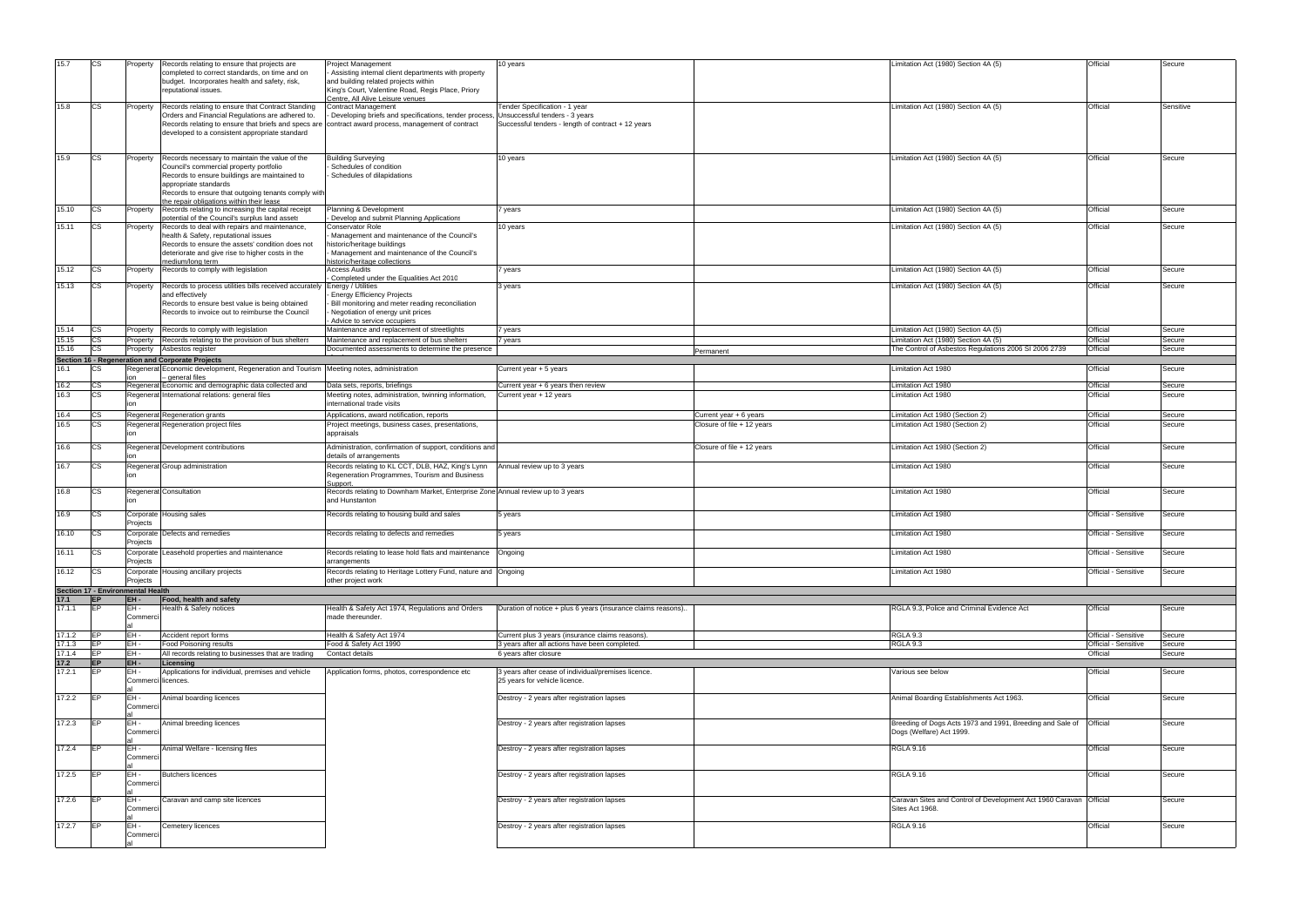| 15.7   | CS.        | Property                          | Records relating to ensure that projects are                                           | <b>Project Management</b>                                                       | 10 years                                                     |                            | Limitation Act (1980) Section 4A (5)                                 | Official             | Secure    |
|--------|------------|-----------------------------------|----------------------------------------------------------------------------------------|---------------------------------------------------------------------------------|--------------------------------------------------------------|----------------------------|----------------------------------------------------------------------|----------------------|-----------|
|        |            |                                   | completed to correct standards, on time and on                                         | Assisting internal client departments with property                             |                                                              |                            |                                                                      |                      |           |
|        |            |                                   | budget. Incorporates health and safety, risk,                                          | and building related projects within                                            |                                                              |                            |                                                                      |                      |           |
|        |            |                                   | reputational issues.                                                                   | King's Court, Valentine Road, Regis Place, Priory                               |                                                              |                            |                                                                      |                      |           |
|        |            |                                   |                                                                                        |                                                                                 |                                                              |                            |                                                                      |                      |           |
| 15.8   | CS         | Property                          | Records relating to ensure that Contract Standing                                      | Centre, All Alive Leisure venues<br>Contract Management                         | Tender Specification - 1 year                                |                            | Limitation Act (1980) Section 4A (5)                                 | Official             | Sensitive |
|        |            |                                   | Orders and Financial Regulations are adhered to.                                       | Developing briefs and specifications, tender process,                           | Unsuccessful tenders - 3 years                               |                            |                                                                      |                      |           |
|        |            |                                   |                                                                                        |                                                                                 |                                                              |                            |                                                                      |                      |           |
|        |            |                                   | Records relating to ensure that briefs and specs are                                   | contract award process, management of contract                                  | Successful tenders - length of contract + 12 years           |                            |                                                                      |                      |           |
|        |            |                                   | developed to a consistent appropriate standard                                         |                                                                                 |                                                              |                            |                                                                      |                      |           |
|        |            |                                   |                                                                                        |                                                                                 |                                                              |                            |                                                                      |                      |           |
|        |            |                                   |                                                                                        |                                                                                 |                                                              |                            |                                                                      |                      |           |
| 15.9   | <b>CS</b>  | Property                          | Records necessary to maintain the value of the                                         | <b>Building Surveying</b>                                                       | 10 years                                                     |                            | Limitation Act (1980) Section 4A (5)                                 | Official             | Secure    |
|        |            |                                   | Council's commercial property portfolio                                                | Schedules of condition                                                          |                                                              |                            |                                                                      |                      |           |
|        |            |                                   | Records to ensure buildings are maintained to                                          | Schedules of dilapidations                                                      |                                                              |                            |                                                                      |                      |           |
|        |            |                                   | appropriate standards                                                                  |                                                                                 |                                                              |                            |                                                                      |                      |           |
|        |            |                                   | Records to ensure that outgoing tenants comply with                                    |                                                                                 |                                                              |                            |                                                                      |                      |           |
|        |            |                                   | the repair obligations within their lease                                              |                                                                                 |                                                              |                            |                                                                      |                      |           |
| 15.10  | <b>CS</b>  | Property                          | Records relating to increasing the capital receipt                                     | lanning & Development                                                           | 7 years                                                      |                            | Limitation Act (1980) Section 4A (5)                                 | Official             | Secure    |
|        |            |                                   | potential of the Council's surplus land assets                                         | Develop and submit Planning Applications                                        |                                                              |                            |                                                                      |                      |           |
| 15.11  | CS.        | Property                          | Records to deal with repairs and maintenance,                                          | Conservator Role                                                                | 10 years                                                     |                            | Limitation Act (1980) Section 4A (5)                                 | Official             | Secure    |
|        |            |                                   | health & Safety, reputational issues                                                   | Management and maintenance of the Council's                                     |                                                              |                            |                                                                      |                      |           |
|        |            |                                   | Records to ensure the assets' condition does not                                       | nistoric/heritage buildings                                                     |                                                              |                            |                                                                      |                      |           |
|        |            |                                   | deteriorate and give rise to higher costs in the                                       | Management and maintenance of the Council's                                     |                                                              |                            |                                                                      |                      |           |
|        |            |                                   | medium/long term                                                                       | nistoric/heritage collections                                                   |                                                              |                            |                                                                      |                      |           |
| 15.12  |            | Property                          | Records to comply with legislation                                                     | <b>Access Audits</b>                                                            | 7 years                                                      |                            | Limitation Act (1980) Section 4A (5)                                 | Official             | Secure    |
|        |            |                                   |                                                                                        | Completed under the Equalities Act 2010                                         |                                                              |                            |                                                                      |                      |           |
| 15.13  | СS         | Property                          | Records to process utilities bills received accurately Energy / Utilities              |                                                                                 | 3 years                                                      |                            | imitation Act (1980) Section 4A (5)                                  | Official             | Secure    |
|        |            |                                   | and effectively                                                                        | <b>Energy Efficiency Projects</b>                                               |                                                              |                            |                                                                      |                      |           |
|        |            |                                   |                                                                                        |                                                                                 |                                                              |                            |                                                                      |                      |           |
|        |            |                                   | Records to ensure best value is being obtained                                         | Bill monitoring and meter reading reconciliation                                |                                                              |                            |                                                                      |                      |           |
|        |            |                                   | Records to invoice out to reimburse the Council                                        | Negotiation of energy unit prices                                               |                                                              |                            |                                                                      |                      |           |
|        |            |                                   |                                                                                        | Advice to service occupiers                                                     |                                                              |                            |                                                                      |                      |           |
| 15.14  | <b>CS</b>  | Property                          | Records to comply with legislation                                                     | Maintenance and replacement of streetlights                                     | 7 years                                                      |                            | Limitation Act (1980) Section 4A (5)                                 | Official             | Secure    |
| 15.15  | CS.        | Property                          | Records relating to the provision of bus shelters                                      | Maintenance and replacement of bus shelters                                     | 7 years                                                      |                            | Limitation Act (1980) Section 4A (5)                                 | Official             | Secure    |
| 15.16  |            | Property                          | Asbestos register                                                                      | Documented assessments to determine the presence                                |                                                              | Permanent                  | The Control of Asbestos Regulations 2006 SI 2006 2739                | Official             | Secure    |
|        |            |                                   | Section 16 - Regeneration and Corporate Projects                                       |                                                                                 |                                                              |                            |                                                                      |                      |           |
| 16.1   |            |                                   | Regenerat Economic development, Regeneration and Tourism Meeting notes, administration |                                                                                 | Current year + 5 years                                       |                            | Limitation Act 1980                                                  | Official             | Secure    |
|        |            |                                   | - general files                                                                        |                                                                                 |                                                              |                            |                                                                      |                      |           |
| 16.2   | сs         |                                   | Regenerat Economic and demographic data collected and                                  | Data sets, reports, briefings                                                   | Current year + 6 years then review                           |                            | imitation Act 1980.                                                  | Official             | Secure    |
|        |            |                                   |                                                                                        |                                                                                 |                                                              |                            |                                                                      |                      |           |
| 16.3   | <b>CS</b>  |                                   | Regenerat International relations: general files                                       | Meeting notes, administration, twinning information,                            | Current year + 12 years                                      |                            | imitation Act 1980                                                   | Official             | Secure    |
|        |            |                                   |                                                                                        | nternational trade visits                                                       |                                                              |                            |                                                                      |                      |           |
| 16.4   | ICS        |                                   | Regenerat Regeneration grants                                                          | Applications, award notification, reports                                       |                                                              | Current year + 6 years     | imitation Act 1980 (Section 2)                                       | Official             | Secure    |
| 16.5   | сs         |                                   | Regenerat Regeneration project files                                                   | Project meetings, business cases, presentations,                                |                                                              | Closure of file + 12 years | Limitation Act 1980 (Section 2)                                      | Official             | Secure    |
|        |            | ion                               |                                                                                        | appraisals                                                                      |                                                              |                            |                                                                      |                      |           |
|        |            |                                   |                                                                                        |                                                                                 |                                                              |                            |                                                                      |                      |           |
| 16.6   | CS         |                                   | Regenerat Development contributions                                                    | Administration, confirmation of support, conditions and                         |                                                              | Closure of file + 12 years | Limitation Act 1980 (Section 2)                                      | Official             | Secure    |
|        |            |                                   |                                                                                        | details of arrangements                                                         |                                                              |                            |                                                                      |                      |           |
| 16.7   | <b>CS</b>  |                                   | Regenerat Group administration                                                         | Records relating to KL CCT, DLB, HAZ, King's Lynn                               | Annual review up to 3 years                                  |                            | Limitation Act 1980                                                  | Official             | Secure    |
|        |            | lion                              |                                                                                        | Regeneration Programmes, Tourism and Business                                   |                                                              |                            |                                                                      |                      |           |
|        |            |                                   |                                                                                        | Support.                                                                        |                                                              |                            |                                                                      |                      |           |
| 16.8   | ıcs        |                                   | Regenerat Consultation                                                                 | Records relating to Downham Market, Enterprise Zone Annual review up to 3 years |                                                              |                            | Limitation Act 1980                                                  | Official             | Secure    |
|        |            |                                   |                                                                                        | and Hunstanton                                                                  |                                                              |                            |                                                                      |                      |           |
|        |            |                                   |                                                                                        |                                                                                 |                                                              |                            |                                                                      |                      |           |
| 16.9   | CS         |                                   | Corporate Housing sales                                                                | Records relating to housing build and sales                                     | 5 years                                                      |                            | Limitation Act 1980                                                  | Official - Sensitive | Secure    |
|        |            | Projects                          |                                                                                        |                                                                                 |                                                              |                            |                                                                      |                      |           |
|        |            |                                   |                                                                                        |                                                                                 |                                                              |                            |                                                                      |                      |           |
| 16.10  | CS         |                                   | Corporate Defects and remedies                                                         | Records relating to defects and remedies                                        | 5 years                                                      |                            | imitation Act 1980.                                                  | Official - Sensitive | Secure    |
|        |            | Projects                          |                                                                                        |                                                                                 |                                                              |                            |                                                                      |                      |           |
| 16.11  | <b>CS</b>  |                                   | Corporate Leasehold properties and maintenance                                         | Records relating to lease hold flats and maintenance   Ongoing                  |                                                              |                            | Limitation Act 1980                                                  | Official - Sensitive | Secure    |
|        |            | Projects                          |                                                                                        | arrangements                                                                    |                                                              |                            |                                                                      |                      |           |
| 16.12  | CS         |                                   | Corporate Housing ancillary projects                                                   | Records relating to Heritage Lottery Fund, nature and Ongoing                   |                                                              |                            | Limitation Act 1980                                                  | Official - Sensitive | Secure    |
|        |            | Projects                          |                                                                                        | other project work                                                              |                                                              |                            |                                                                      |                      |           |
|        |            |                                   |                                                                                        |                                                                                 |                                                              |                            |                                                                      |                      |           |
|        |            | Section 17 - Environmental Health |                                                                                        |                                                                                 |                                                              |                            |                                                                      |                      |           |
| 17.1   | <b>EP</b>  | EH-                               | Food, health and safety                                                                |                                                                                 |                                                              |                            |                                                                      |                      |           |
| 17.1.1 | <b>IEP</b> | EH-                               | Health & Safety notices                                                                | Health & Safety Act 1974, Regulations and Orders                                | Duration of notice + plus 6 years (insurance claims reasons) |                            | RGLA 9.3, Police and Criminal Evidence Act                           | Official             | Secure    |
|        |            | Commerci                          |                                                                                        | made thereunder.                                                                |                                                              |                            |                                                                      |                      |           |
|        |            |                                   |                                                                                        |                                                                                 |                                                              |                            |                                                                      |                      |           |
| 17.1.2 | <b>IEP</b> | EH-                               | Accident report forms                                                                  | Health & Safety Act 1974                                                        | Current plus 3 years (insurance claims reasons).             |                            | RGLA 9.3                                                             | Official - Sensitive | Secure    |
| 17.1.3 | EP         | EH-                               | <b>Food Poisoning results</b>                                                          | Food & Safety Act 1990                                                          | 3 years after all actions have been completed.               |                            | <b>RGLA 9.3</b>                                                      | Official - Sensitive | Secure    |
| 17.1.4 | <b>IEP</b> | EH-                               | All records relating to businesses that are trading                                    | Contact details                                                                 | 6 years after closure                                        |                            |                                                                      | Official             | Secure    |
| $17.2$ | <b>EP</b>  | EH-                               | Licensing                                                                              |                                                                                 |                                                              |                            |                                                                      |                      |           |
| 17.2.1 | <b>EP</b>  | EH-                               | Applications for individual, premises and vehicle                                      | Application forms, photos, correspondence etc                                   | 3 years after cease of individual/premises licence.          |                            | Various see below                                                    | Official             | Secure    |
|        |            |                                   | Commerci licences.                                                                     |                                                                                 | 25 years for vehicle licence.                                |                            |                                                                      |                      |           |
|        |            |                                   |                                                                                        |                                                                                 |                                                              |                            |                                                                      |                      |           |
|        |            |                                   |                                                                                        |                                                                                 |                                                              |                            |                                                                      |                      |           |
| 17.2.2 | EP         | EH-                               | Animal boarding licences                                                               |                                                                                 | Destroy - 2 years after registration lapses                  |                            | Animal Boarding Establishments Act 1963.                             | Official             | Secure    |
|        |            | Commerci                          |                                                                                        |                                                                                 |                                                              |                            |                                                                      |                      |           |
|        |            |                                   |                                                                                        |                                                                                 |                                                              |                            |                                                                      |                      |           |
| 17.2.3 | <b>IEP</b> | EH-                               | Animal breeding licences                                                               |                                                                                 | Destroy - 2 years after registration lapses                  |                            | Breeding of Dogs Acts 1973 and 1991, Breeding and Sale of            | Official             | Secure    |
|        |            | Commerci                          |                                                                                        |                                                                                 |                                                              |                            | Dogs (Welfare) Act 1999.                                             |                      |           |
|        |            |                                   |                                                                                        |                                                                                 |                                                              |                            |                                                                      |                      |           |
| 17.2.4 | <b>IEP</b> | EH-                               | Animal Welfare - licensing files                                                       |                                                                                 | Destroy - 2 years after registration lapses                  |                            | <b>RGLA 9.16</b>                                                     | Official             | Secure    |
|        |            | Commerci                          |                                                                                        |                                                                                 |                                                              |                            |                                                                      |                      |           |
|        |            |                                   |                                                                                        |                                                                                 |                                                              |                            |                                                                      |                      |           |
| 17.2.5 | <b>IEP</b> | EH-                               | <b>Butchers licences</b>                                                               |                                                                                 | Destroy - 2 years after registration lapses                  |                            | <b>RGLA 9.16</b>                                                     | Official             | Secure    |
|        |            | Commerci                          |                                                                                        |                                                                                 |                                                              |                            |                                                                      |                      |           |
|        |            |                                   |                                                                                        |                                                                                 |                                                              |                            |                                                                      |                      |           |
| 17.2.6 |            | EH-                               | Caravan and camp site licences                                                         |                                                                                 |                                                              |                            | Caravan Sites and Control of Development Act 1960 Caravan   Official |                      | Secure    |
|        |            | Commerci                          |                                                                                        |                                                                                 | Destroy - 2 years after registration lapses                  |                            |                                                                      |                      |           |
|        |            |                                   |                                                                                        |                                                                                 |                                                              |                            | Sites Act 1968.                                                      |                      |           |
|        |            |                                   |                                                                                        |                                                                                 |                                                              |                            |                                                                      |                      |           |
|        |            |                                   |                                                                                        |                                                                                 |                                                              |                            |                                                                      |                      |           |
| 17.2.7 | <b>IEP</b> | EH-                               | Cemetery licences                                                                      |                                                                                 | Destroy - 2 years after registration lapses                  |                            | <b>RGLA 9.16</b>                                                     | Official             | Secure    |
|        |            | Commerci                          |                                                                                        |                                                                                 |                                                              |                            |                                                                      |                      |           |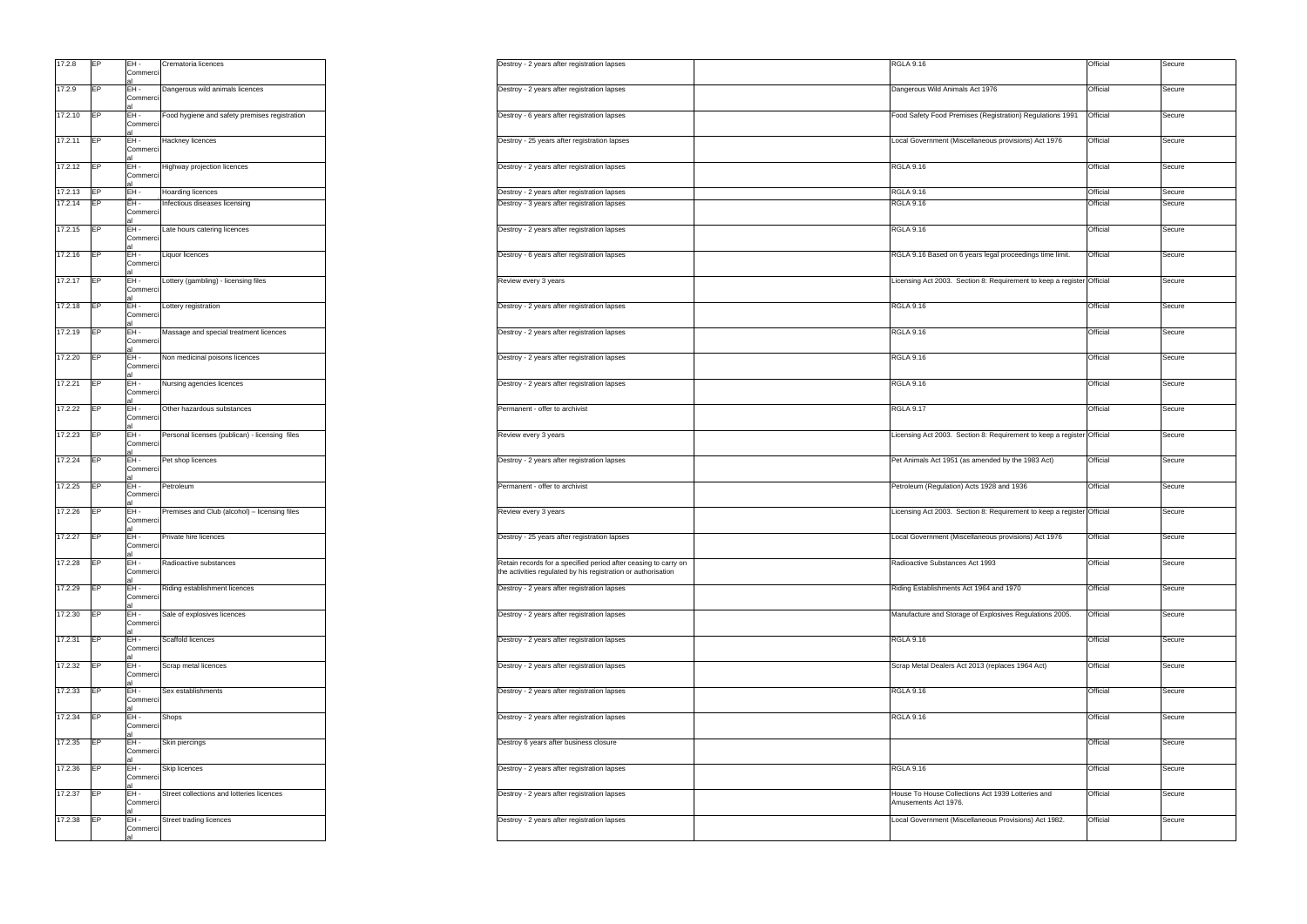| 17.2.8  | EР        | EH-<br>Commerci             | Crematoria licences                            |
|---------|-----------|-----------------------------|------------------------------------------------|
|         |           | al                          |                                                |
| 17.2.9  | EP        | EH -<br>Commerci<br>al      | Dangerous wild animals licences                |
| 17.2.10 | EP        | EH-<br>Commerci<br>al       | Food hygiene and safety premises registration  |
| 17.2.11 | EP        | EH-<br>Commerci             | Hackney licences                               |
| 17.2.12 | EP        | al<br>EH-<br>Commerci       | Highway projection licences                    |
| 17.2.13 | EP        | al<br>EH-                   | Hoarding licences                              |
| 17.2.14 | EP        | EH-<br>Commerci<br>al       | Infectious diseases licensing                  |
| 17.2.15 | EP.       | EH-<br>Commerci<br>al       | Late hours catering licences                   |
| 17.2.16 | EP        | EH -<br>Commerci            | Liquor licences                                |
| 17.2.17 | EP        | al<br>EH-<br>Commerci       | Lottery (gambling) - licensing files           |
| 17.2.18 | <b>EP</b> | al<br>EH -<br>Commerci      | Lottery registration                           |
| 17.2.19 | EP        | al<br>EH-<br>Commerci       | Massage and special treatment licences         |
| 17.2.20 | EP        | al<br>EH-<br>Commerci<br>al | Non medicinal poisons licences                 |
| 17.2.21 | EP        | EH -<br>Commerci<br>al      | Nursing agencies licences                      |
| 17.2.22 | EP        | EH-<br>Commerci<br>al       | Other hazardous substances                     |
| 17.2.23 | EP        | EH -<br>Commerci<br>al      | Personal licenses (publican) - licensing files |
| 17.2.24 | EP        | EH -<br>Commerci<br>al      | Pet shop licences                              |
| 17.2.25 | EP        | EH -<br>Commerci<br>al      | Petroleum                                      |
| 17.2.26 | EP        | EH -<br>Commerci<br>al      | Premises and Club (alcohol) - licensing files  |
| 17.2.27 | EP        | EH -<br>Commerci<br>aı      | Private hire licences                          |
| 17.2.28 | EP        | EH -<br>Commerci<br>al      | Radioactive substances                         |
| 17.2.29 | EP        | EH-<br>Commerci<br>al       | Riding establishment licences                  |
| 17.2.30 | EP        | EH -<br>Commerci<br>al      | Sale of explosives licences                    |
| 17.2.31 | EР        | EH -<br>Commerci<br>al      | Scaffold licences                              |
| 17.2.32 | EP        | EH-<br>Commerci<br>al       | Scrap metal licences                           |
| 17.2.33 | EP        | EH -<br>Commerci<br>al      | Sex establishments                             |
| 17.2.34 | EP        | EH -<br>Commerci<br>al      | Shops                                          |
| 17.2.35 | EP        | EH -<br>Commerci<br>al      | Skin piercings                                 |
| 17.2.36 | EP        | EH -<br>Commerci<br>al      | Skip licences                                  |
| 17.2.37 | EP        | EH-<br>Commerci             | Street collections and lotteries licences      |
| 17.2.38 | EP        | al<br>EH -<br>Commerci      | Street trading licences                        |
|         |           | al                          |                                                |

| Crematoria licences                            |                                | Destroy - 2 years after registration lapses                                                                                      | <b>RGLA 9.16</b>                                                          | Official | Secure |
|------------------------------------------------|--------------------------------|----------------------------------------------------------------------------------------------------------------------------------|---------------------------------------------------------------------------|----------|--------|
| Dangerous wild animals licences                |                                | Destroy - 2 years after registration lapses                                                                                      | Dangerous Wild Animals Act 1976                                           | Official | Secure |
| Food hygiene and safety premises registration  |                                | Destroy - 6 years after registration lapses                                                                                      | Food Safety Food Premises (Registration) Regulations 1991                 | Official | Secure |
| Hackney licences                               |                                | Destroy - 25 years after registration lapses                                                                                     | Local Government (Miscellaneous provisions) Act 1976                      | Official | Secure |
| Highway projection licences                    |                                | Destroy - 2 years after registration lapses                                                                                      | <b>RGLA 9.16</b>                                                          | Official | Secure |
| Hoarding licences                              |                                | Destroy - 2 years after registration lapses                                                                                      | <b>RGLA 9.16</b>                                                          | Official | Secure |
| Infectious diseases licensing                  |                                | Destroy - 3 years after registration lapses                                                                                      | <b>RGLA 9.16</b>                                                          | Official | Secure |
| Late hours catering licences                   |                                | Destroy - 2 years after registration lapses                                                                                      | <b>RGLA 9.16</b>                                                          | Official | Secure |
| Liquor licences                                |                                | Destroy - 6 years after registration lapses                                                                                      | RGLA 9.16 Based on 6 years legal proceedings time limit.                  | Official | Secure |
| Lottery (gambling) - licensing files           | Review every 3 years           |                                                                                                                                  | Licensing Act 2003. Section 8: Requirement to keep a register Official    |          | Secure |
| Lottery registration                           |                                | Destroy - 2 years after registration lapses                                                                                      | <b>RGLA 9.16</b>                                                          | Official | Secure |
| Massage and special treatment licences         |                                | Destroy - 2 years after registration lapses                                                                                      | <b>RGLA 9.16</b>                                                          | Official | Secure |
| Non medicinal poisons licences                 |                                | Destroy - 2 years after registration lapses                                                                                      | <b>RGLA 9.16</b>                                                          | Official | Secure |
| Nursing agencies licences                      |                                | Destroy - 2 years after registration lapses                                                                                      | <b>RGLA 9.16</b>                                                          | Official | Secure |
| Other hazardous substances                     | Permanent - offer to archivist |                                                                                                                                  | <b>RGLA 9.17</b>                                                          | Official | Secure |
| Personal licenses (publican) - licensing files | Review every 3 years           |                                                                                                                                  | Licensing Act 2003. Section 8: Requirement to keep a register Official    |          | Secure |
| Pet shop licences                              |                                | Destroy - 2 years after registration lapses                                                                                      | Pet Animals Act 1951 (as amended by the 1983 Act)                         | Official | Secure |
| Petroleum                                      | Permanent - offer to archivist |                                                                                                                                  | Petroleum (Regulation) Acts 1928 and 1936                                 | Official | Secure |
| Premises and Club (alcohol) - licensing files  | Review every 3 years           |                                                                                                                                  | Licensing Act 2003. Section 8: Requirement to keep a register Official    |          | Secure |
| Private hire licences                          |                                | Destroy - 25 years after registration lapses                                                                                     | Local Government (Miscellaneous provisions) Act 1976                      | Official | Secure |
| Radioactive substances                         |                                | Retain records for a specified period after ceasing to carry on<br>the activities regulated by his registration or authorisation | Radioactive Substances Act 1993                                           | Official | Secure |
| Riding establishment licences                  |                                | Destroy - 2 years after registration lapses                                                                                      | Riding Establishments Act 1964 and 1970                                   | Official | Secure |
| Sale of explosives licences                    |                                | Destroy - 2 years after registration lapses                                                                                      | Manufacture and Storage of Explosives Regulations 2005.                   | Official | Secure |
| Scaffold licences                              |                                | Destroy - 2 years after registration lapses                                                                                      | <b>RGLA 9.16</b>                                                          | Official | Secure |
| Scrap metal licences                           |                                | Destroy - 2 years after registration lapses                                                                                      | Scrap Metal Dealers Act 2013 (replaces 1964 Act)                          | Official | Secure |
| Sex establishments                             |                                | Destroy - 2 years after registration lapses                                                                                      | <b>RGLA 9.16</b>                                                          | Official | Secure |
| Shops                                          |                                | Destroy - 2 years after registration lapses                                                                                      | RGLA 9.16                                                                 | Official | Secure |
| Skin piercings                                 |                                | Destroy 6 years after business closure                                                                                           |                                                                           | Official | Secure |
| Skip licences                                  |                                | Destroy - 2 years after registration lapses                                                                                      | <b>RGLA 9.16</b>                                                          | Official | Secure |
| Street collections and lotteries licences      |                                | Destroy - 2 years after registration lapses                                                                                      | House To House Collections Act 1939 Lotteries and<br>Amusements Act 1976. | Official | Secure |
| Street trading licences                        |                                | Destroy - 2 years after registration lapses                                                                                      | Local Government (Miscellaneous Provisions) Act 1982.                     | Official | Secure |
|                                                |                                |                                                                                                                                  |                                                                           |          |        |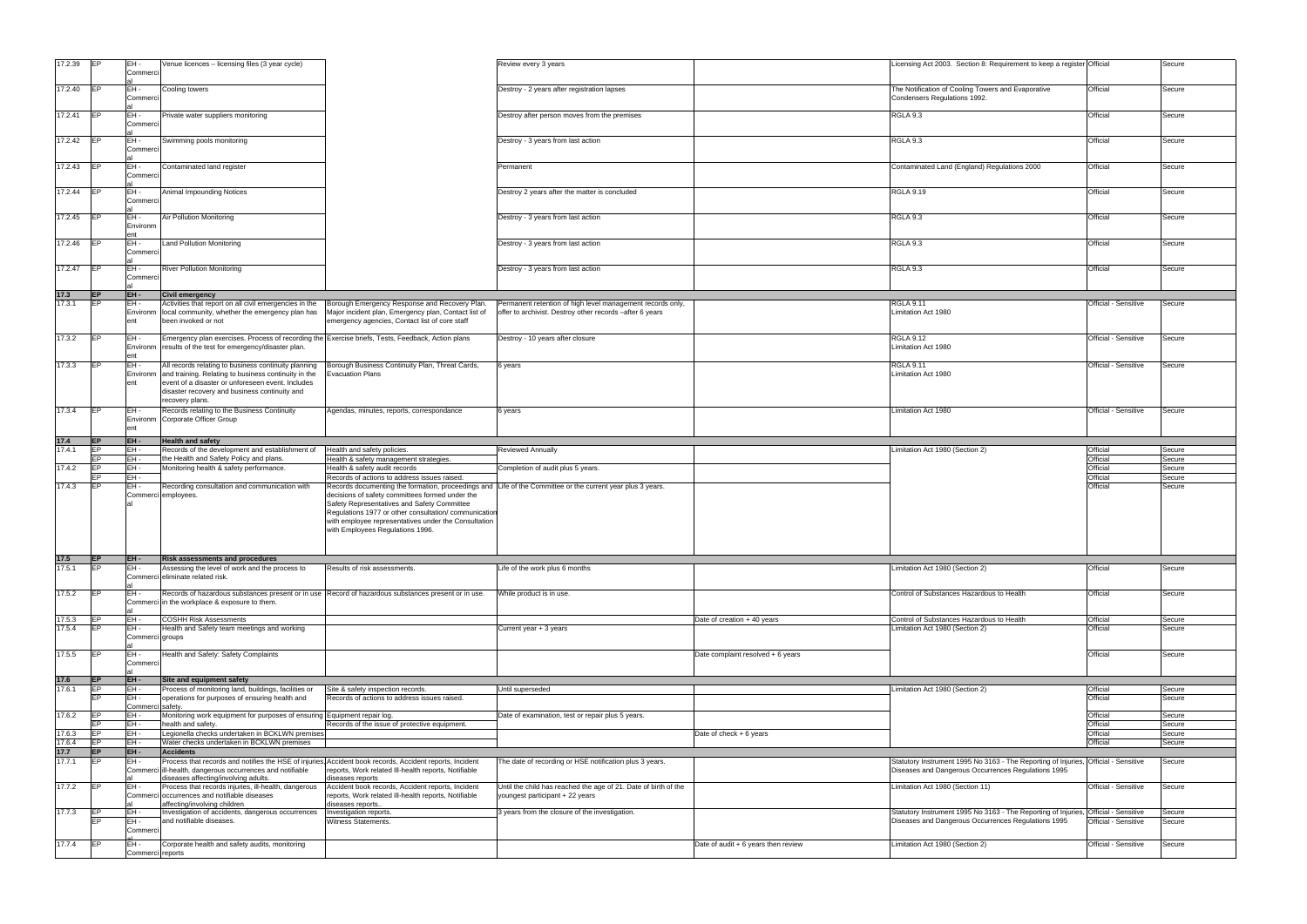| 17.2.39        |                 | EH -<br>Commerci        | Venue licences - licensing files (3 year cycle)                                                                                                                                                                                       |                                                                                                                                                                                                                                                    | Review every 3 years                                                                                                   |                                       | Licensing Act 2003. Section 8: Requirement to keep a register Official                                                                     |                      | Secure |
|----------------|-----------------|-------------------------|---------------------------------------------------------------------------------------------------------------------------------------------------------------------------------------------------------------------------------------|----------------------------------------------------------------------------------------------------------------------------------------------------------------------------------------------------------------------------------------------------|------------------------------------------------------------------------------------------------------------------------|---------------------------------------|--------------------------------------------------------------------------------------------------------------------------------------------|----------------------|--------|
| 17.2.40        | EP              | EH-<br>Commerci         | Cooling towers                                                                                                                                                                                                                        |                                                                                                                                                                                                                                                    | Destroy - 2 years after registration lapses                                                                            |                                       | The Notification of Cooling Towers and Evaporative<br>Condensers Regulations 1992.                                                         | Official             | Secure |
| 17.2.41        | <b>IFP</b>      | EH-<br>Commerci         | Private water suppliers monitoring                                                                                                                                                                                                    |                                                                                                                                                                                                                                                    | Destroy after person moves from the premises                                                                           |                                       | RGLA 9.3                                                                                                                                   | Official             | Secure |
| 17.2.42 EP     |                 | EH-<br>Commerci         | Swimming pools monitoring                                                                                                                                                                                                             |                                                                                                                                                                                                                                                    | Destroy - 3 years from last action                                                                                     |                                       | RGLA 9.3                                                                                                                                   | Official             | Secure |
| 17.2.43        | <b>IEP</b>      | EH-<br>Commerci         | Contaminated land register                                                                                                                                                                                                            |                                                                                                                                                                                                                                                    | Permanent                                                                                                              |                                       | Contaminated Land (England) Regulations 2000                                                                                               | Official             | Secure |
| 17.2.44 EP     |                 | EH -<br>Commerci        | Animal Impounding Notices                                                                                                                                                                                                             |                                                                                                                                                                                                                                                    | Destroy 2 years after the matter is concluded                                                                          |                                       | <b>RGLA 9.19</b>                                                                                                                           | Official             | Secure |
| 17.2.45 $E$    |                 | EH-<br>Environm<br>ent  | Air Pollution Monitoring                                                                                                                                                                                                              |                                                                                                                                                                                                                                                    | Destroy - 3 years from last action                                                                                     |                                       | RGLA 9.3                                                                                                                                   | Official             | Secure |
| 17.2.46        | <b>IFP</b>      | EH-<br>Commerci         | Land Pollution Monitoring                                                                                                                                                                                                             |                                                                                                                                                                                                                                                    | Destroy - 3 years from last action                                                                                     |                                       | RGLA 9.3                                                                                                                                   | Official             | Secure |
| 17.2.47        | <b>IEP</b>      | EH-<br>Commerci         | <b>River Pollution Monitoring</b>                                                                                                                                                                                                     |                                                                                                                                                                                                                                                    | Destroy - 3 years from last action                                                                                     |                                       | RGLA 9.3                                                                                                                                   | Official             | Secure |
| 17.3           | <b>IEP</b>      | EH-                     | <b>Civil emergency</b>                                                                                                                                                                                                                |                                                                                                                                                                                                                                                    |                                                                                                                        |                                       |                                                                                                                                            |                      |        |
| 17.3.1         | <b>IEP</b>      | EH-<br>Environm<br>ent  | Activities that report on all civil emergencies in the<br>local community, whether the emergency plan has<br>been invoked or not                                                                                                      | Borough Emergency Response and Recovery Plan.<br>Major incident plan, Emergency plan, Contact list of<br>emergency agencies, Contact list of core staff                                                                                            | Permanent retention of high level management records only,<br>offer to archivist. Destroy other records -after 6 years |                                       | <b>RGLA 9.11</b><br>Limitation Act 1980                                                                                                    | Official - Sensitive | Secure |
| 17.3.2         | <b>IEP</b>      | EH-<br>Environm<br>ent  | Emergency plan exercises. Process of recording the Exercise briefs, Tests, Feedback, Action plans<br>results of the test for emergency/disaster plan.                                                                                 |                                                                                                                                                                                                                                                    | Destroy - 10 years after closure                                                                                       |                                       | <b>RGLA 9.12</b><br>Limitation Act 1980                                                                                                    | Official - Sensitive | Secure |
| 17.3.3         | EP              | EH-<br>Environm         | All records relating to business continuity planning<br>and training. Relating to business continuity in the<br>event of a disaster or unforeseen event. Includes<br>disaster recovery and business continuity and<br>recovery plans. | Borough Business Continuity Plan, Threat Cards,<br>Evacuation Plans                                                                                                                                                                                | 6 years                                                                                                                |                                       | <b>RGLA 9.11</b><br>Limitation Act 1980                                                                                                    | Official - Sensitive | Secure |
| 17.3.4         | <b>IEP</b>      | EH-<br>Environm         | Records relating to the Business Continuity<br>Corporate Officer Group                                                                                                                                                                | Agendas, minutes, reports, correspondance                                                                                                                                                                                                          | 6 years                                                                                                                |                                       | Limitation Act 1980                                                                                                                        | Official - Sensitive | Secure |
| 17.4           | <b>IEP</b>      | EH-                     | <b>Health and safety</b>                                                                                                                                                                                                              |                                                                                                                                                                                                                                                    |                                                                                                                        |                                       |                                                                                                                                            |                      |        |
| 17.4.1         | FP              | EH-                     | Records of the development and establishment of                                                                                                                                                                                       | Health and safety policies.                                                                                                                                                                                                                        | <b>Reviewed Annually</b>                                                                                               |                                       | Limitation Act 1980 (Section 2)                                                                                                            | Official             | Secure |
|                |                 | EH-                     | the Health and Safety Policy and plans.                                                                                                                                                                                               | Health & safety management strategies.                                                                                                                                                                                                             |                                                                                                                        |                                       |                                                                                                                                            | Official             | Secure |
| 17.4.2         |                 | EH -                    | Monitoring health & safety performance.                                                                                                                                                                                               | Health & safety audit records                                                                                                                                                                                                                      | Completion of audit plus 5 years.                                                                                      |                                       |                                                                                                                                            | Official             | Secure |
|                |                 | EH-                     |                                                                                                                                                                                                                                       | Records of actions to address issues raised.                                                                                                                                                                                                       |                                                                                                                        |                                       |                                                                                                                                            | Official             | Secure |
| 17.4.3         | <b>IEP</b>      | EH-                     | Recording consultation and communication with<br>Commerci employees.                                                                                                                                                                  | decisions of safety committees formed under the<br>Safety Representatives and Safety Committee<br>Regulations 1977 or other consultation/ communicatio<br>with employee representatives under the Consultation<br>with Employees Regulations 1996. | Records documenting the formation, proceedings and Life of the Committee or the current year plus 3 years.             |                                       |                                                                                                                                            | Official             | Secure |
| 17.5           | <b>IEP</b>      | EH-                     | <b>Risk assessments and procedures</b>                                                                                                                                                                                                |                                                                                                                                                                                                                                                    |                                                                                                                        |                                       |                                                                                                                                            |                      |        |
| 17.5.1         | IFP.            | EH-                     | Assessing the level of work and the process to<br>Commerci eliminate related risk.                                                                                                                                                    | Results of risk assessments.                                                                                                                                                                                                                       | Life of the work plus 6 months                                                                                         |                                       | Limitation Act 1980 (Section 2)                                                                                                            | Official             | Secure |
| 17.5.2         | <b>IEP</b>      | EH-                     | Records of hazardous substances present or in use Record of hazardous substances present or in use.<br>Commerci in the workplace & exposure to them.                                                                                  |                                                                                                                                                                                                                                                    | Vhile product is in use.                                                                                               |                                       | Control of Substances Hazardous to Health                                                                                                  | Official             | Secure |
| 17.5.3         | <b>IEP</b>      | EH-                     | <b>COSHH Risk Assessments</b>                                                                                                                                                                                                         |                                                                                                                                                                                                                                                    |                                                                                                                        | Date of creation + 40 years           | Control of Substances Hazardous to Health                                                                                                  | Official             | Secure |
| 17.5.4         | <b>IEP</b>      | EH-<br>Commerci groups  | Health and Safety team meetings and working                                                                                                                                                                                           |                                                                                                                                                                                                                                                    | Current year + 3 years                                                                                                 |                                       | Limitation Act 1980 (Section 2)                                                                                                            | Official             | Secure |
| 17.5.5         | EP<br><b>EP</b> | EH-<br>Commerci<br>EH-  | Health and Safety: Safety Complaints<br>Site and equipment safety                                                                                                                                                                     |                                                                                                                                                                                                                                                    |                                                                                                                        | Date complaint resolved + 6 years     |                                                                                                                                            | Official             | Secure |
| 17.6<br>17.6.1 |                 | EH -                    | Process of monitoring land, buildings, facilities or                                                                                                                                                                                  | Site & safety inspection records.                                                                                                                                                                                                                  | Until superseded                                                                                                       |                                       | Limitation Act 1980 (Section 2)                                                                                                            | Official             | Secure |
|                |                 | EH-                     | operations for purposes of ensuring health and                                                                                                                                                                                        | Records of actions to address issues raised.                                                                                                                                                                                                       |                                                                                                                        |                                       |                                                                                                                                            | Official             | Secure |
|                |                 | Commer                  | safety.                                                                                                                                                                                                                               |                                                                                                                                                                                                                                                    |                                                                                                                        |                                       |                                                                                                                                            |                      |        |
| 17.6.2         |                 | EH -                    | Monitoring work equipment for purposes of ensuring Equipment repair log.                                                                                                                                                              |                                                                                                                                                                                                                                                    | Date of examination, test or repair plus 5 years.                                                                      |                                       |                                                                                                                                            | Official             | Secure |
|                |                 | EH-                     | health and safety.                                                                                                                                                                                                                    | Records of the issue of protective equipment.                                                                                                                                                                                                      |                                                                                                                        |                                       |                                                                                                                                            | Official             | Secure |
| 17.6.3         |                 | EH-                     | Legionella checks undertaken in BCKLWN premises                                                                                                                                                                                       |                                                                                                                                                                                                                                                    |                                                                                                                        | Date of check + 6 years               |                                                                                                                                            | Official             | Secure |
| 17.6.4         | <b>IEP</b>      | EH-                     | Water checks undertaken in BCKLWN premises                                                                                                                                                                                            |                                                                                                                                                                                                                                                    |                                                                                                                        |                                       |                                                                                                                                            | Official             | Secure |
| 17.7           | IEP             | EH-                     | <b>Accidents</b>                                                                                                                                                                                                                      |                                                                                                                                                                                                                                                    |                                                                                                                        |                                       |                                                                                                                                            |                      |        |
| 17.7.1         | <b>IEP</b>      | EH-                     | Process that records and notifies the HSE of injuries, Accident book records, Accident reports, Incident<br>Commerci ill-health, dangerous occurrences and notifiable<br>diseases affecting/involving adults.                         | reports, Work related III-health reports, Notifiable<br>diseases reports                                                                                                                                                                           | The date of recording or HSE notification plus 3 years.                                                                |                                       | Statutory Instrument 1995 No 3163 - The Reporting of Injuries, Official - Sensitive<br>Diseases and Dangerous Occurrences Regulations 1995 |                      | Secure |
| 17.7.2         | <b>IEP</b>      | EH-                     | Process that records injuries, ill-health, dangerous<br>Commerci occurrences and notifiable diseases<br>affecting/involving children.                                                                                                 | Accident book records, Accident reports, Incident<br>reports, Work related III-health reports, Notifiable<br>diseases reports                                                                                                                      | Until the child has reached the age of 21. Date of birth of the<br>youngest participant + 22 years                     |                                       | Limitation Act 1980 (Section 11)                                                                                                           | Official - Sensitive | Secure |
| 17.7.3         | EP              | EH-                     | Investigation of accidents, dangerous occurrences                                                                                                                                                                                     | Investigation reports.                                                                                                                                                                                                                             | 3 years from the closure of the investigation.                                                                         |                                       | Statutory Instrument 1995 No 3163 - The Reporting of Injuries                                                                              | Official - Sensitive | Secure |
|                |                 | EH-<br>Commerci         | and notifiable diseases.                                                                                                                                                                                                              | Witness Statements.                                                                                                                                                                                                                                |                                                                                                                        |                                       | Diseases and Dangerous Occurrences Regulations 1995                                                                                        | Official - Sensitive | Secure |
| 17.7.4         | EP              | EH-<br>Commerci reports | Corporate health and safety audits, monitoring                                                                                                                                                                                        |                                                                                                                                                                                                                                                    |                                                                                                                        | Date of audit $+ 6$ years then review | Limitation Act 1980 (Section 2)                                                                                                            | Official - Sensitive | Secure |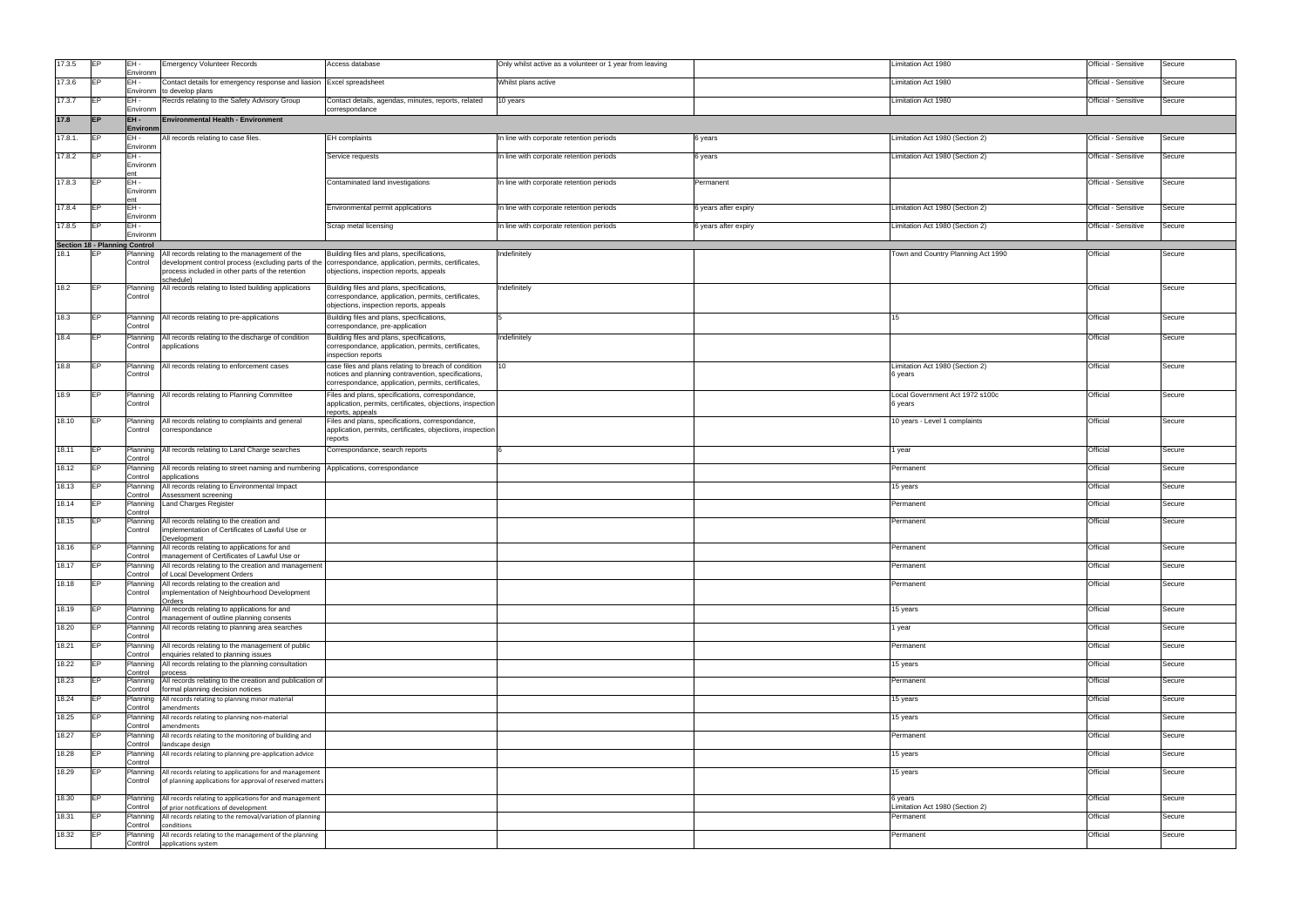| 17.3.5  | EP                                   | IEH -                  | <b>Emergency Volunteer Records</b>                                                                                                                                                                                        | Access database                                                                                                                                                    | Only whilst active as a volunteer or 1 year from leaving |                      | Limitation Act 1980                         | Official - Sensitive | Secure |
|---------|--------------------------------------|------------------------|---------------------------------------------------------------------------------------------------------------------------------------------------------------------------------------------------------------------------|--------------------------------------------------------------------------------------------------------------------------------------------------------------------|----------------------------------------------------------|----------------------|---------------------------------------------|----------------------|--------|
| 17.3.6  | EP                                   | Environm<br>EH-        | Contact details for emergency response and liasion                                                                                                                                                                        | Excel spreadsheet                                                                                                                                                  | Whilst plans active                                      |                      | Limitation Act 1980                         | Official - Sensitive | Secure |
| 17.3.7  | EP                                   | Environn<br>EH-        | to develop plans<br>Recrds relating to the Safety Advisory Group                                                                                                                                                          | Contact details, agendas, minutes, reports, related                                                                                                                | I0 years                                                 |                      | Limitation Act 1980                         | Official - Sensitive | Secure |
|         |                                      | Environm               |                                                                                                                                                                                                                           | correspondance                                                                                                                                                     |                                                          |                      |                                             |                      |        |
| 17.8    | <b>IEP</b>                           | EH-<br>Environn        | <b>Environmental Health - Environment</b>                                                                                                                                                                                 |                                                                                                                                                                    |                                                          |                      |                                             |                      |        |
| 17.8.1. | <b>IEP</b>                           | EH-<br>Environm        | All records relating to case files.                                                                                                                                                                                       | EH complaints                                                                                                                                                      | In line with corporate retention periods                 | 6 years              | Limitation Act 1980 (Section 2)             | Official - Sensitive | Secure |
| 17.8.2  | <b>IEP</b>                           | EH-<br>Environm        |                                                                                                                                                                                                                           | Service requests                                                                                                                                                   | In line with corporate retention periods                 | 6 years              | Limitation Act 1980 (Section 2)             | Official - Sensitive | Secure |
| 17.8.3  | <b>IEP</b>                           | EH-<br>Environm        |                                                                                                                                                                                                                           | Contaminated land investigations                                                                                                                                   | In line with corporate retention periods                 | Permanent            |                                             | Official - Sensitive | Secure |
| 17.8.4  | <b>IEP</b>                           | ent<br>EH-<br>Environm |                                                                                                                                                                                                                           | Environmental permit applications                                                                                                                                  | In line with corporate retention periods                 | 6 years after expiry | Limitation Act 1980 (Section 2)             | Official - Sensitive | Secure |
| 17.8.5  | <b>IEP</b>                           | EH-<br>Environm        |                                                                                                                                                                                                                           | Scrap metal licensing                                                                                                                                              | In line with corporate retention periods                 | 6 years after expiry | Limitation Act 1980 (Section 2)             | Official - Sensitive | Secure |
|         | <b>Section 18 - Planning Control</b> |                        |                                                                                                                                                                                                                           |                                                                                                                                                                    |                                                          |                      |                                             |                      |        |
| 18.1    | EP                                   | Planning<br>Control    | All records relating to the management of the<br>development control process (excluding parts of the correspondance, application, permits, certificates,<br>process included in other parts of the retention<br>schedule) | Building files and plans, specifications,<br>objections, inspection reports, appeals                                                                               | Indefinitely                                             |                      | Town and Country Planning Act 1990          | Official             | Secure |
| 18.2    | EP                                   | Planning<br>Control    | All records relating to listed building applications                                                                                                                                                                      | Building files and plans, specifications,<br>correspondance, application, permits, certificates,<br>objections, inspection reports, appeals                        | Indefinitely                                             |                      |                                             | Official             | Secure |
| 18.3    | IEP.                                 | Planning<br>Control    | All records relating to pre-applications                                                                                                                                                                                  | Building files and plans, specifications,<br>correspondance, pre-application                                                                                       |                                                          |                      | 15                                          | Official             | Secure |
| 18.4    | EP                                   | Planning<br>Control    | All records relating to the discharge of condition<br>applications                                                                                                                                                        | Building files and plans, specifications,<br>correspondance, application, permits, certificates,<br>inspection reports                                             | Indefinitely                                             |                      |                                             | Official             | Secure |
| 18.8    | EP                                   | Planning<br>Control    | All records relating to enforcement cases                                                                                                                                                                                 | case files and plans relating to breach of condition<br>notices and planning contravention, specifications,<br>correspondance, application, permits, certificates, | 10                                                       |                      | Limitation Act 1980 (Section 2)<br>6 years  | Official             | Secure |
| 18.9    | <b>IEP</b>                           | Planning<br>Control    | All records relating to Planning Committee                                                                                                                                                                                | Files and plans, specifications, correspondance,<br>application, permits, certificates, objections, inspection                                                     |                                                          |                      | Local Government Act 1972 s100c<br>6 years  | Official             | Secure |
| 18.10   | <b>IEP</b>                           | Planning<br>Control    | All records relating to complaints and general<br>correspondance                                                                                                                                                          | reports, appeals<br>Files and plans, specifications, correspondance,<br>application, permits, certificates, objections, inspection<br>reports                      |                                                          |                      | 10 years - Level 1 complaints               | Official             | Secure |
| 18.11   | <b>IEP</b>                           | Planning               | All records relating to Land Charge searches                                                                                                                                                                              | Correspondance, search reports                                                                                                                                     |                                                          |                      | year                                        | Official             | Secure |
| 18.12   | EP                                   | Control<br>Planning    | All records relating to street naming and numbering                                                                                                                                                                       | Applications, correspondance                                                                                                                                       |                                                          |                      | Permanent                                   | Official             | Secure |
| 18.13   | <b>IEP</b>                           | Control<br>Planning    | applications<br>All records relating to Environmental Impact                                                                                                                                                              |                                                                                                                                                                    |                                                          |                      | 15 years                                    | Official             | Secure |
| 18.14   | EP                                   | Control<br>Planning    | Assessment screening<br>Land Charges Register                                                                                                                                                                             |                                                                                                                                                                    |                                                          |                      | Permanent                                   | Official             | Secure |
| 18.15   | EP                                   | Control<br>Planning    | All records relating to the creation and                                                                                                                                                                                  |                                                                                                                                                                    |                                                          |                      | Permanent                                   | Official             | Secure |
|         |                                      | Control                | implementation of Certificates of Lawful Use or<br>Development                                                                                                                                                            |                                                                                                                                                                    |                                                          |                      |                                             |                      |        |
| 18.16   | <b>IEP</b>                           | Control                | Planning All records relating to applications for and<br>management of Certificates of Lawful Use or                                                                                                                      |                                                                                                                                                                    |                                                          |                      | Permanent                                   | Official             | Secure |
| 18.17   | EP                                   | Planning<br>Control    | All records relating to the creation and management<br>of Local Development Orders                                                                                                                                        |                                                                                                                                                                    |                                                          |                      | Permanent                                   | Official             | Secure |
| 18.18   | <b>IEP</b>                           | Planning<br>Control    | All records relating to the creation and<br>implementation of Neighbourhood Development                                                                                                                                   |                                                                                                                                                                    |                                                          |                      | Permanent                                   | Official             | Secure |
| 18.19   | <b>IEP</b>                           | Planning               | <b>Orders</b><br>All records relating to applications for and                                                                                                                                                             |                                                                                                                                                                    |                                                          |                      | 15 years                                    | Official             | Secure |
| 18.20   | <b>IEP</b>                           | Control<br>Planning    | management of outline planning consents<br>All records relating to planning area searches                                                                                                                                 |                                                                                                                                                                    |                                                          |                      | 1 year                                      | Official             | Secure |
| 18.21   |                                      | Control<br>Planning    | All records relating to the management of public                                                                                                                                                                          |                                                                                                                                                                    |                                                          |                      | Permanent                                   | Official             | Secure |
| 18.22   | <b>IEP</b>                           | Control<br>Planning    | enquiries related to planning issues<br>All records relating to the planning consultation                                                                                                                                 |                                                                                                                                                                    |                                                          |                      | 15 years                                    | Official             | Secure |
| 18.23   | <b>IEP</b>                           | Control<br>Planning    | process<br>All records relating to the creation and publication of                                                                                                                                                        |                                                                                                                                                                    |                                                          |                      | Permanent                                   | Official             | Secure |
|         |                                      | Control                | formal planning decision notices                                                                                                                                                                                          |                                                                                                                                                                    |                                                          |                      |                                             |                      |        |
| 18.24   |                                      | Planning<br>Control    | All records relating to planning minor material<br>amendments                                                                                                                                                             |                                                                                                                                                                    |                                                          |                      | 15 years                                    | Official             | Secure |
| 18.25   | EP                                   | Planning<br>Control    | All records relating to planning non-material<br>amendments                                                                                                                                                               |                                                                                                                                                                    |                                                          |                      | 15 years                                    | Official             | Secure |
| 18.27   | <b>IEP</b>                           | Planning<br>Control    | All records relating to the monitoring of building and<br>landscape design                                                                                                                                                |                                                                                                                                                                    |                                                          |                      | Permanent                                   | Official             | Secure |
| 18.28   | <b>IEP</b>                           | Planning<br>Control    | All records relating to planning pre-application advice                                                                                                                                                                   |                                                                                                                                                                    |                                                          |                      | 15 years                                    | Official             | Secure |
| 18.29   | IEP.                                 | Planning<br>Control    | All records relating to applications for and management<br>of planning applications for approval of reserved matters                                                                                                      |                                                                                                                                                                    |                                                          |                      | 15 years                                    | Official             | Secure |
| 18.30   | <b>IEP</b>                           | Planning<br>Control    | All records relating to applications for and management                                                                                                                                                                   |                                                                                                                                                                    |                                                          |                      | הs years<br>Limitation Act 1980 (Section 2) | Official             | Secure |
| 18.31   | <b>IEP</b>                           | Planning               | of prior notifications of development<br>All records relating to the removal/variation of planning                                                                                                                        |                                                                                                                                                                    |                                                          |                      | Permanent                                   | Official             | Secure |
| 18.32   | <b>IEP</b>                           | Control<br>Planning    | conditions<br>All records relating to the management of the planning                                                                                                                                                      |                                                                                                                                                                    |                                                          |                      | Permanent                                   | Official             | Secure |
|         |                                      | Control                | applications system                                                                                                                                                                                                       |                                                                                                                                                                    |                                                          |                      |                                             |                      |        |